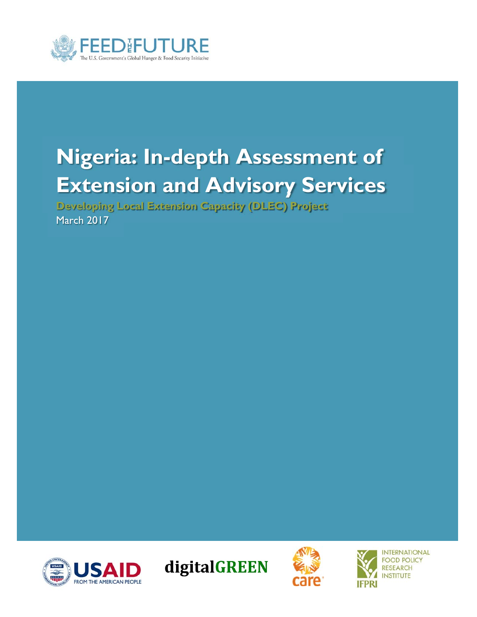

# **Nigeria: In-depth Assessment of Extension and Advisory Services**

**Developing Local Extension Capacity (DLEC) Project**  March 2017









**INTERNATIONAL FOOD POLICY RESEARCH INSTITUTE**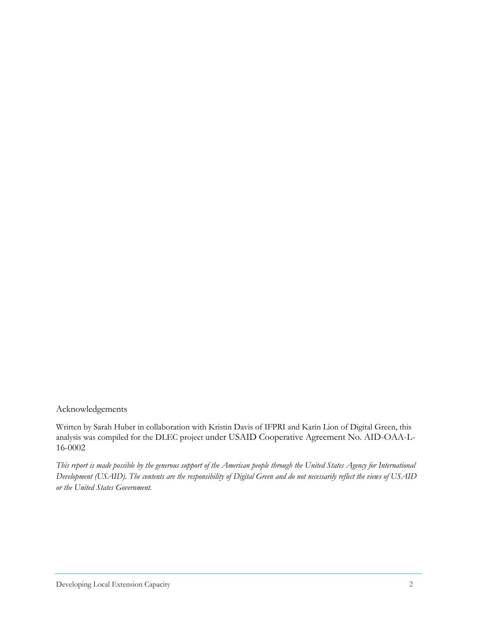Acknowledgements

Written by Sarah Huber in collaboration with Kristin Davis of IFPRI and Karin Lion of Digital Green, this analysis was compiled for the DLEC project under USAID Cooperative Agreement No. AID-OAA-L-16-0002

*This report is made possible by the generous support of the American people through the United States Agency for International Development (USAID). The contents are the responsibility of Digital Green and do not necessarily reflect the views of USAID or the United States Government.*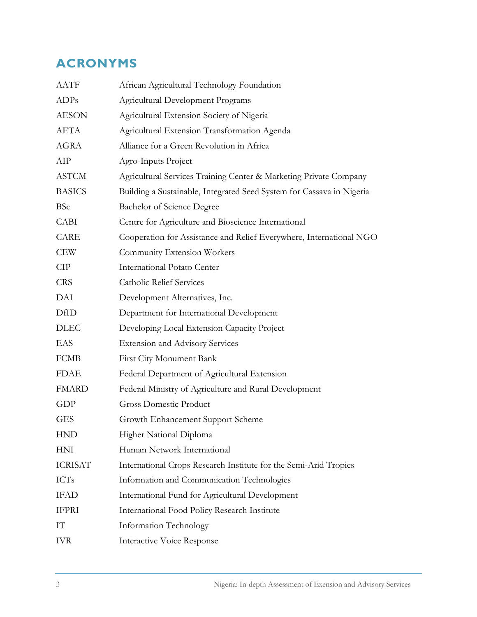# **ACRONYMS**

| <b>AATF</b>    | African Agricultural Technology Foundation                            |  |  |
|----------------|-----------------------------------------------------------------------|--|--|
| <b>ADPs</b>    | Agricultural Development Programs                                     |  |  |
| <b>AESON</b>   | Agricultural Extension Society of Nigeria                             |  |  |
| <b>AETA</b>    | Agricultural Extension Transformation Agenda                          |  |  |
| <b>AGRA</b>    | Alliance for a Green Revolution in Africa                             |  |  |
| AIP            | Agro-Inputs Project                                                   |  |  |
| <b>ASTCM</b>   | Agricultural Services Training Center & Marketing Private Company     |  |  |
| <b>BASICS</b>  | Building a Sustainable, Integrated Seed System for Cassava in Nigeria |  |  |
| <b>BSc</b>     | Bachelor of Science Degree                                            |  |  |
| <b>CABI</b>    | Centre for Agriculture and Bioscience International                   |  |  |
| CARE           | Cooperation for Assistance and Relief Everywhere, International NGO   |  |  |
| <b>CEW</b>     | Community Extension Workers                                           |  |  |
| <b>CIP</b>     | <b>International Potato Center</b>                                    |  |  |
| <b>CRS</b>     | <b>Catholic Relief Services</b>                                       |  |  |
| DAI            | Development Alternatives, Inc.                                        |  |  |
| DfID           | Department for International Development                              |  |  |
| <b>DLEC</b>    | Developing Local Extension Capacity Project                           |  |  |
| EAS            | <b>Extension and Advisory Services</b>                                |  |  |
| <b>FCMB</b>    | First City Monument Bank                                              |  |  |
| <b>FDAE</b>    | Federal Department of Agricultural Extension                          |  |  |
| <b>FMARD</b>   | Federal Ministry of Agriculture and Rural Development                 |  |  |
| GDP            | <b>Gross Domestic Product</b>                                         |  |  |
| <b>GES</b>     | Growth Enhancement Support Scheme                                     |  |  |
| <b>HND</b>     | Higher National Diploma                                               |  |  |
| <b>HNI</b>     | Human Network International                                           |  |  |
| <b>ICRISAT</b> | International Crops Research Institute for the Semi-Arid Tropics      |  |  |
| <b>ICTs</b>    | Information and Communication Technologies                            |  |  |
| <b>IFAD</b>    | International Fund for Agricultural Development                       |  |  |
| <b>IFPRI</b>   | International Food Policy Research Institute                          |  |  |
| IT             | Information Technology                                                |  |  |
| <b>IVR</b>     | Interactive Voice Response                                            |  |  |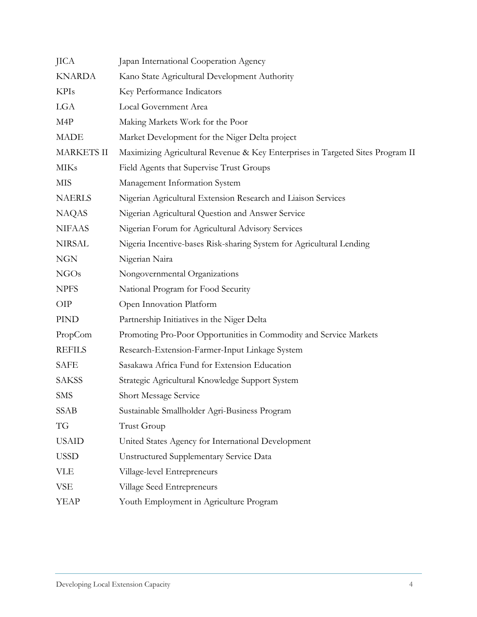| <b>JICA</b>       | Japan International Cooperation Agency                                         |  |  |
|-------------------|--------------------------------------------------------------------------------|--|--|
| <b>KNARDA</b>     | Kano State Agricultural Development Authority                                  |  |  |
| <b>KPIs</b>       | Key Performance Indicators                                                     |  |  |
| LGA               | Local Government Area                                                          |  |  |
| M4P               | Making Markets Work for the Poor                                               |  |  |
| <b>MADE</b>       | Market Development for the Niger Delta project                                 |  |  |
| <b>MARKETS II</b> | Maximizing Agricultural Revenue & Key Enterprises in Targeted Sites Program II |  |  |
| <b>MIKs</b>       | Field Agents that Supervise Trust Groups                                       |  |  |
| <b>MIS</b>        | Management Information System                                                  |  |  |
| <b>NAERLS</b>     | Nigerian Agricultural Extension Research and Liaison Services                  |  |  |
| <b>NAQAS</b>      | Nigerian Agricultural Question and Answer Service                              |  |  |
| <b>NIFAAS</b>     | Nigerian Forum for Agricultural Advisory Services                              |  |  |
| <b>NIRSAL</b>     | Nigeria Incentive-bases Risk-sharing System for Agricultural Lending           |  |  |
| <b>NGN</b>        | Nigerian Naira                                                                 |  |  |
| <b>NGOs</b>       | Nongovernmental Organizations                                                  |  |  |
| <b>NPFS</b>       | National Program for Food Security                                             |  |  |
| <b>OIP</b>        | Open Innovation Platform                                                       |  |  |
| PIND              | Partnership Initiatives in the Niger Delta                                     |  |  |
| PropCom           | Promoting Pro-Poor Opportunities in Commodity and Service Markets              |  |  |
| <b>REFILS</b>     | Research-Extension-Farmer-Input Linkage System                                 |  |  |
| <b>SAFE</b>       | Sasakawa Africa Fund for Extension Education                                   |  |  |
| <b>SAKSS</b>      | Strategic Agricultural Knowledge Support System                                |  |  |
| <b>SMS</b>        | Short Message Service                                                          |  |  |
| <b>SSAB</b>       | Sustainable Smallholder Agri-Business Program                                  |  |  |
| TG                | Trust Group                                                                    |  |  |
| <b>USAID</b>      | United States Agency for International Development                             |  |  |
| <b>USSD</b>       | <b>Unstructured Supplementary Service Data</b>                                 |  |  |
| <b>VLE</b>        | Village-level Entrepreneurs                                                    |  |  |
| VSE               | Village Seed Entrepreneurs                                                     |  |  |
| <b>YEAP</b>       | Youth Employment in Agriculture Program                                        |  |  |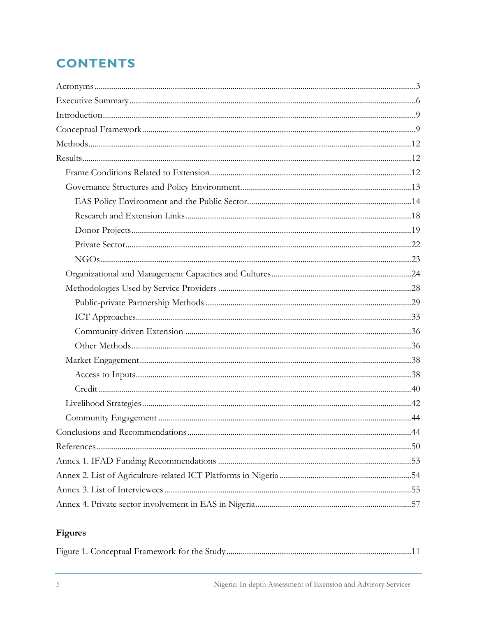# **CONTENTS**

### Figures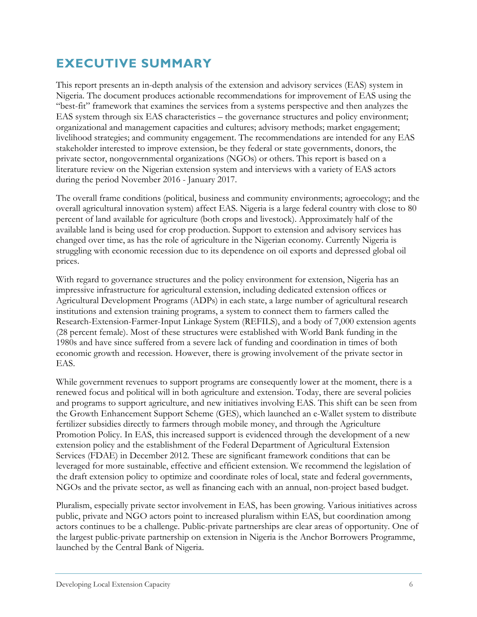# **EXECUTIVE SUMMARY**

This report presents an in-depth analysis of the extension and advisory services (EAS) system in Nigeria. The document produces actionable recommendations for improvement of EAS using the "best-fit" framework that examines the services from a systems perspective and then analyzes the EAS system through six EAS characteristics – the governance structures and policy environment; organizational and management capacities and cultures; advisory methods; market engagement; livelihood strategies; and community engagement. The recommendations are intended for any EAS stakeholder interested to improve extension, be they federal or state governments, donors, the private sector, nongovernmental organizations (NGOs) or others. This report is based on a literature review on the Nigerian extension system and interviews with a variety of EAS actors during the period November 2016 - January 2017.

The overall frame conditions (political, business and community environments; agroecology; and the overall agricultural innovation system) affect EAS. Nigeria is a large federal country with close to 80 percent of land available for agriculture (both crops and livestock). Approximately half of the available land is being used for crop production. Support to extension and advisory services has changed over time, as has the role of agriculture in the Nigerian economy. Currently Nigeria is struggling with economic recession due to its dependence on oil exports and depressed global oil prices.

With regard to governance structures and the policy environment for extension, Nigeria has an impressive infrastructure for agricultural extension, including dedicated extension offices or Agricultural Development Programs (ADPs) in each state, a large number of agricultural research institutions and extension training programs, a system to connect them to farmers called the Research-Extension-Farmer-Input Linkage System (REFILS), and a body of 7,000 extension agents (28 percent female). Most of these structures were established with World Bank funding in the 1980s and have since suffered from a severe lack of funding and coordination in times of both economic growth and recession. However, there is growing involvement of the private sector in EAS.

While government revenues to support programs are consequently lower at the moment, there is a renewed focus and political will in both agriculture and extension. Today, there are several policies and programs to support agriculture, and new initiatives involving EAS. This shift can be seen from the Growth Enhancement Support Scheme (GES), which launched an e-Wallet system to distribute fertilizer subsidies directly to farmers through mobile money, and through the Agriculture Promotion Policy. In EAS, this increased support is evidenced through the development of a new extension policy and the establishment of the Federal Department of Agricultural Extension Services (FDAE) in December 2012. These are significant framework conditions that can be leveraged for more sustainable, effective and efficient extension. We recommend the legislation of the draft extension policy to optimize and coordinate roles of local, state and federal governments, NGOs and the private sector, as well as financing each with an annual, non-project based budget.

Pluralism, especially private sector involvement in EAS, has been growing. Various initiatives across public, private and NGO actors point to increased pluralism within EAS, but coordination among actors continues to be a challenge. Public-private partnerships are clear areas of opportunity. One of the largest public-private partnership on extension in Nigeria is the Anchor Borrowers Programme, launched by the Central Bank of Nigeria.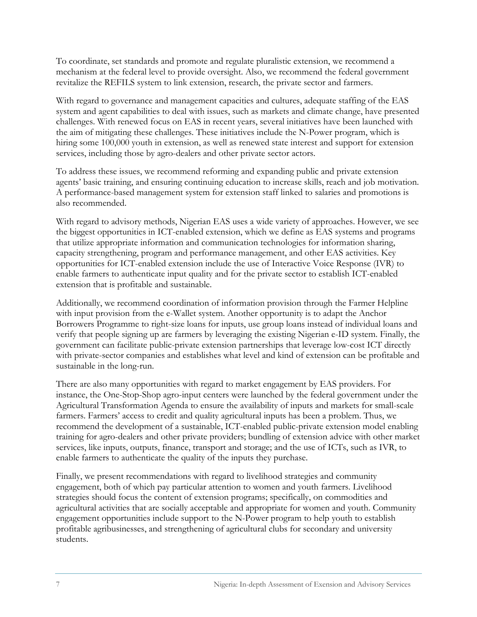To coordinate, set standards and promote and regulate pluralistic extension, we recommend a mechanism at the federal level to provide oversight. Also, we recommend the federal government revitalize the REFILS system to link extension, research, the private sector and farmers.

With regard to governance and management capacities and cultures, adequate staffing of the EAS system and agent capabilities to deal with issues, such as markets and climate change, have presented challenges. With renewed focus on EAS in recent years, several initiatives have been launched with the aim of mitigating these challenges. These initiatives include the N-Power program, which is hiring some 100,000 youth in extension, as well as renewed state interest and support for extension services, including those by agro-dealers and other private sector actors.

To address these issues, we recommend reforming and expanding public and private extension agents' basic training, and ensuring continuing education to increase skills, reach and job motivation. A performance-based management system for extension staff linked to salaries and promotions is also recommended.

With regard to advisory methods, Nigerian EAS uses a wide variety of approaches. However, we see the biggest opportunities in ICT-enabled extension, which we define as EAS systems and programs that utilize appropriate information and communication technologies for information sharing, capacity strengthening, program and performance management, and other EAS activities. Key opportunities for ICT-enabled extension include the use of Interactive Voice Response (IVR) to enable farmers to authenticate input quality and for the private sector to establish ICT-enabled extension that is profitable and sustainable.

Additionally, we recommend coordination of information provision through the Farmer Helpline with input provision from the e-Wallet system. Another opportunity is to adapt the Anchor Borrowers Programme to right-size loans for inputs, use group loans instead of individual loans and verify that people signing up are farmers by leveraging the existing Nigerian e-ID system. Finally, the government can facilitate public-private extension partnerships that leverage low-cost ICT directly with private-sector companies and establishes what level and kind of extension can be profitable and sustainable in the long-run.

There are also many opportunities with regard to market engagement by EAS providers. For instance, the One-Stop-Shop agro-input centers were launched by the federal government under the Agricultural Transformation Agenda to ensure the availability of inputs and markets for small-scale farmers. Farmers' access to credit and quality agricultural inputs has been a problem. Thus, we recommend the development of a sustainable, ICT-enabled public-private extension model enabling training for agro-dealers and other private providers; bundling of extension advice with other market services, like inputs, outputs, finance, transport and storage; and the use of ICTs, such as IVR, to enable farmers to authenticate the quality of the inputs they purchase.

Finally, we present recommendations with regard to livelihood strategies and community engagement, both of which pay particular attention to women and youth farmers. Livelihood strategies should focus the content of extension programs; specifically, on commodities and agricultural activities that are socially acceptable and appropriate for women and youth. Community engagement opportunities include support to the N-Power program to help youth to establish profitable agribusinesses, and strengthening of agricultural clubs for secondary and university students.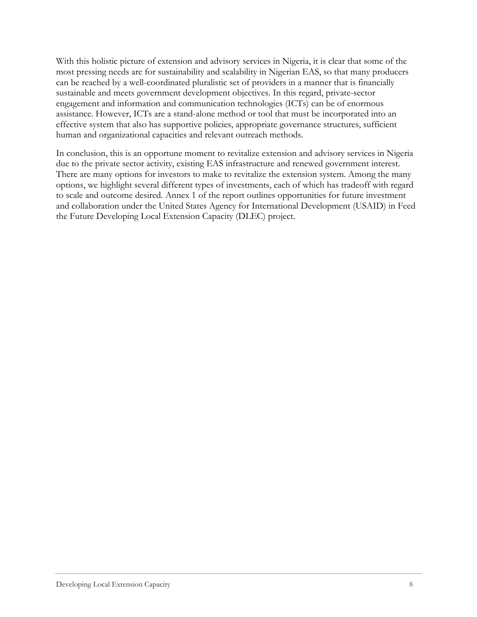With this holistic picture of extension and advisory services in Nigeria, it is clear that some of the most pressing needs are for sustainability and scalability in Nigerian EAS, so that many producers can be reached by a well-coordinated pluralistic set of providers in a manner that is financially sustainable and meets government development objectives. In this regard, private-sector engagement and information and communication technologies (ICTs) can be of enormous assistance. However, ICTs are a stand-alone method or tool that must be incorporated into an effective system that also has supportive policies, appropriate governance structures, sufficient human and organizational capacities and relevant outreach methods.

In conclusion, this is an opportune moment to revitalize extension and advisory services in Nigeria due to the private sector activity, existing EAS infrastructure and renewed government interest. There are many options for investors to make to revitalize the extension system. Among the many options, we highlight several different types of investments, each of which has tradeoff with regard to scale and outcome desired. Annex 1 of the report outlines opportunities for future investment and collaboration under the United States Agency for International Development (USAID) in Feed the Future Developing Local Extension Capacity (DLEC) project.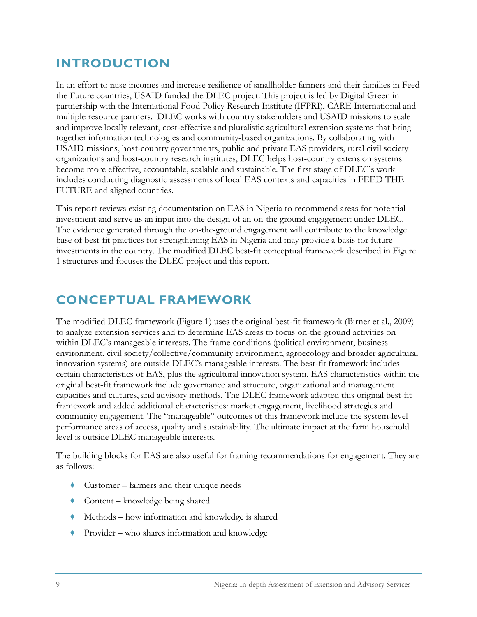# **INTRODUCTION**

In an effort to raise incomes and increase resilience of smallholder farmers and their families in Feed the Future countries, USAID funded the DLEC project. This project is led by Digital Green in partnership with the International Food Policy Research Institute (IFPRI), CARE International and multiple resource partners. DLEC works with country stakeholders and USAID missions to scale and improve locally relevant, cost-effective and pluralistic agricultural extension systems that bring together information technologies and community-based organizations. By collaborating with USAID missions, host-country governments, public and private EAS providers, rural civil society organizations and host-country research institutes, DLEC helps host-country extension systems become more effective, accountable, scalable and sustainable. The first stage of DLEC's work includes conducting diagnostic assessments of local EAS contexts and capacities in FEED THE FUTURE and aligned countries.

This report reviews existing documentation on EAS in Nigeria to recommend areas for potential investment and serve as an input into the design of an on-the ground engagement under DLEC. The evidence generated through the on-the-ground engagement will contribute to the knowledge base of best-fit practices for strengthening EAS in Nigeria and may provide a basis for future investments in the country. The modified DLEC best-fit conceptual framework described in Figure 1 structures and focuses the DLEC project and this report.

# **CONCEPTUAL FRAMEWORK**

The modified DLEC framework (Figure 1) uses the original best-fit framework (Birner et al., 2009) to analyze extension services and to determine EAS areas to focus on-the-ground activities on within DLEC's manageable interests. The frame conditions (political environment, business environment, civil society/collective/community environment, agroecology and broader agricultural innovation systems) are outside DLEC's manageable interests. The best-fit framework includes certain characteristics of EAS, plus the agricultural innovation system. EAS characteristics within the original best-fit framework include governance and structure, organizational and management capacities and cultures, and advisory methods. The DLEC framework adapted this original best-fit framework and added additional characteristics: market engagement, livelihood strategies and community engagement. The "manageable" outcomes of this framework include the system-level performance areas of access, quality and sustainability. The ultimate impact at the farm household level is outside DLEC manageable interests.

The building blocks for EAS are also useful for framing recommendations for engagement. They are as follows:

- $\triangle$  Customer farmers and their unique needs
- $\triangle$  Content knowledge being shared
- ♦ Methods how information and knowledge is shared
- ♦ Provider who shares information and knowledge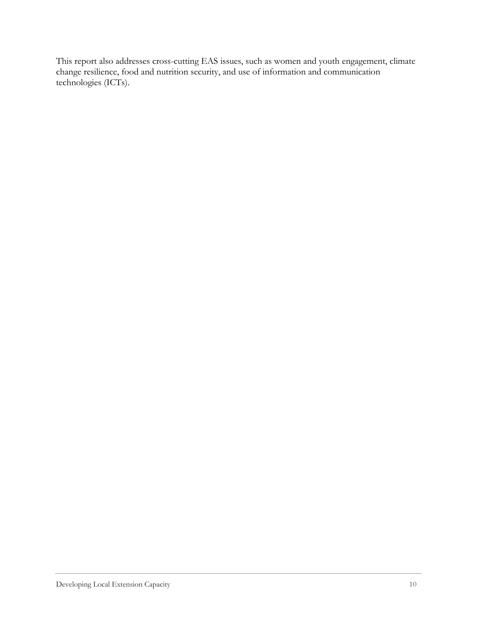This report also addresses cross-cutting EAS issues, such as women and youth engagement, climate change resilience, food and nutrition security, and use of information and communication technologies (ICTs).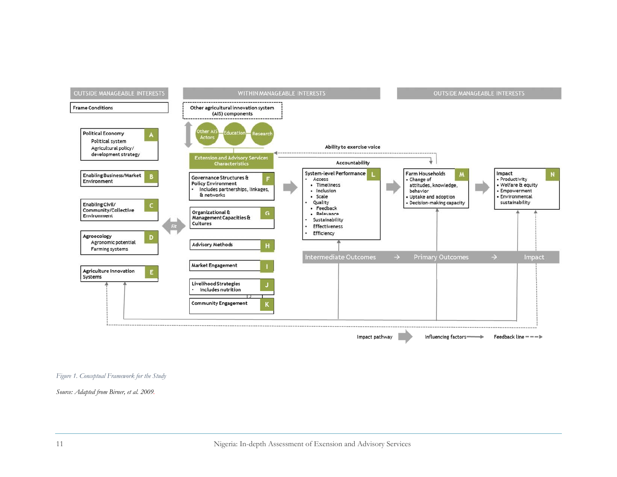

#### *Figure 1. Conceptual Framework for the Study*

*Source: Adapted from Birner, et al. 2009.*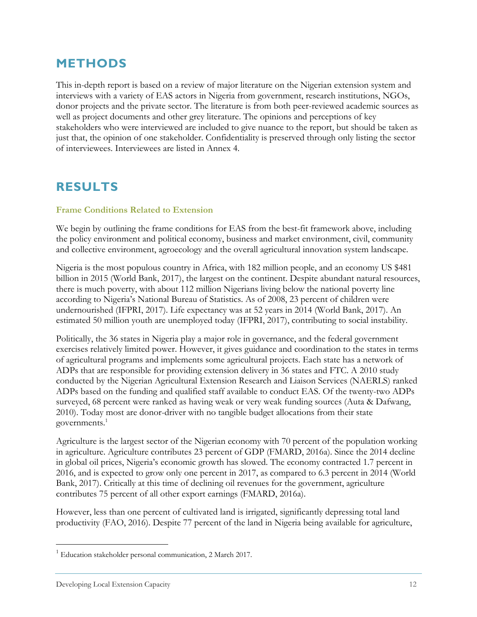### **METHODS**

This in-depth report is based on a review of major literature on the Nigerian extension system and interviews with a variety of EAS actors in Nigeria from government, research institutions, NGOs, donor projects and the private sector. The literature is from both peer-reviewed academic sources as well as project documents and other grey literature. The opinions and perceptions of key stakeholders who were interviewed are included to give nuance to the report, but should be taken as just that, the opinion of one stakeholder. Confidentiality is preserved through only listing the sector of interviewees. Interviewees are listed in Annex 4.

## **RESULTS**

#### **Frame Conditions Related to Extension**

We begin by outlining the frame conditions for EAS from the best-fit framework above, including the policy environment and political economy, business and market environment, civil, community and collective environment, agroecology and the overall agricultural innovation system landscape.

Nigeria is the most populous country in Africa, with 182 million people, and an economy US \$481 billion in 2015 (World Bank, 2017), the largest on the continent. Despite abundant natural resources, there is much poverty, with about 112 million Nigerians living below the national poverty line according to Nigeria's National Bureau of Statistics. As of 2008, 23 percent of children were undernourished (IFPRI, 2017). Life expectancy was at 52 years in 2014 (World Bank, 2017). An estimated 50 million youth are unemployed today (IFPRI, 2017), contributing to social instability.

Politically, the 36 states in Nigeria play a major role in governance, and the federal government exercises relatively limited power. However, it gives guidance and coordination to the states in terms of agricultural programs and implements some agricultural projects. Each state has a network of ADPs that are responsible for providing extension delivery in 36 states and FTC. A 2010 study conducted by the Nigerian Agricultural Extension Research and Liaison Services (NAERLS) ranked ADPs based on the funding and qualified staff available to conduct EAS. Of the twenty-two ADPs surveyed, 68 percent were ranked as having weak or very weak funding sources (Auta & Dafwang, 2010). Today most are donor-driver with no tangible budget allocations from their state governments.<sup>1</sup>

Agriculture is the largest sector of the Nigerian economy with 70 percent of the population working in agriculture. Agriculture contributes 23 percent of GDP (FMARD, 2016a). Since the 2014 decline in global oil prices, Nigeria's economic growth has slowed. The economy contracted 1.7 percent in 2016, and is expected to grow only one percent in 2017, as compared to 6.3 percent in 2014 (World Bank, 2017). Critically at this time of declining oil revenues for the government, agriculture contributes 75 percent of all other export earnings (FMARD, 2016a).

However, less than one percent of cultivated land is irrigated, significantly depressing total land productivity (FAO, 2016). Despite 77 percent of the land in Nigeria being available for agriculture,

<sup>&</sup>lt;sup>1</sup> Education stakeholder personal communication, 2 March 2017.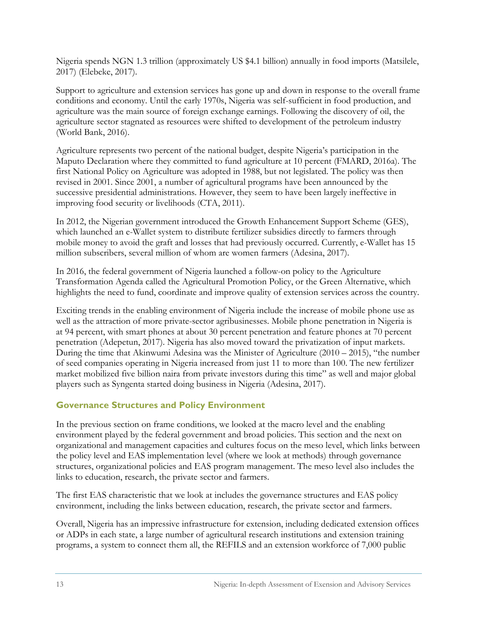Nigeria spends NGN 1.3 trillion (approximately US \$4.1 billion) annually in food imports (Matsilele, 2017) (Elebeke, 2017).

Support to agriculture and extension services has gone up and down in response to the overall frame conditions and economy. Until the early 1970s, Nigeria was self-sufficient in food production, and agriculture was the main source of foreign exchange earnings. Following the discovery of oil, the agriculture sector stagnated as resources were shifted to development of the petroleum industry (World Bank, 2016).

Agriculture represents two percent of the national budget, despite Nigeria's participation in the Maputo Declaration where they committed to fund agriculture at 10 percent (FMARD, 2016a). The first National Policy on Agriculture was adopted in 1988, but not legislated. The policy was then revised in 2001. Since 2001, a number of agricultural programs have been announced by the successive presidential administrations. However, they seem to have been largely ineffective in improving food security or livelihoods (CTA, 2011).

In 2012, the Nigerian government introduced the Growth Enhancement Support Scheme (GES), which launched an e-Wallet system to distribute fertilizer subsidies directly to farmers through mobile money to avoid the graft and losses that had previously occurred. Currently, e-Wallet has 15 million subscribers, several million of whom are women farmers (Adesina, 2017).

In 2016, the federal government of Nigeria launched a follow-on policy to the Agriculture Transformation Agenda called the Agricultural Promotion Policy, or the Green Alternative, which highlights the need to fund, coordinate and improve quality of extension services across the country.

Exciting trends in the enabling environment of Nigeria include the increase of mobile phone use as well as the attraction of more private-sector agribusinesses. Mobile phone penetration in Nigeria is at 94 percent, with smart phones at about 30 percent penetration and feature phones at 70 percent penetration (Adepetun, 2017). Nigeria has also moved toward the privatization of input markets. During the time that Akinwumi Adesina was the Minister of Agriculture  $(2010 - 2015)$ , "the number of seed companies operating in Nigeria increased from just 11 to more than 100. The new fertilizer market mobilized five billion naira from private investors during this time" as well and major global players such as Syngenta started doing business in Nigeria (Adesina, 2017).

#### **Governance Structures and Policy Environment**

In the previous section on frame conditions, we looked at the macro level and the enabling environment played by the federal government and broad policies. This section and the next on organizational and management capacities and cultures focus on the meso level, which links between the policy level and EAS implementation level (where we look at methods) through governance structures, organizational policies and EAS program management. The meso level also includes the links to education, research, the private sector and farmers.

The first EAS characteristic that we look at includes the governance structures and EAS policy environment, including the links between education, research, the private sector and farmers.

Overall, Nigeria has an impressive infrastructure for extension, including dedicated extension offices or ADPs in each state, a large number of agricultural research institutions and extension training programs, a system to connect them all, the REFILS and an extension workforce of 7,000 public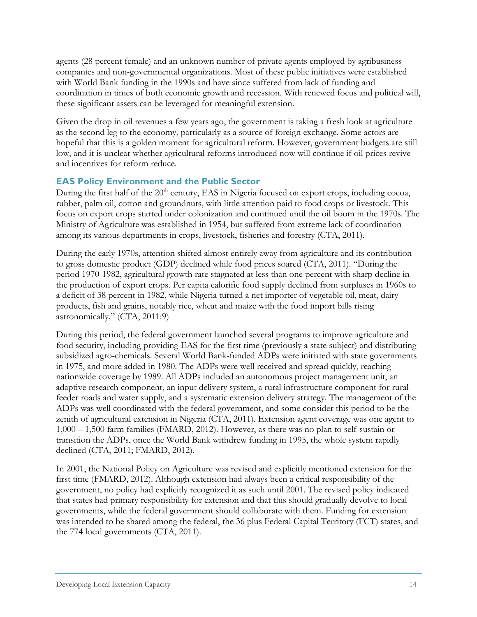agents (28 percent female) and an unknown number of private agents employed by agribusiness companies and non-governmental organizations. Most of these public initiatives were established with World Bank funding in the 1990s and have since suffered from lack of funding and coordination in times of both economic growth and recession. With renewed focus and political will, these significant assets can be leveraged for meaningful extension.

Given the drop in oil revenues a few years ago, the government is taking a fresh look at agriculture as the second leg to the economy, particularly as a source of foreign exchange. Some actors are hopeful that this is a golden moment for agricultural reform. However, government budgets are still low, and it is unclear whether agricultural reforms introduced now will continue if oil prices revive and incentives for reform reduce.

#### **EAS Policy Environment and the Public Sector**

During the first half of the 20<sup>th</sup> century, EAS in Nigeria focused on export crops, including cocoa, rubber, palm oil, cotton and groundnuts, with little attention paid to food crops or livestock. This focus on export crops started under colonization and continued until the oil boom in the 1970s. The Ministry of Agriculture was established in 1954, but suffered from extreme lack of coordination among its various departments in crops, livestock, fisheries and forestry (CTA, 2011).

During the early 1970s, attention shifted almost entirely away from agriculture and its contribution to gross domestic product (GDP) declined while food prices soared (CTA, 2011). "During the period 1970-1982, agricultural growth rate stagnated at less than one percent with sharp decline in the production of export crops. Per capita calorific food supply declined from surpluses in 1960s to a deficit of 38 percent in 1982, while Nigeria turned a net importer of vegetable oil, meat, dairy products, fish and grains, notably rice, wheat and maize with the food import bills rising astronomically." (CTA, 2011:9)

During this period, the federal government launched several programs to improve agriculture and food security, including providing EAS for the first time (previously a state subject) and distributing subsidized agro-chemicals. Several World Bank-funded ADPs were initiated with state governments in 1975, and more added in 1980. The ADPs were well received and spread quickly, reaching nationwide coverage by 1989. All ADPs included an autonomous project management unit, an adaptive research component, an input delivery system, a rural infrastructure component for rural feeder roads and water supply, and a systematic extension delivery strategy. The management of the ADPs was well coordinated with the federal government, and some consider this period to be the zenith of agricultural extension in Nigeria (CTA, 2011). Extension agent coverage was one agent to 1,000 – 1,500 farm families (FMARD, 2012). However, as there was no plan to self-sustain or transition the ADPs, once the World Bank withdrew funding in 1995, the whole system rapidly declined (CTA, 2011; FMARD, 2012).

In 2001, the National Policy on Agriculture was revised and explicitly mentioned extension for the first time (FMARD, 2012). Although extension had always been a critical responsibility of the government, no policy had explicitly recognized it as such until 2001. The revised policy indicated that states had primary responsibility for extension and that this should gradually devolve to local governments, while the federal government should collaborate with them. Funding for extension was intended to be shared among the federal, the 36 plus Federal Capital Territory (FCT) states, and the 774 local governments (CTA, 2011).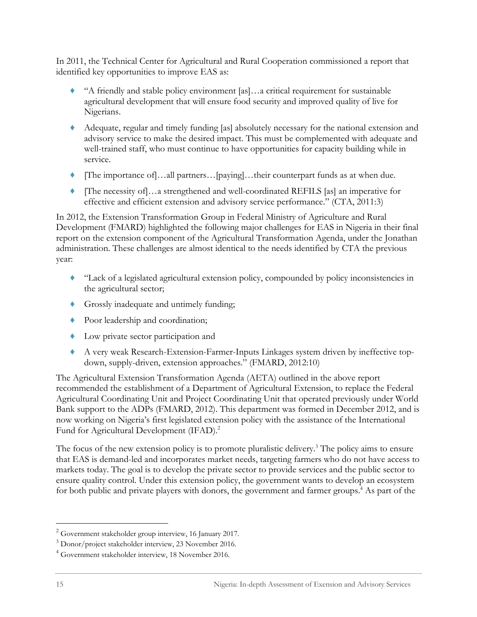In 2011, the Technical Center for Agricultural and Rural Cooperation commissioned a report that identified key opportunities to improve EAS as:

- ♦ "A friendly and stable policy environment [as]…a critical requirement for sustainable agricultural development that will ensure food security and improved quality of live for Nigerians.
- ♦ Adequate, regular and timely funding [as] absolutely necessary for the national extension and advisory service to make the desired impact. This must be complemented with adequate and well-trained staff, who must continue to have opportunities for capacity building while in service.
- [The importance of]…all partners…[paying]…their counterpart funds as at when due.
- ♦ [The necessity of]…a strengthened and well-coordinated REFILS [as] an imperative for effective and efficient extension and advisory service performance." (CTA, 2011:3)

In 2012, the Extension Transformation Group in Federal Ministry of Agriculture and Rural Development (FMARD) highlighted the following major challenges for EAS in Nigeria in their final report on the extension component of the Agricultural Transformation Agenda, under the Jonathan administration. These challenges are almost identical to the needs identified by CTA the previous year:

- ♦ "Lack of a legislated agricultural extension policy, compounded by policy inconsistencies in the agricultural sector;
- ♦ Grossly inadequate and untimely funding;
- ♦ Poor leadership and coordination;
- ♦ Low private sector participation and
- ♦ A very weak Research-Extension-Farmer-Inputs Linkages system driven by ineffective topdown, supply-driven, extension approaches." (FMARD, 2012:10)

The Agricultural Extension Transformation Agenda (AETA) outlined in the above report recommended the establishment of a Department of Agricultural Extension, to replace the Federal Agricultural Coordinating Unit and Project Coordinating Unit that operated previously under World Bank support to the ADPs (FMARD, 2012). This department was formed in December 2012, and is now working on Nigeria's first legislated extension policy with the assistance of the International Fund for Agricultural Development (IFAD).<sup>2</sup>

The focus of the new extension policy is to promote pluralistic delivery.<sup>3</sup> The policy aims to ensure that EAS is demand-led and incorporates market needs, targeting farmers who do not have access to markets today. The goal is to develop the private sector to provide services and the public sector to ensure quality control. Under this extension policy, the government wants to develop an ecosystem for both public and private players with donors, the government and farmer groups.<sup>4</sup> As part of the

<sup>&</sup>lt;sup>2</sup> Government stakeholder group interview, 16 January 2017.

<sup>3</sup> Donor/project stakeholder interview, 23 November 2016.

<sup>4</sup> Government stakeholder interview, 18 November 2016.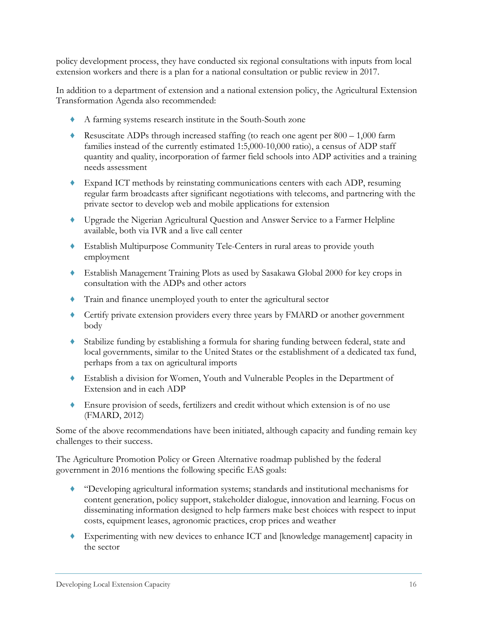policy development process, they have conducted six regional consultations with inputs from local extension workers and there is a plan for a national consultation or public review in 2017.

In addition to a department of extension and a national extension policy, the Agricultural Extension Transformation Agenda also recommended:

- ♦ A farming systems research institute in the South-South zone
- $\blacklozenge$  Resuscitate ADPs through increased staffing (to reach one agent per 800 1,000 farm families instead of the currently estimated 1:5,000-10,000 ratio), a census of ADP staff quantity and quality, incorporation of farmer field schools into ADP activities and a training needs assessment
- ♦ Expand ICT methods by reinstating communications centers with each ADP, resuming regular farm broadcasts after significant negotiations with telecoms, and partnering with the private sector to develop web and mobile applications for extension
- ♦ Upgrade the Nigerian Agricultural Question and Answer Service to a Farmer Helpline available, both via IVR and a live call center
- ♦ Establish Multipurpose Community Tele-Centers in rural areas to provide youth employment
- ♦ Establish Management Training Plots as used by Sasakawa Global 2000 for key crops in consultation with the ADPs and other actors
- ♦ Train and finance unemployed youth to enter the agricultural sector
- ♦ Certify private extension providers every three years by FMARD or another government body
- ♦ Stabilize funding by establishing a formula for sharing funding between federal, state and local governments, similar to the United States or the establishment of a dedicated tax fund, perhaps from a tax on agricultural imports
- ♦ Establish a division for Women, Youth and Vulnerable Peoples in the Department of Extension and in each ADP
- ♦ Ensure provision of seeds, fertilizers and credit without which extension is of no use (FMARD, 2012)

Some of the above recommendations have been initiated, although capacity and funding remain key challenges to their success.

The Agriculture Promotion Policy or Green Alternative roadmap published by the federal government in 2016 mentions the following specific EAS goals:

- ♦ "Developing agricultural information systems; standards and institutional mechanisms for content generation, policy support, stakeholder dialogue, innovation and learning. Focus on disseminating information designed to help farmers make best choices with respect to input costs, equipment leases, agronomic practices, crop prices and weather
- ♦ Experimenting with new devices to enhance ICT and [knowledge management] capacity in the sector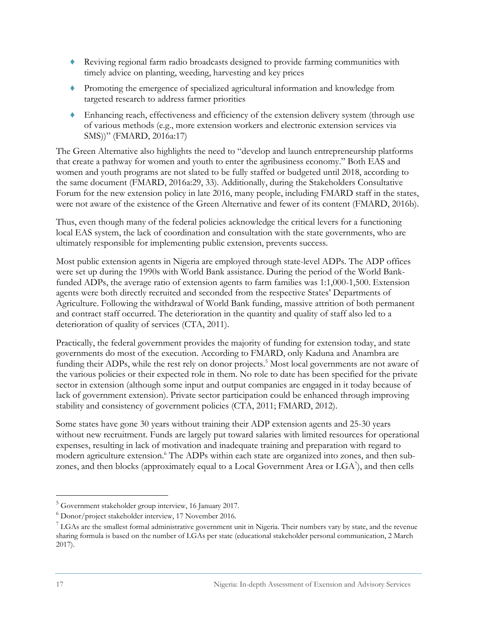- ♦ Reviving regional farm radio broadcasts designed to provide farming communities with timely advice on planting, weeding, harvesting and key prices
- ♦ Promoting the emergence of specialized agricultural information and knowledge from targeted research to address farmer priorities
- ♦ Enhancing reach, effectiveness and efficiency of the extension delivery system (through use of various methods (e.g., more extension workers and electronic extension services via SMS))" (FMARD, 2016a:17)

The Green Alternative also highlights the need to "develop and launch entrepreneurship platforms that create a pathway for women and youth to enter the agribusiness economy." Both EAS and women and youth programs are not slated to be fully staffed or budgeted until 2018, according to the same document (FMARD, 2016a:29, 33). Additionally, during the Stakeholders Consultative Forum for the new extension policy in late 2016, many people, including FMARD staff in the states, were not aware of the existence of the Green Alternative and fewer of its content (FMARD, 2016b).

Thus, even though many of the federal policies acknowledge the critical levers for a functioning local EAS system, the lack of coordination and consultation with the state governments, who are ultimately responsible for implementing public extension, prevents success.

Most public extension agents in Nigeria are employed through state-level ADPs. The ADP offices were set up during the 1990s with World Bank assistance. During the period of the World Bankfunded ADPs, the average ratio of extension agents to farm families was 1:1,000-1,500. Extension agents were both directly recruited and seconded from the respective States' Departments of Agriculture. Following the withdrawal of World Bank funding, massive attrition of both permanent and contract staff occurred. The deterioration in the quantity and quality of staff also led to a deterioration of quality of services (CTA, 2011).

Practically, the federal government provides the majority of funding for extension today, and state governments do most of the execution. According to FMARD, only Kaduna and Anambra are funding their ADPs, while the rest rely on donor projects.<sup>5</sup> Most local governments are not aware of the various policies or their expected role in them. No role to date has been specified for the private sector in extension (although some input and output companies are engaged in it today because of lack of government extension). Private sector participation could be enhanced through improving stability and consistency of government policies (CTA, 2011; FMARD, 2012).

Some states have gone 30 years without training their ADP extension agents and 25-30 years without new recruitment. Funds are largely put toward salaries with limited resources for operational expenses, resulting in lack of motivation and inadequate training and preparation with regard to modern agriculture extension.<sup>6</sup> The ADPs within each state are organized into zones, and then subzones, and then blocks (approximately equal to a Local Government Area or  $\text{LGA}^{\gamma}$ ), and then cells

 5 Government stakeholder group interview, 16 January 2017.

<sup>6</sup> Donor/project stakeholder interview, 17 November 2016.

 $7$  LGAs are the smallest formal administrative government unit in Nigeria. Their numbers vary by state, and the revenue sharing formula is based on the number of LGAs per state (educational stakeholder personal communication, 2 March 2017).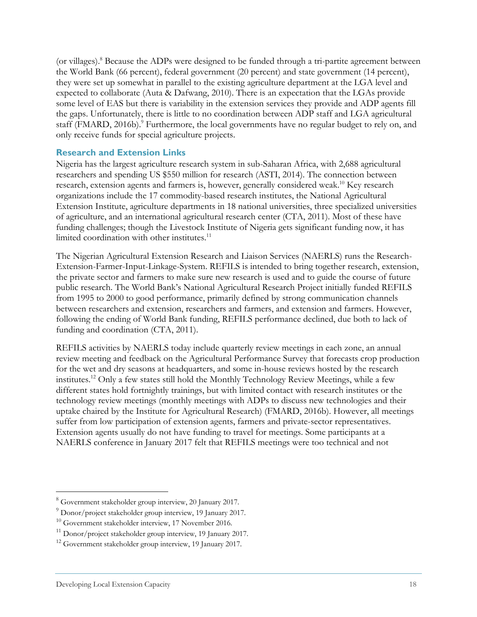(or villages).<sup>8</sup> Because the ADPs were designed to be funded through a tri-partite agreement between the World Bank (66 percent), federal government (20 percent) and state government (14 percent), they were set up somewhat in parallel to the existing agriculture department at the LGA level and expected to collaborate (Auta & Dafwang, 2010). There is an expectation that the LGAs provide some level of EAS but there is variability in the extension services they provide and ADP agents fill the gaps. Unfortunately, there is little to no coordination between ADP staff and LGA agricultural staff (FMARD, 2016b).<sup>9</sup> Furthermore, the local governments have no regular budget to rely on, and only receive funds for special agriculture projects.

#### **Research and Extension Links**

Nigeria has the largest agriculture research system in sub-Saharan Africa, with 2,688 agricultural researchers and spending US \$550 million for research (ASTI, 2014). The connection between research, extension agents and farmers is, however, generally considered weak.<sup>10</sup> Key research organizations include the 17 commodity-based research institutes, the National Agricultural Extension Institute, agriculture departments in 18 national universities, three specialized universities of agriculture, and an international agricultural research center (CTA, 2011). Most of these have funding challenges; though the Livestock Institute of Nigeria gets significant funding now, it has limited coordination with other institutes.<sup>11</sup>

The Nigerian Agricultural Extension Research and Liaison Services (NAERLS) runs the Research-Extension-Farmer-Input-Linkage-System. REFILS is intended to bring together research, extension, the private sector and farmers to make sure new research is used and to guide the course of future public research. The World Bank's National Agricultural Research Project initially funded REFILS from 1995 to 2000 to good performance, primarily defined by strong communication channels between researchers and extension, researchers and farmers, and extension and farmers. However, following the ending of World Bank funding, REFILS performance declined, due both to lack of funding and coordination (CTA, 2011).

REFILS activities by NAERLS today include quarterly review meetings in each zone, an annual review meeting and feedback on the Agricultural Performance Survey that forecasts crop production for the wet and dry seasons at headquarters, and some in-house reviews hosted by the research institutes.12 Only a few states still hold the Monthly Technology Review Meetings, while a few different states hold fortnightly trainings, but with limited contact with research institutes or the technology review meetings (monthly meetings with ADPs to discuss new technologies and their uptake chaired by the Institute for Agricultural Research) (FMARD, 2016b). However, all meetings suffer from low participation of extension agents, farmers and private-sector representatives. Extension agents usually do not have funding to travel for meetings. Some participants at a NAERLS conference in January 2017 felt that REFILS meetings were too technical and not

 8 Government stakeholder group interview, 20 January 2017.

<sup>&</sup>lt;sup>9</sup> Donor/project stakeholder group interview, 19 January 2017.

<sup>&</sup>lt;sup>10</sup> Government stakeholder interview, 17 November 2016.<br><sup>11</sup> Donor/project stakeholder group interview, 19 January 2017.<br><sup>12</sup> Government stakeholder group interview, 19 January 2017.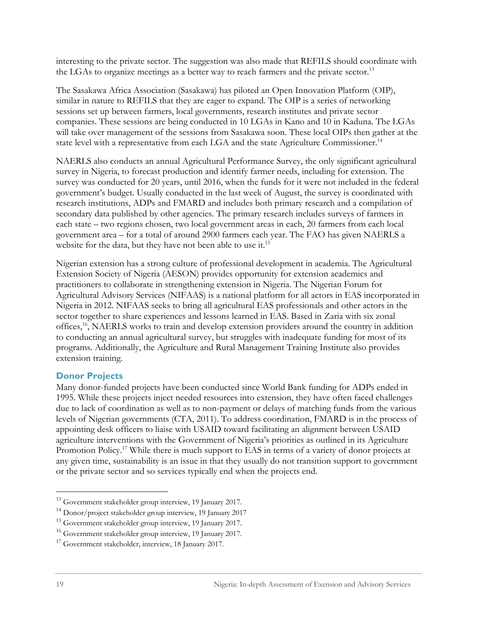interesting to the private sector. The suggestion was also made that REFILS should coordinate with the LGAs to organize meetings as a better way to reach farmers and the private sector.<sup>13</sup>

The Sasakawa Africa Association (Sasakawa) has piloted an Open Innovation Platform (OIP), similar in nature to REFILS that they are eager to expand. The OIP is a series of networking sessions set up between farmers, local governments, research institutes and private sector companies. These sessions are being conducted in 10 LGAs in Kano and 10 in Kaduna. The LGAs will take over management of the sessions from Sasakawa soon. These local OIPs then gather at the state level with a representative from each LGA and the state Agriculture Commissioner.<sup>14</sup>

NAERLS also conducts an annual Agricultural Performance Survey, the only significant agricultural survey in Nigeria, to forecast production and identify farmer needs, including for extension. The survey was conducted for 20 years, until 2016, when the funds for it were not included in the federal government's budget. Usually conducted in the last week of August, the survey is coordinated with research institutions, ADPs and FMARD and includes both primary research and a compilation of secondary data published by other agencies. The primary research includes surveys of farmers in each state – two regions chosen, two local government areas in each, 20 farmers from each local government area – for a total of around 2900 farmers each year. The FAO has given NAERLS a website for the data, but they have not been able to use it.<sup>15</sup>

Nigerian extension has a strong culture of professional development in academia. The Agricultural Extension Society of Nigeria (AESON) provides opportunity for extension academics and practitioners to collaborate in strengthening extension in Nigeria. The Nigerian Forum for Agricultural Advisory Services (NIFAAS) is a national platform for all actors in EAS incorporated in Nigeria in 2012. NIFAAS seeks to bring all agricultural EAS professionals and other actors in the sector together to share experiences and lessons learned in EAS. Based in Zaria with six zonal offices,16, NAERLS works to train and develop extension providers around the country in addition to conducting an annual agricultural survey, but struggles with inadequate funding for most of its programs. Additionally, the Agriculture and Rural Management Training Institute also provides extension training.

#### **Donor Projects**

Many donor-funded projects have been conducted since World Bank funding for ADPs ended in 1995. While these projects inject needed resources into extension, they have often faced challenges due to lack of coordination as well as to non-payment or delays of matching funds from the various levels of Nigerian governments (CTA, 2011). To address coordination, FMARD is in the process of appointing desk officers to liaise with USAID toward facilitating an alignment between USAID agriculture interventions with the Government of Nigeria's priorities as outlined in its Agriculture Promotion Policy.<sup>17</sup> While there is much support to EAS in terms of a variety of donor projects at any given time, sustainability is an issue in that they usually do not transition support to government or the private sector and so services typically end when the projects end.

<sup>13</sup> Government stakeholder group interview, 19 January 2017.

<sup>14</sup> Donor/project stakeholder group interview, 19 January 2017

<sup>&</sup>lt;sup>15</sup> Government stakeholder group interview, 19 January 2017.

<sup>16</sup> Government stakeholder group interview, 19 January 2017.

<sup>&</sup>lt;sup>17</sup> Government stakeholder, interview, 18 January 2017.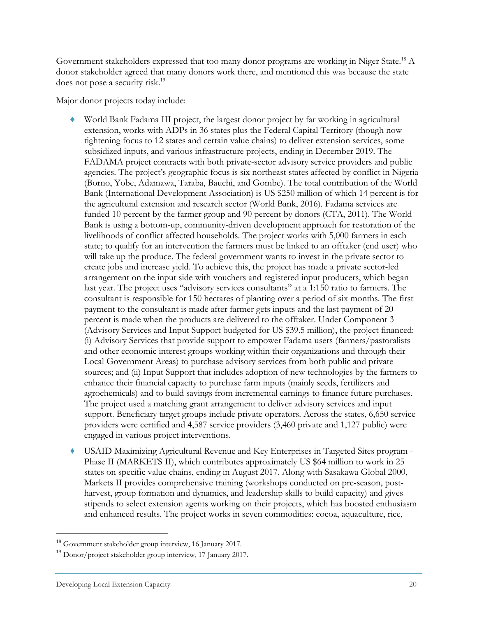Government stakeholders expressed that too many donor programs are working in Niger State.18 A donor stakeholder agreed that many donors work there, and mentioned this was because the state does not pose a security risk.<sup>19</sup>

Major donor projects today include:

- World Bank Fadama III project, the largest donor project by far working in agricultural extension, works with ADPs in 36 states plus the Federal Capital Territory (though now tightening focus to 12 states and certain value chains) to deliver extension services, some subsidized inputs, and various infrastructure projects, ending in December 2019. The FADAMA project contracts with both private-sector advisory service providers and public agencies. The project's geographic focus is six northeast states affected by conflict in Nigeria (Borno, Yobe, Adamawa, Taraba, Bauchi, and Gombe). The total contribution of the World Bank (International Development Association) is US \$250 million of which 14 percent is for the agricultural extension and research sector (World Bank, 2016). Fadama services are funded 10 percent by the farmer group and 90 percent by donors (CTA, 2011). The World Bank is using a bottom-up, community-driven development approach for restoration of the livelihoods of conflict affected households. The project works with 5,000 farmers in each state; to qualify for an intervention the farmers must be linked to an offtaker (end user) who will take up the produce. The federal government wants to invest in the private sector to create jobs and increase yield. To achieve this, the project has made a private sector-led arrangement on the input side with vouchers and registered input producers, which began last year. The project uses "advisory services consultants" at a 1:150 ratio to farmers. The consultant is responsible for 150 hectares of planting over a period of six months. The first payment to the consultant is made after farmer gets inputs and the last payment of 20 percent is made when the products are delivered to the offtaker. Under Component 3 (Advisory Services and Input Support budgeted for US \$39.5 million), the project financed: (i) Advisory Services that provide support to empower Fadama users (farmers/pastoralists and other economic interest groups working within their organizations and through their Local Government Areas) to purchase advisory services from both public and private sources; and (ii) Input Support that includes adoption of new technologies by the farmers to enhance their financial capacity to purchase farm inputs (mainly seeds, fertilizers and agrochemicals) and to build savings from incremental earnings to finance future purchases. The project used a matching grant arrangement to deliver advisory services and input support. Beneficiary target groups include private operators. Across the states, 6,650 service providers were certified and 4,587 service providers (3,460 private and 1,127 public) were engaged in various project interventions.
- USAID Maximizing Agricultural Revenue and Key Enterprises in Targeted Sites program -Phase II (MARKETS II), which contributes approximately US \$64 million to work in 25 states on specific value chains, ending in August 2017. Along with Sasakawa Global 2000, Markets II provides comprehensive training (workshops conducted on pre-season, postharvest, group formation and dynamics, and leadership skills to build capacity) and gives stipends to select extension agents working on their projects, which has boosted enthusiasm and enhanced results. The project works in seven commodities: cocoa, aquaculture, rice,

 $18$  Government stakeholder group interview, 16 January 2017.

 $19$  Donor/project stakeholder group interview, 17 January 2017.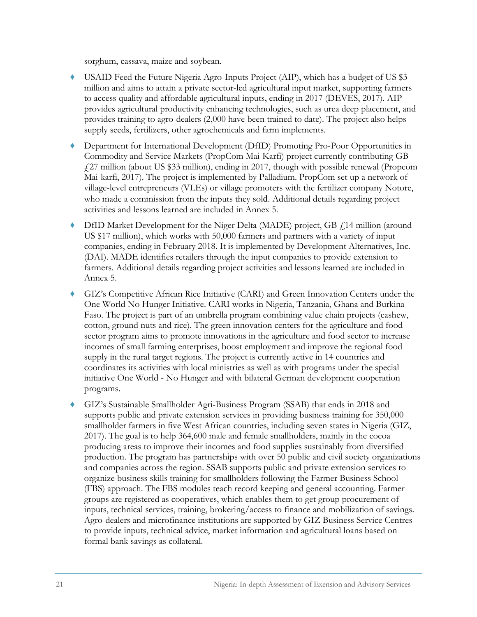sorghum, cassava, maize and soybean.

- ♦ USAID Feed the Future Nigeria Agro-Inputs Project (AIP), which has a budget of US \$3 million and aims to attain a private sector-led agricultural input market, supporting farmers to access quality and affordable agricultural inputs, ending in 2017 (DEVES, 2017). AIP provides agricultural productivity enhancing technologies, such as urea deep placement, and provides training to agro-dealers (2,000 have been trained to date). The project also helps supply seeds, fertilizers, other agrochemicals and farm implements.
- Department for International Development (DfID) Promoting Pro-Poor Opportunities in Commodity and Service Markets (PropCom Mai-Karfi) project currently contributing GB £27 million (about US \$33 million), ending in 2017, though with possible renewal (Propcom Mai-karfi, 2017). The project is implemented by Palladium. PropCom set up a network of village-level entrepreneurs (VLEs) or village promoters with the fertilizer company Notore, who made a commission from the inputs they sold. Additional details regarding project activities and lessons learned are included in Annex 5.
- $DfID$  Market Development for the Niger Delta (MADE) project, GB  $\ddot{\rm f}$  14 million (around US \$17 million), which works with 50,000 farmers and partners with a variety of input companies, ending in February 2018. It is implemented by Development Alternatives, Inc. (DAI). MADE identifies retailers through the input companies to provide extension to farmers. Additional details regarding project activities and lessons learned are included in Annex 5.
- GIZ's Competitive African Rice Initiative (CARI) and Green Innovation Centers under the One World No Hunger Initiative. CARI works in Nigeria, Tanzania, Ghana and Burkina Faso. The project is part of an umbrella program combining value chain projects (cashew, cotton, ground nuts and rice). The green innovation centers for the agriculture and food sector program aims to promote innovations in the agriculture and food sector to increase incomes of small farming enterprises, boost employment and improve the regional food supply in the rural target regions. The project is currently active in 14 countries and coordinates its activities with local ministries as well as with programs under the special initiative One World - No Hunger and with bilateral German development cooperation programs.
- ♦ GIZ's Sustainable Smallholder Agri-Business Program (SSAB) that ends in 2018 and supports public and private extension services in providing business training for 350,000 smallholder farmers in five West African countries, including seven states in Nigeria (GIZ, 2017). The goal is to help 364,600 male and female smallholders, mainly in the cocoa producing areas to improve their incomes and food supplies sustainably from diversified production. The program has partnerships with over 50 public and civil society organizations and companies across the region. SSAB supports public and private extension services to organize business skills training for smallholders following the Farmer Business School (FBS) approach. The FBS modules teach record keeping and general accounting. Farmer groups are registered as cooperatives, which enables them to get group procurement of inputs, technical services, training, brokering/access to finance and mobilization of savings. Agro-dealers and microfinance institutions are supported by GIZ Business Service Centres to provide inputs, technical advice, market information and agricultural loans based on formal bank savings as collateral.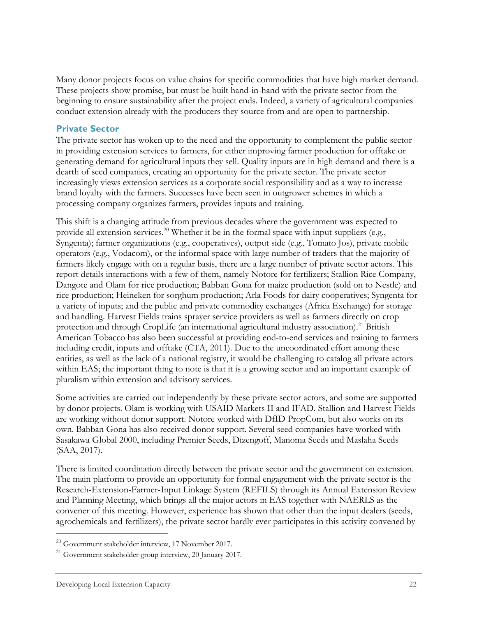Many donor projects focus on value chains for specific commodities that have high market demand. These projects show promise, but must be built hand-in-hand with the private sector from the beginning to ensure sustainability after the project ends. Indeed, a variety of agricultural companies conduct extension already with the producers they source from and are open to partnership.

#### **Private Sector**

The private sector has woken up to the need and the opportunity to complement the public sector in providing extension services to farmers, for either improving farmer production for offtake or generating demand for agricultural inputs they sell. Quality inputs are in high demand and there is a dearth of seed companies, creating an opportunity for the private sector. The private sector increasingly views extension services as a corporate social responsibility and as a way to increase brand loyalty with the farmers. Successes have been seen in outgrower schemes in which a processing company organizes farmers, provides inputs and training.

This shift is a changing attitude from previous decades where the government was expected to provide all extension services.<sup>20</sup> Whether it be in the formal space with input suppliers (e.g., Syngenta); farmer organizations (e.g., cooperatives), output side (e.g., Tomato Jos), private mobile operators (e.g., Vodacom), or the informal space with large number of traders that the majority of farmers likely engage with on a regular basis, there are a large number of private sector actors. This report details interactions with a few of them, namely Notore for fertilizers; Stallion Rice Company, Dangote and Olam for rice production; Babban Gona for maize production (sold on to Nestle) and rice production; Heineken for sorghum production; Arla Foods for dairy cooperatives; Syngenta for a variety of inputs; and the public and private commodity exchanges (Africa Exchange) for storage and handling. Harvest Fields trains sprayer service providers as well as farmers directly on crop protection and through CropLife (an international agricultural industry association).<sup>21</sup> British American Tobacco has also been successful at providing end-to-end services and training to farmers including credit, inputs and offtake (CTA, 2011). Due to the uncoordinated effort among these entities, as well as the lack of a national registry, it would be challenging to catalog all private actors within EAS; the important thing to note is that it is a growing sector and an important example of pluralism within extension and advisory services.

Some activities are carried out independently by these private sector actors, and some are supported by donor projects. Olam is working with USAID Markets II and IFAD. Stallion and Harvest Fields are working without donor support. Notore worked with DfID PropCom, but also works on its own. Babban Gona has also received donor support. Several seed companies have worked with Sasakawa Global 2000, including Premier Seeds, Dizengoff, Manoma Seeds and Maslaha Seeds (SAA, 2017).

There is limited coordination directly between the private sector and the government on extension. The main platform to provide an opportunity for formal engagement with the private sector is the Research-Extension-Farmer-Input Linkage System (REFILS) through its Annual Extension Review and Planning Meeting, which brings all the major actors in EAS together with NAERLS as the convener of this meeting. However, experience has shown that other than the input dealers (seeds, agrochemicals and fertilizers), the private sector hardly ever participates in this activity convened by

 $^{20}$  Government stakeholder interview, 17 November 2017.<br><sup>21</sup> Government stakeholder group interview, 20 January 2017.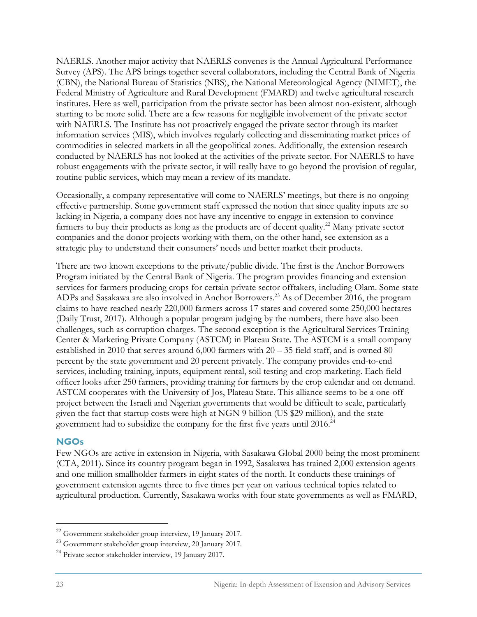NAERLS. Another major activity that NAERLS convenes is the Annual Agricultural Performance Survey (APS). The APS brings together several collaborators, including the Central Bank of Nigeria (CBN), the National Bureau of Statistics (NBS), the National Meteorological Agency (NIMET), the Federal Ministry of Agriculture and Rural Development (FMARD) and twelve agricultural research institutes. Here as well, participation from the private sector has been almost non-existent, although starting to be more solid. There are a few reasons for negligible involvement of the private sector with NAERLS. The Institute has not proactively engaged the private sector through its market information services (MIS), which involves regularly collecting and disseminating market prices of commodities in selected markets in all the geopolitical zones. Additionally, the extension research conducted by NAERLS has not looked at the activities of the private sector. For NAERLS to have robust engagements with the private sector, it will really have to go beyond the provision of regular, routine public services, which may mean a review of its mandate.

Occasionally, a company representative will come to NAERLS' meetings, but there is no ongoing effective partnership. Some government staff expressed the notion that since quality inputs are so lacking in Nigeria, a company does not have any incentive to engage in extension to convince farmers to buy their products as long as the products are of decent quality.<sup>22</sup> Many private sector companies and the donor projects working with them, on the other hand, see extension as a strategic play to understand their consumers' needs and better market their products.

There are two known exceptions to the private/public divide. The first is the Anchor Borrowers Program initiated by the Central Bank of Nigeria. The program provides financing and extension services for farmers producing crops for certain private sector offtakers, including Olam. Some state ADPs and Sasakawa are also involved in Anchor Borrowers.23 As of December 2016, the program claims to have reached nearly 220,000 farmers across 17 states and covered some 250,000 hectares (Daily Trust, 2017). Although a popular program judging by the numbers, there have also been challenges, such as corruption charges. The second exception is the Agricultural Services Training Center & Marketing Private Company (ASTCM) in Plateau State. The ASTCM is a small company established in 2010 that serves around 6,000 farmers with 20 – 35 field staff, and is owned 80 percent by the state government and 20 percent privately. The company provides end-to-end services, including training, inputs, equipment rental, soil testing and crop marketing. Each field officer looks after 250 farmers, providing training for farmers by the crop calendar and on demand. ASTCM cooperates with the University of Jos, Plateau State. This alliance seems to be a one-off project between the Israeli and Nigerian governments that would be difficult to scale, particularly given the fact that startup costs were high at NGN 9 billion (US \$29 million), and the state government had to subsidize the company for the first five years until 2016.<sup>24</sup>

#### **NGOs**

Few NGOs are active in extension in Nigeria, with Sasakawa Global 2000 being the most prominent (CTA, 2011). Since its country program began in 1992, Sasakawa has trained 2,000 extension agents and one million smallholder farmers in eight states of the north. It conducts these trainings of government extension agents three to five times per year on various technical topics related to agricultural production. Currently, Sasakawa works with four state governments as well as FMARD,

<sup>22</sup> Government stakeholder group interview, 19 January 2017.

<sup>23</sup> Government stakeholder group interview, 20 January 2017.

<sup>&</sup>lt;sup>24</sup> Private sector stakeholder interview, 19 January 2017.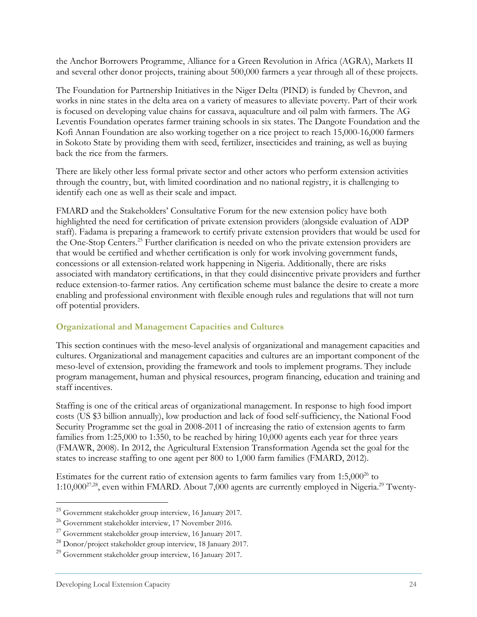the Anchor Borrowers Programme, Alliance for a Green Revolution in Africa (AGRA), Markets II and several other donor projects, training about 500,000 farmers a year through all of these projects.

The Foundation for Partnership Initiatives in the Niger Delta (PIND) is funded by Chevron, and works in nine states in the delta area on a variety of measures to alleviate poverty. Part of their work is focused on developing value chains for cassava, aquaculture and oil palm with farmers. The AG Leventis Foundation operates farmer training schools in six states. The Dangote Foundation and the Kofi Annan Foundation are also working together on a rice project to reach 15,000-16,000 farmers in Sokoto State by providing them with seed, fertilizer, insecticides and training, as well as buying back the rice from the farmers.

There are likely other less formal private sector and other actors who perform extension activities through the country, but, with limited coordination and no national registry, it is challenging to identify each one as well as their scale and impact.

FMARD and the Stakeholders' Consultative Forum for the new extension policy have both highlighted the need for certification of private extension providers (alongside evaluation of ADP staff). Fadama is preparing a framework to certify private extension providers that would be used for the One-Stop Centers.25 Further clarification is needed on who the private extension providers are that would be certified and whether certification is only for work involving government funds, concessions or all extension-related work happening in Nigeria. Additionally, there are risks associated with mandatory certifications, in that they could disincentive private providers and further reduce extension-to-farmer ratios. Any certification scheme must balance the desire to create a more enabling and professional environment with flexible enough rules and regulations that will not turn off potential providers.

#### **Organizational and Management Capacities and Cultures**

This section continues with the meso-level analysis of organizational and management capacities and cultures. Organizational and management capacities and cultures are an important component of the meso-level of extension, providing the framework and tools to implement programs. They include program management, human and physical resources, program financing, education and training and staff incentives.

Staffing is one of the critical areas of organizational management. In response to high food import costs (US \$3 billion annually), low production and lack of food self-sufficiency, the National Food Security Programme set the goal in 2008-2011 of increasing the ratio of extension agents to farm families from 1:25,000 to 1:350, to be reached by hiring 10,000 agents each year for three years (FMAWR, 2008). In 2012, the Agricultural Extension Transformation Agenda set the goal for the states to increase staffing to one agent per 800 to 1,000 farm families (FMARD, 2012).

Estimates for the current ratio of extension agents to farm families vary from  $1:5,000^{26}$  to 1:10,00027,28, even within FMARD. About 7,000 agents are currently employed in Nigeria.29 Twenty-

 $^{25}$  Government stakeholder group interview, 16 January 2017.

<sup>26</sup> Government stakeholder interview, 17 November 2016.

 $27$  Government stakeholder group interview, 16 January 2017.

<sup>28</sup> Donor/project stakeholder group interview, 18 January 2017.

<sup>29</sup> Government stakeholder group interview, 16 January 2017.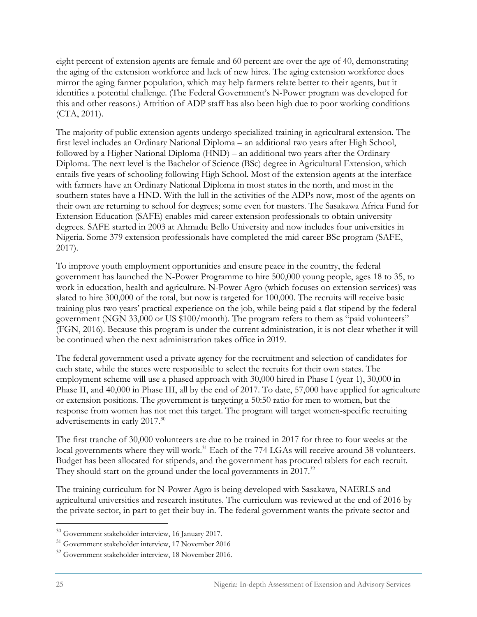eight percent of extension agents are female and 60 percent are over the age of 40, demonstrating the aging of the extension workforce and lack of new hires. The aging extension workforce does mirror the aging farmer population, which may help farmers relate better to their agents, but it identifies a potential challenge. (The Federal Government's N-Power program was developed for this and other reasons.) Attrition of ADP staff has also been high due to poor working conditions (CTA, 2011).

The majority of public extension agents undergo specialized training in agricultural extension. The first level includes an Ordinary National Diploma – an additional two years after High School, followed by a Higher National Diploma (HND) – an additional two years after the Ordinary Diploma. The next level is the Bachelor of Science (BSc) degree in Agricultural Extension, which entails five years of schooling following High School. Most of the extension agents at the interface with farmers have an Ordinary National Diploma in most states in the north, and most in the southern states have a HND. With the lull in the activities of the ADPs now, most of the agents on their own are returning to school for degrees; some even for masters. The Sasakawa Africa Fund for Extension Education (SAFE) enables mid-career extension professionals to obtain university degrees. SAFE started in 2003 at Ahmadu Bello University and now includes four universities in Nigeria. Some 379 extension professionals have completed the mid-career BSc program (SAFE, 2017).

To improve youth employment opportunities and ensure peace in the country, the federal government has launched the N-Power Programme to hire 500,000 young people, ages 18 to 35, to work in education, health and agriculture. N-Power Agro (which focuses on extension services) was slated to hire 300,000 of the total, but now is targeted for 100,000. The recruits will receive basic training plus two years' practical experience on the job, while being paid a flat stipend by the federal government (NGN 33,000 or US \$100/month). The program refers to them as "paid volunteers" (FGN, 2016). Because this program is under the current administration, it is not clear whether it will be continued when the next administration takes office in 2019.

The federal government used a private agency for the recruitment and selection of candidates for each state, while the states were responsible to select the recruits for their own states. The employment scheme will use a phased approach with 30,000 hired in Phase I (year 1), 30,000 in Phase II, and 40,000 in Phase III, all by the end of 2017. To date, 57,000 have applied for agriculture or extension positions. The government is targeting a 50:50 ratio for men to women, but the response from women has not met this target. The program will target women-specific recruiting advertisements in early 2017.30

The first tranche of 30,000 volunteers are due to be trained in 2017 for three to four weeks at the local governments where they will work.<sup>31</sup> Each of the 774 LGAs will receive around 38 volunteers. Budget has been allocated for stipends, and the government has procured tablets for each recruit. They should start on the ground under the local governments in 2017.<sup>32</sup>

The training curriculum for N-Power Agro is being developed with Sasakawa, NAERLS and agricultural universities and research institutes. The curriculum was reviewed at the end of 2016 by the private sector, in part to get their buy-in. The federal government wants the private sector and

<sup>30</sup> Government stakeholder interview, 16 January 2017.

<sup>31</sup> Government stakeholder interview, 17 November 2016

<sup>32</sup> Government stakeholder interview, 18 November 2016.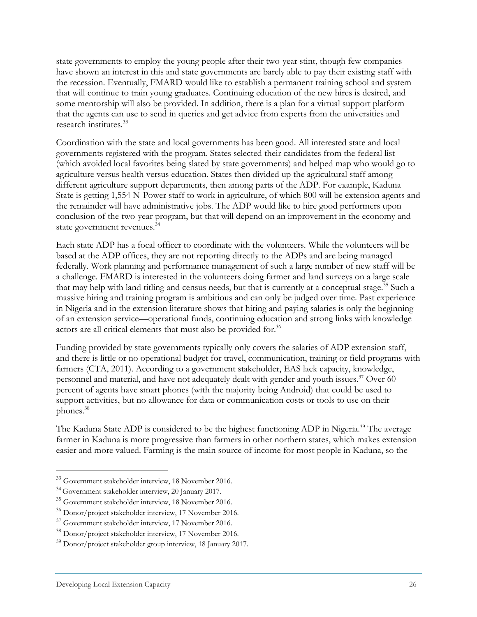state governments to employ the young people after their two-year stint, though few companies have shown an interest in this and state governments are barely able to pay their existing staff with the recession. Eventually, FMARD would like to establish a permanent training school and system that will continue to train young graduates. Continuing education of the new hires is desired, and some mentorship will also be provided. In addition, there is a plan for a virtual support platform that the agents can use to send in queries and get advice from experts from the universities and research institutes.33

Coordination with the state and local governments has been good. All interested state and local governments registered with the program. States selected their candidates from the federal list (which avoided local favorites being slated by state governments) and helped map who would go to agriculture versus health versus education. States then divided up the agricultural staff among different agriculture support departments, then among parts of the ADP. For example, Kaduna State is getting 1,554 N-Power staff to work in agriculture, of which 800 will be extension agents and the remainder will have administrative jobs. The ADP would like to hire good performers upon conclusion of the two-year program, but that will depend on an improvement in the economy and state government revenues.<sup>34</sup>

Each state ADP has a focal officer to coordinate with the volunteers. While the volunteers will be based at the ADP offices, they are not reporting directly to the ADPs and are being managed federally. Work planning and performance management of such a large number of new staff will be a challenge. FMARD is interested in the volunteers doing farmer and land surveys on a large scale that may help with land titling and census needs, but that is currently at a conceptual stage.<sup>35</sup> Such a massive hiring and training program is ambitious and can only be judged over time. Past experience in Nigeria and in the extension literature shows that hiring and paying salaries is only the beginning of an extension service—operational funds, continuing education and strong links with knowledge actors are all critical elements that must also be provided for.<sup>36</sup>

Funding provided by state governments typically only covers the salaries of ADP extension staff, and there is little or no operational budget for travel, communication, training or field programs with farmers (CTA, 2011). According to a government stakeholder, EAS lack capacity, knowledge, personnel and material, and have not adequately dealt with gender and youth issues.<sup>37</sup> Over 60 percent of agents have smart phones (with the majority being Android) that could be used to support activities, but no allowance for data or communication costs or tools to use on their phones.38

The Kaduna State ADP is considered to be the highest functioning ADP in Nigeria.<sup>39</sup> The average farmer in Kaduna is more progressive than farmers in other northern states, which makes extension easier and more valued. Farming is the main source of income for most people in Kaduna, so the

<sup>&</sup>lt;sup>33</sup> Government stakeholder interview, 18 November 2016.

<sup>34</sup> Government stakeholder interview, 20 January 2017.

<sup>35</sup> Government stakeholder interview, 18 November 2016.

<sup>36</sup> Donor/project stakeholder interview, 17 November 2016.

<sup>37</sup> Government stakeholder interview, 17 November 2016.

<sup>38</sup> Donor/project stakeholder interview, 17 November 2016.

<sup>39</sup> Donor/project stakeholder group interview, 18 January 2017.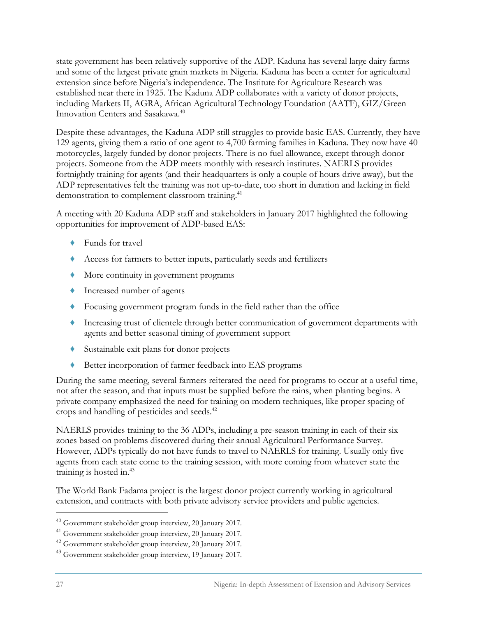state government has been relatively supportive of the ADP. Kaduna has several large dairy farms and some of the largest private grain markets in Nigeria. Kaduna has been a center for agricultural extension since before Nigeria's independence. The Institute for Agriculture Research was established near there in 1925. The Kaduna ADP collaborates with a variety of donor projects, including Markets II, AGRA, African Agricultural Technology Foundation (AATF), GIZ/Green Innovation Centers and Sasakawa.<sup>40</sup>

Despite these advantages, the Kaduna ADP still struggles to provide basic EAS. Currently, they have 129 agents, giving them a ratio of one agent to 4,700 farming families in Kaduna. They now have 40 motorcycles, largely funded by donor projects. There is no fuel allowance, except through donor projects. Someone from the ADP meets monthly with research institutes. NAERLS provides fortnightly training for agents (and their headquarters is only a couple of hours drive away), but the ADP representatives felt the training was not up-to-date, too short in duration and lacking in field demonstration to complement classroom training.<sup>41</sup>

A meeting with 20 Kaduna ADP staff and stakeholders in January 2017 highlighted the following opportunities for improvement of ADP-based EAS:

- ♦ Funds for travel
- ♦ Access for farmers to better inputs, particularly seeds and fertilizers
- ♦ More continuity in government programs
- ♦ Increased number of agents
- ♦ Focusing government program funds in the field rather than the office
- ♦ Increasing trust of clientele through better communication of government departments with agents and better seasonal timing of government support
- ♦ Sustainable exit plans for donor projects
- ♦ Better incorporation of farmer feedback into EAS programs

During the same meeting, several farmers reiterated the need for programs to occur at a useful time, not after the season, and that inputs must be supplied before the rains, when planting begins. A private company emphasized the need for training on modern techniques, like proper spacing of crops and handling of pesticides and seeds.42

NAERLS provides training to the 36 ADPs, including a pre-season training in each of their six zones based on problems discovered during their annual Agricultural Performance Survey. However, ADPs typically do not have funds to travel to NAERLS for training. Usually only five agents from each state come to the training session, with more coming from whatever state the training is hosted in.<sup>43</sup>

The World Bank Fadama project is the largest donor project currently working in agricultural extension, and contracts with both private advisory service providers and public agencies.

<sup>40</sup> Government stakeholder group interview, 20 January 2017.

<sup>41</sup> Government stakeholder group interview, 20 January 2017.

<sup>42</sup> Government stakeholder group interview, 20 January 2017.

<sup>43</sup> Government stakeholder group interview, 19 January 2017.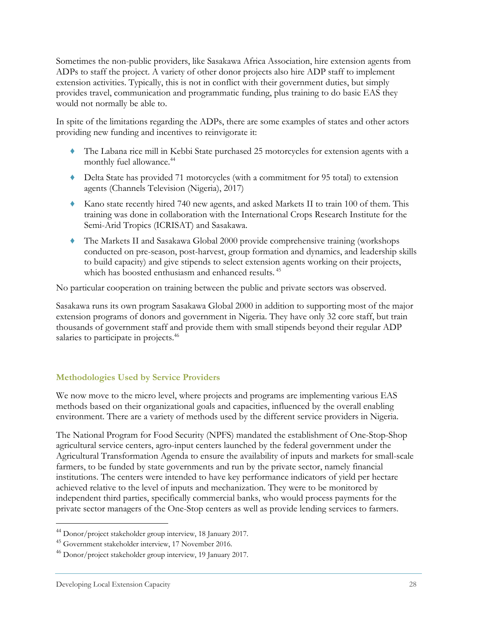Sometimes the non-public providers, like Sasakawa Africa Association, hire extension agents from ADPs to staff the project. A variety of other donor projects also hire ADP staff to implement extension activities. Typically, this is not in conflict with their government duties, but simply provides travel, communication and programmatic funding, plus training to do basic EAS they would not normally be able to.

In spite of the limitations regarding the ADPs, there are some examples of states and other actors providing new funding and incentives to reinvigorate it:

- ♦ The Labana rice mill in Kebbi State purchased 25 motorcycles for extension agents with a monthly fuel allowance.<sup>44</sup>
- ♦ Delta State has provided 71 motorcycles (with a commitment for 95 total) to extension agents (Channels Television (Nigeria), 2017)
- ♦ Kano state recently hired 740 new agents, and asked Markets II to train 100 of them. This training was done in collaboration with the International Crops Research Institute for the Semi-Arid Tropics (ICRISAT) and Sasakawa.
- ♦ The Markets II and Sasakawa Global 2000 provide comprehensive training (workshops conducted on pre-season, post-harvest, group formation and dynamics, and leadership skills to build capacity) and give stipends to select extension agents working on their projects, which has boosted enthusiasm and enhanced results.<sup>45</sup>

No particular cooperation on training between the public and private sectors was observed.

Sasakawa runs its own program Sasakawa Global 2000 in addition to supporting most of the major extension programs of donors and government in Nigeria. They have only 32 core staff, but train thousands of government staff and provide them with small stipends beyond their regular ADP salaries to participate in projects.<sup>46</sup>

#### **Methodologies Used by Service Providers**

We now move to the micro level, where projects and programs are implementing various EAS methods based on their organizational goals and capacities, influenced by the overall enabling environment. There are a variety of methods used by the different service providers in Nigeria.

The National Program for Food Security (NPFS) mandated the establishment of One-Stop-Shop agricultural service centers, agro-input centers launched by the federal government under the Agricultural Transformation Agenda to ensure the availability of inputs and markets for small-scale farmers, to be funded by state governments and run by the private sector, namely financial institutions. The centers were intended to have key performance indicators of yield per hectare achieved relative to the level of inputs and mechanization. They were to be monitored by independent third parties, specifically commercial banks, who would process payments for the private sector managers of the One-Stop centers as well as provide lending services to farmers.

<sup>44</sup> Donor/project stakeholder group interview, 18 January 2017.

<sup>45</sup> Government stakeholder interview, 17 November 2016.

<sup>46</sup> Donor/project stakeholder group interview, 19 January 2017.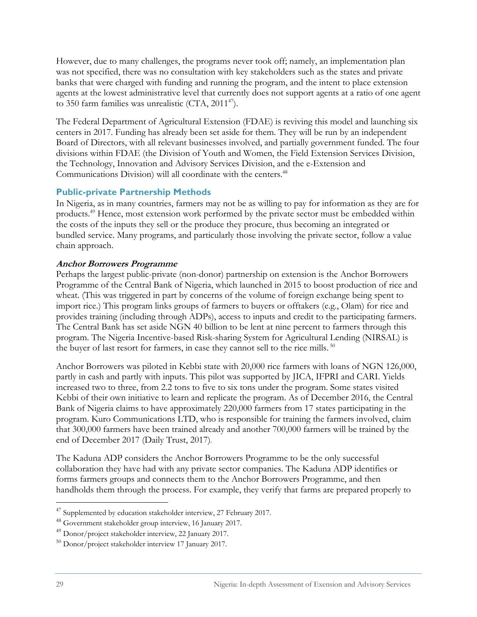However, due to many challenges, the programs never took off; namely, an implementation plan was not specified, there was no consultation with key stakeholders such as the states and private banks that were charged with funding and running the program, and the intent to place extension agents at the lowest administrative level that currently does not support agents at a ratio of one agent to 350 farm families was unrealistic  $(CTA, 2011^{47})$ .

The Federal Department of Agricultural Extension (FDAE) is reviving this model and launching six centers in 2017. Funding has already been set aside for them. They will be run by an independent Board of Directors, with all relevant businesses involved, and partially government funded. The four divisions within FDAE (the Division of Youth and Women, the Field Extension Services Division, the Technology, Innovation and Advisory Services Division, and the e-Extension and Communications Division) will all coordinate with the centers.<sup>48</sup>

#### **Public-private Partnership Methods**

In Nigeria, as in many countries, farmers may not be as willing to pay for information as they are for products.49 Hence, most extension work performed by the private sector must be embedded within the costs of the inputs they sell or the produce they procure, thus becoming an integrated or bundled service. Many programs, and particularly those involving the private sector, follow a value chain approach.

#### **Anchor Borrowers Programme**

Perhaps the largest public-private (non-donor) partnership on extension is the Anchor Borrowers Programme of the Central Bank of Nigeria, which launched in 2015 to boost production of rice and wheat. (This was triggered in part by concerns of the volume of foreign exchange being spent to import rice.) This program links groups of farmers to buyers or offtakers (e.g., Olam) for rice and provides training (including through ADPs), access to inputs and credit to the participating farmers. The Central Bank has set aside NGN 40 billion to be lent at nine percent to farmers through this program. The Nigeria Incentive-based Risk-sharing System for Agricultural Lending (NIRSAL) is the buyer of last resort for farmers, in case they cannot sell to the rice mills. <sup>50</sup>

Anchor Borrowers was piloted in Kebbi state with 20,000 rice farmers with loans of NGN 126,000, partly in cash and partly with inputs. This pilot was supported by JICA, IFPRI and CARI. Yields increased two to three, from 2.2 tons to five to six tons under the program. Some states visited Kebbi of their own initiative to learn and replicate the program. As of December 2016, the Central Bank of Nigeria claims to have approximately 220,000 farmers from 17 states participating in the program. Kuro Communications LTD, who is responsible for training the farmers involved, claim that 300,000 farmers have been trained already and another 700,000 farmers will be trained by the end of December 2017 (Daily Trust, 2017).

The Kaduna ADP considers the Anchor Borrowers Programme to be the only successful collaboration they have had with any private sector companies. The Kaduna ADP identifies or forms farmers groups and connects them to the Anchor Borrowers Programme, and then handholds them through the process. For example, they verify that farms are prepared properly to

<sup>&</sup>lt;sup>47</sup> Supplemented by education stakeholder interview, 27 February 2017.

<sup>48</sup> Government stakeholder group interview, 16 January 2017.

<sup>49</sup> Donor/project stakeholder interview, 22 January 2017.

<sup>50</sup> Donor/project stakeholder interview 17 January 2017.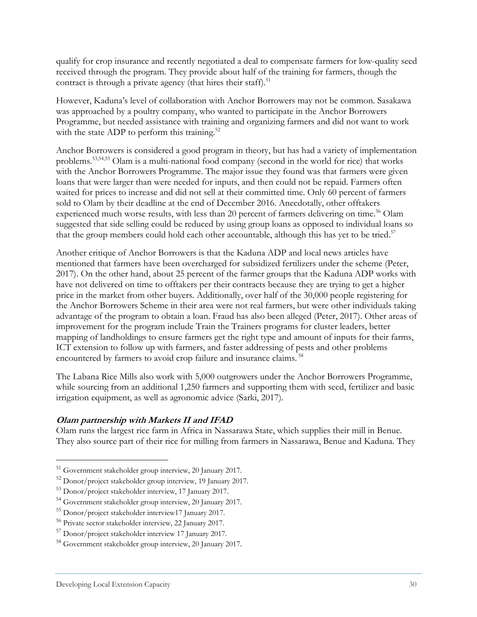qualify for crop insurance and recently negotiated a deal to compensate farmers for low-quality seed received through the program. They provide about half of the training for farmers, though the contract is through a private agency (that hires their staff).<sup>51</sup>

However, Kaduna's level of collaboration with Anchor Borrowers may not be common. Sasakawa was approached by a poultry company, who wanted to participate in the Anchor Borrowers Programme, but needed assistance with training and organizing farmers and did not want to work with the state ADP to perform this training.<sup>52</sup>

Anchor Borrowers is considered a good program in theory, but has had a variety of implementation problems.53,54,55 Olam is a multi-national food company (second in the world for rice) that works with the Anchor Borrowers Programme. The major issue they found was that farmers were given loans that were larger than were needed for inputs, and then could not be repaid. Farmers often waited for prices to increase and did not sell at their committed time. Only 60 percent of farmers sold to Olam by their deadline at the end of December 2016. Anecdotally, other offtakers experienced much worse results, with less than 20 percent of farmers delivering on time.<sup>56</sup> Olam suggested that side selling could be reduced by using group loans as opposed to individual loans so that the group members could hold each other accountable, although this has yet to be tried.<sup>57</sup>

Another critique of Anchor Borrowers is that the Kaduna ADP and local news articles have mentioned that farmers have been overcharged for subsidized fertilizers under the scheme (Peter, 2017). On the other hand, about 25 percent of the farmer groups that the Kaduna ADP works with have not delivered on time to offtakers per their contracts because they are trying to get a higher price in the market from other buyers. Additionally, over half of the 30,000 people registering for the Anchor Borrowers Scheme in their area were not real farmers, but were other individuals taking advantage of the program to obtain a loan. Fraud has also been alleged (Peter, 2017). Other areas of improvement for the program include Train the Trainers programs for cluster leaders, better mapping of landholdings to ensure farmers get the right type and amount of inputs for their farms, ICT extension to follow up with farmers, and faster addressing of pests and other problems encountered by farmers to avoid crop failure and insurance claims. 58

The Labana Rice Mills also work with 5,000 outgrowers under the Anchor Borrowers Programme, while sourcing from an additional 1,250 farmers and supporting them with seed, fertilizer and basic irrigation equipment, as well as agronomic advice (Sarki, 2017).

#### **Olam partnership with Markets II and IFAD**

Olam runs the largest rice farm in Africa in Nassarawa State, which supplies their mill in Benue. They also source part of their rice for milling from farmers in Nassarawa, Benue and Kaduna. They

<sup>&</sup>lt;sup>51</sup> Government stakeholder group interview, 20 January 2017.

<sup>52</sup> Donor/project stakeholder group interview, 19 January 2017.

<sup>53</sup> Donor/project stakeholder interview, 17 January 2017.

<sup>54</sup> Government stakeholder group interview, 20 January 2017.

<sup>55</sup> Donor/project stakeholder interview17 January 2017.

<sup>56</sup> Private sector stakeholder interview, 22 January 2017.

<sup>57</sup> Donor/project stakeholder interview 17 January 2017.

<sup>58</sup> Government stakeholder group interview, 20 January 2017.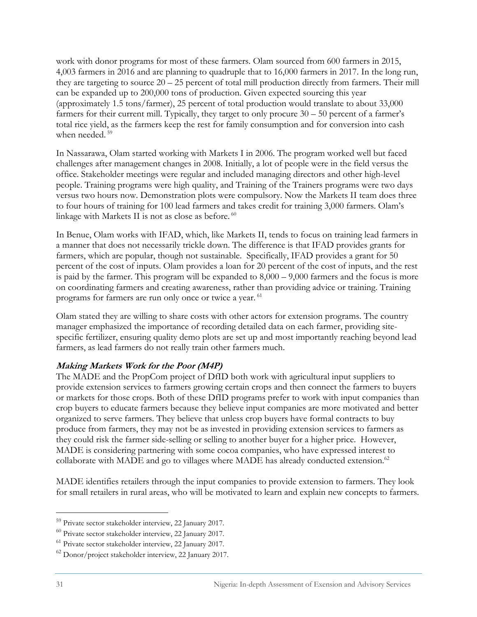work with donor programs for most of these farmers. Olam sourced from 600 farmers in 2015, 4,003 farmers in 2016 and are planning to quadruple that to 16,000 farmers in 2017. In the long run, they are targeting to source 20 – 25 percent of total mill production directly from farmers. Their mill can be expanded up to 200,000 tons of production. Given expected sourcing this year (approximately 1.5 tons/farmer), 25 percent of total production would translate to about 33,000 farmers for their current mill. Typically, they target to only procure 30 – 50 percent of a farmer's total rice yield, as the farmers keep the rest for family consumption and for conversion into cash when needed.<sup>59</sup>

In Nassarawa, Olam started working with Markets I in 2006. The program worked well but faced challenges after management changes in 2008. Initially, a lot of people were in the field versus the office. Stakeholder meetings were regular and included managing directors and other high-level people. Training programs were high quality, and Training of the Trainers programs were two days versus two hours now. Demonstration plots were compulsory. Now the Markets II team does three to four hours of training for 100 lead farmers and takes credit for training 3,000 farmers. Olam's linkage with Markets II is not as close as before.<sup>60</sup>

In Benue, Olam works with IFAD, which, like Markets II, tends to focus on training lead farmers in a manner that does not necessarily trickle down. The difference is that IFAD provides grants for farmers, which are popular, though not sustainable. Specifically, IFAD provides a grant for 50 percent of the cost of inputs. Olam provides a loan for 20 percent of the cost of inputs, and the rest is paid by the farmer. This program will be expanded to 8,000 – 9,000 farmers and the focus is more on coordinating farmers and creating awareness, rather than providing advice or training. Training programs for farmers are run only once or twice a year. 61

Olam stated they are willing to share costs with other actors for extension programs. The country manager emphasized the importance of recording detailed data on each farmer, providing sitespecific fertilizer, ensuring quality demo plots are set up and most importantly reaching beyond lead farmers, as lead farmers do not really train other farmers much.

#### **Making Markets Work for the Poor (M4P)**

The MADE and the PropCom project of DfID both work with agricultural input suppliers to provide extension services to farmers growing certain crops and then connect the farmers to buyers or markets for those crops. Both of these DfID programs prefer to work with input companies than crop buyers to educate farmers because they believe input companies are more motivated and better organized to serve farmers. They believe that unless crop buyers have formal contracts to buy produce from farmers, they may not be as invested in providing extension services to farmers as they could risk the farmer side-selling or selling to another buyer for a higher price. However, MADE is considering partnering with some cocoa companies, who have expressed interest to collaborate with MADE and go to villages where MADE has already conducted extension.<sup>62</sup>

MADE identifies retailers through the input companies to provide extension to farmers. They look for small retailers in rural areas, who will be motivated to learn and explain new concepts to farmers.

<sup>59</sup> Private sector stakeholder interview, 22 January 2017.

<sup>60</sup> Private sector stakeholder interview, 22 January 2017.

<sup>61</sup> Private sector stakeholder interview, 22 January 2017.

<sup>62</sup> Donor/project stakeholder interview, 22 January 2017.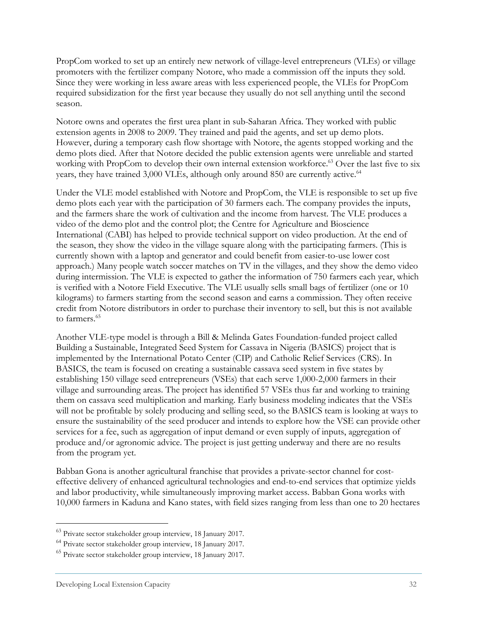PropCom worked to set up an entirely new network of village-level entrepreneurs (VLEs) or village promoters with the fertilizer company Notore, who made a commission off the inputs they sold. Since they were working in less aware areas with less experienced people, the VLEs for PropCom required subsidization for the first year because they usually do not sell anything until the second season.

Notore owns and operates the first urea plant in sub-Saharan Africa. They worked with public extension agents in 2008 to 2009. They trained and paid the agents, and set up demo plots. However, during a temporary cash flow shortage with Notore, the agents stopped working and the demo plots died. After that Notore decided the public extension agents were unreliable and started working with PropCom to develop their own internal extension workforce.<sup>63</sup> Over the last five to six years, they have trained 3,000 VLEs, although only around 850 are currently active.<sup>64</sup>

Under the VLE model established with Notore and PropCom, the VLE is responsible to set up five demo plots each year with the participation of 30 farmers each. The company provides the inputs, and the farmers share the work of cultivation and the income from harvest. The VLE produces a video of the demo plot and the control plot; the Centre for Agriculture and Bioscience International (CABI) has helped to provide technical support on video production. At the end of the season, they show the video in the village square along with the participating farmers. (This is currently shown with a laptop and generator and could benefit from easier-to-use lower cost approach.) Many people watch soccer matches on TV in the villages, and they show the demo video during intermission. The VLE is expected to gather the information of 750 farmers each year, which is verified with a Notore Field Executive. The VLE usually sells small bags of fertilizer (one or 10 kilograms) to farmers starting from the second season and earns a commission. They often receive credit from Notore distributors in order to purchase their inventory to sell, but this is not available to farmers<sup>65</sup>

Another VLE-type model is through a Bill & Melinda Gates Foundation-funded project called Building a Sustainable, Integrated Seed System for Cassava in Nigeria (BASICS) project that is implemented by the International Potato Center (CIP) and Catholic Relief Services (CRS). In BASICS, the team is focused on creating a sustainable cassava seed system in five states by establishing 150 village seed entrepreneurs (VSEs) that each serve 1,000-2,000 farmers in their village and surrounding areas. The project has identified 57 VSEs thus far and working to training them on cassava seed multiplication and marking. Early business modeling indicates that the VSEs will not be profitable by solely producing and selling seed, so the BASICS team is looking at ways to ensure the sustainability of the seed producer and intends to explore how the VSE can provide other services for a fee, such as aggregation of input demand or even supply of inputs, aggregation of produce and/or agronomic advice. The project is just getting underway and there are no results from the program yet.

Babban Gona is another agricultural franchise that provides a private-sector channel for costeffective delivery of enhanced agricultural technologies and end-to-end services that optimize yields and labor productivity, while simultaneously improving market access. Babban Gona works with 10,000 farmers in Kaduna and Kano states, with field sizes ranging from less than one to 20 hectares

<sup>63</sup> Private sector stakeholder group interview, 18 January 2017.

<sup>64</sup> Private sector stakeholder group interview, 18 January 2017.

<sup>65</sup> Private sector stakeholder group interview, 18 January 2017.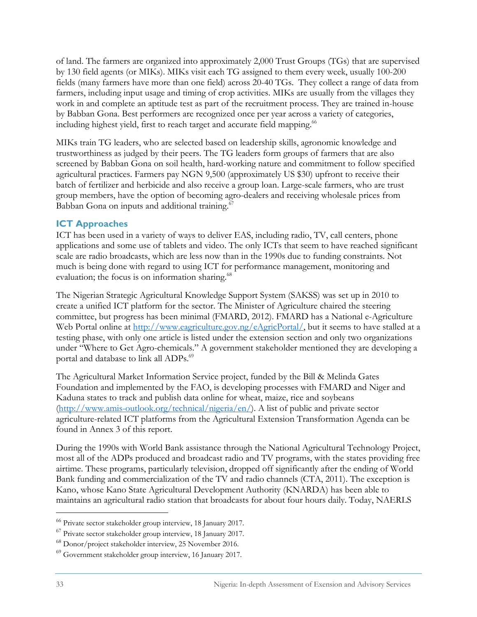of land. The farmers are organized into approximately 2,000 Trust Groups (TGs) that are supervised by 130 field agents (or MIKs). MIKs visit each TG assigned to them every week, usually 100-200 fields (many farmers have more than one field) across 20-40 TGs. They collect a range of data from farmers, including input usage and timing of crop activities. MIKs are usually from the villages they work in and complete an aptitude test as part of the recruitment process. They are trained in-house by Babban Gona. Best performers are recognized once per year across a variety of categories, including highest yield, first to reach target and accurate field mapping.<sup>66</sup>

MIKs train TG leaders, who are selected based on leadership skills, agronomic knowledge and trustworthiness as judged by their peers. The TG leaders form groups of farmers that are also screened by Babban Gona on soil health, hard-working nature and commitment to follow specified agricultural practices. Farmers pay NGN 9,500 (approximately US \$30) upfront to receive their batch of fertilizer and herbicide and also receive a group loan. Large-scale farmers, who are trust group members, have the option of becoming agro-dealers and receiving wholesale prices from Babban Gona on inputs and additional training.<sup>67</sup>

#### **ICT Approaches**

ICT has been used in a variety of ways to deliver EAS, including radio, TV, call centers, phone applications and some use of tablets and video. The only ICTs that seem to have reached significant scale are radio broadcasts, which are less now than in the 1990s due to funding constraints. Not much is being done with regard to using ICT for performance management, monitoring and evaluation; the focus is on information sharing.<sup>68</sup>

The Nigerian Strategic Agricultural Knowledge Support System (SAKSS) was set up in 2010 to create a unified ICT platform for the sector. The Minister of Agriculture chaired the steering committee, but progress has been minimal (FMARD, 2012). FMARD has a National e-Agriculture Web Portal online at http://www.eagriculture.gov.ng/eAgricPortal/, but it seems to have stalled at a testing phase, with only one article is listed under the extension section and only two organizations under "Where to Get Agro-chemicals." A government stakeholder mentioned they are developing a portal and database to link all ADPs.<sup>69</sup>

The Agricultural Market Information Service project, funded by the Bill & Melinda Gates Foundation and implemented by the FAO, is developing processes with FMARD and Niger and Kaduna states to track and publish data online for wheat, maize, rice and soybeans (http://www.amis-outlook.org/technical/nigeria/en/). A list of public and private sector agriculture-related ICT platforms from the Agricultural Extension Transformation Agenda can be found in Annex 3 of this report.

During the 1990s with World Bank assistance through the National Agricultural Technology Project, most all of the ADPs produced and broadcast radio and TV programs, with the states providing free airtime. These programs, particularly television, dropped off significantly after the ending of World Bank funding and commercialization of the TV and radio channels (CTA, 2011). The exception is Kano, whose Kano State Agricultural Development Authority (KNARDA) has been able to maintains an agricultural radio station that broadcasts for about four hours daily. Today, NAERLS

<sup>66</sup> Private sector stakeholder group interview, 18 January 2017.

<sup>67</sup> Private sector stakeholder group interview, 18 January 2017.

<sup>68</sup> Donor/project stakeholder interview, 25 November 2016.

<sup>69</sup> Government stakeholder group interview, 16 January 2017.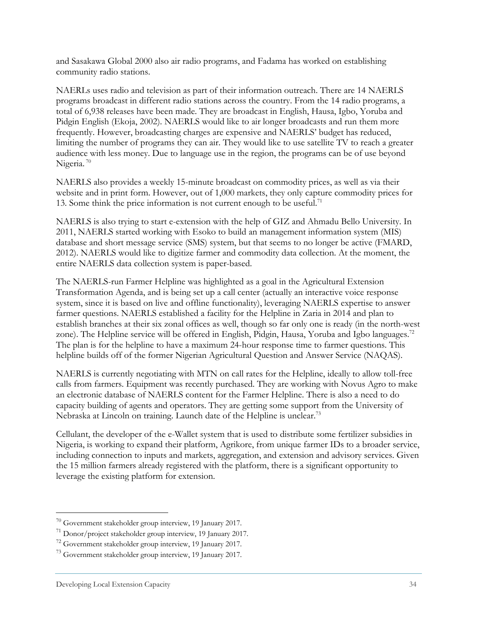and Sasakawa Global 2000 also air radio programs, and Fadama has worked on establishing community radio stations.

NAERLs uses radio and television as part of their information outreach. There are 14 NAERLS programs broadcast in different radio stations across the country. From the 14 radio programs, a total of 6,938 releases have been made. They are broadcast in English, Hausa, Igbo, Yoruba and Pidgin English (Ekoja, 2002). NAERLS would like to air longer broadcasts and run them more frequently. However, broadcasting charges are expensive and NAERLS' budget has reduced, limiting the number of programs they can air. They would like to use satellite TV to reach a greater audience with less money. Due to language use in the region, the programs can be of use beyond Nigeria.<sup>70</sup>

NAERLS also provides a weekly 15-minute broadcast on commodity prices, as well as via their website and in print form. However, out of 1,000 markets, they only capture commodity prices for 13. Some think the price information is not current enough to be useful.<sup>71</sup>

NAERLS is also trying to start e-extension with the help of GIZ and Ahmadu Bello University. In 2011, NAERLS started working with Esoko to build an management information system (MIS) database and short message service (SMS) system, but that seems to no longer be active (FMARD, 2012). NAERLS would like to digitize farmer and commodity data collection. At the moment, the entire NAERLS data collection system is paper-based.

The NAERLS-run Farmer Helpline was highlighted as a goal in the Agricultural Extension Transformation Agenda, and is being set up a call center (actually an interactive voice response system, since it is based on live and offline functionality), leveraging NAERLS expertise to answer farmer questions. NAERLS established a facility for the Helpline in Zaria in 2014 and plan to establish branches at their six zonal offices as well, though so far only one is ready (in the north-west zone). The Helpline service will be offered in English, Pidgin, Hausa, Yoruba and Igbo languages.<sup>72</sup> The plan is for the helpline to have a maximum 24-hour response time to farmer questions. This helpline builds off of the former Nigerian Agricultural Question and Answer Service (NAQAS).

NAERLS is currently negotiating with MTN on call rates for the Helpline, ideally to allow toll-free calls from farmers. Equipment was recently purchased. They are working with Novus Agro to make an electronic database of NAERLS content for the Farmer Helpline. There is also a need to do capacity building of agents and operators. They are getting some support from the University of Nebraska at Lincoln on training. Launch date of the Helpline is unclear.73

Cellulant, the developer of the e-Wallet system that is used to distribute some fertilizer subsidies in Nigeria, is working to expand their platform, Agrikore, from unique farmer IDs to a broader service, including connection to inputs and markets, aggregation, and extension and advisory services. Given the 15 million farmers already registered with the platform, there is a significant opportunity to leverage the existing platform for extension.

<sup>70</sup> Government stakeholder group interview, 19 January 2017.

<sup>71</sup> Donor/project stakeholder group interview, 19 January 2017.

<sup>72</sup> Government stakeholder group interview, 19 January 2017.

<sup>73</sup> Government stakeholder group interview, 19 January 2017.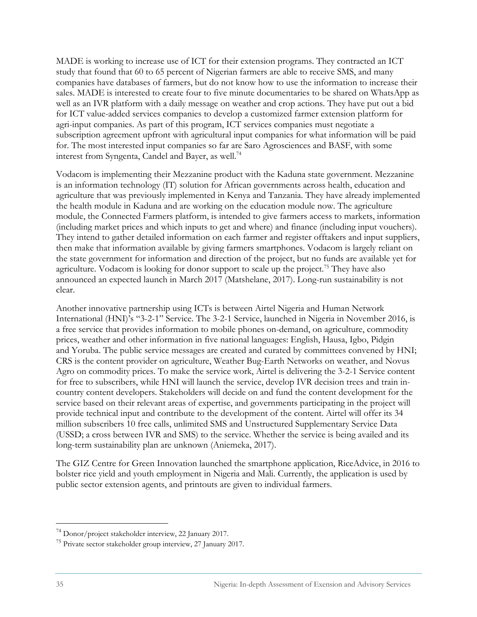MADE is working to increase use of ICT for their extension programs. They contracted an ICT study that found that 60 to 65 percent of Nigerian farmers are able to receive SMS, and many companies have databases of farmers, but do not know how to use the information to increase their sales. MADE is interested to create four to five minute documentaries to be shared on WhatsApp as well as an IVR platform with a daily message on weather and crop actions. They have put out a bid for ICT value-added services companies to develop a customized farmer extension platform for agri-input companies. As part of this program, ICT services companies must negotiate a subscription agreement upfront with agricultural input companies for what information will be paid for. The most interested input companies so far are Saro Agrosciences and BASF, with some interest from Syngenta, Candel and Bayer, as well.<sup>74</sup>

Vodacom is implementing their Mezzanine product with the Kaduna state government. Mezzanine is an information technology (IT) solution for African governments across health, education and agriculture that was previously implemented in Kenya and Tanzania. They have already implemented the health module in Kaduna and are working on the education module now. The agriculture module, the Connected Farmers platform, is intended to give farmers access to markets, information (including market prices and which inputs to get and where) and finance (including input vouchers). They intend to gather detailed information on each farmer and register offtakers and input suppliers, then make that information available by giving farmers smartphones. Vodacom is largely reliant on the state government for information and direction of the project, but no funds are available yet for agriculture. Vodacom is looking for donor support to scale up the project.<sup>75</sup> They have also announced an expected launch in March 2017 (Matshelane, 2017). Long-run sustainability is not clear.

Another innovative partnership using ICTs is between Airtel Nigeria and Human Network International (HNI)'s "3-2-1" Service. The 3-2-1 Service, launched in Nigeria in November 2016, is a free service that provides information to mobile phones on-demand, on agriculture, commodity prices, weather and other information in five national languages: English, Hausa, Igbo, Pidgin and Yoruba. The public service messages are created and curated by committees convened by HNI; CRS is the content provider on agriculture, Weather Bug-Earth Networks on weather, and Novus Agro on commodity prices. To make the service work, Airtel is delivering the 3-2-1 Service content for free to subscribers, while HNI will launch the service, develop IVR decision trees and train incountry content developers. Stakeholders will decide on and fund the content development for the service based on their relevant areas of expertise, and governments participating in the project will provide technical input and contribute to the development of the content. Airtel will offer its 34 million subscribers 10 free calls, unlimited SMS and Unstructured Supplementary Service Data (USSD; a cross between IVR and SMS) to the service. Whether the service is being availed and its long-term sustainability plan are unknown (Aniemeka, 2017).

The GIZ Centre for Green Innovation launched the smartphone application, RiceAdvice, in 2016 to bolster rice yield and youth employment in Nigeria and Mali. Currently, the application is used by public sector extension agents, and printouts are given to individual farmers.

<sup>74</sup> Donor/project stakeholder interview, 22 January 2017.

<sup>75</sup> Private sector stakeholder group interview, 27 January 2017.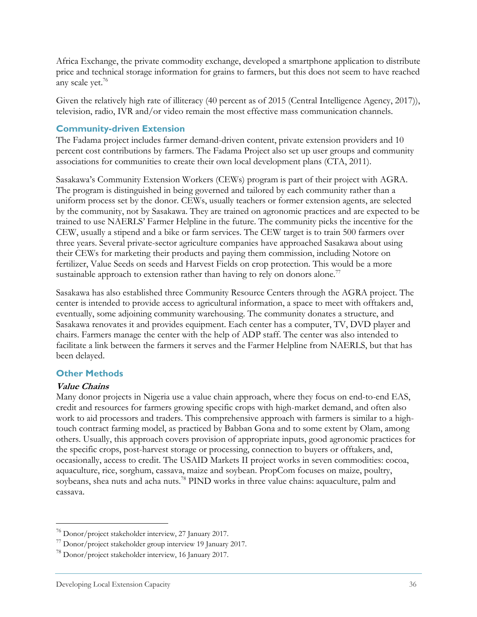Africa Exchange, the private commodity exchange, developed a smartphone application to distribute price and technical storage information for grains to farmers, but this does not seem to have reached any scale yet.<sup>76</sup>

Given the relatively high rate of illiteracy (40 percent as of 2015 (Central Intelligence Agency, 2017)), television, radio, IVR and/or video remain the most effective mass communication channels.

#### **Community-driven Extension**

The Fadama project includes farmer demand-driven content, private extension providers and 10 percent cost contributions by farmers. The Fadama Project also set up user groups and community associations for communities to create their own local development plans (CTA, 2011).

Sasakawa's Community Extension Workers (CEWs) program is part of their project with AGRA. The program is distinguished in being governed and tailored by each community rather than a uniform process set by the donor. CEWs, usually teachers or former extension agents, are selected by the community, not by Sasakawa. They are trained on agronomic practices and are expected to be trained to use NAERLS' Farmer Helpline in the future. The community picks the incentive for the CEW, usually a stipend and a bike or farm services. The CEW target is to train 500 farmers over three years. Several private-sector agriculture companies have approached Sasakawa about using their CEWs for marketing their products and paying them commission, including Notore on fertilizer, Value Seeds on seeds and Harvest Fields on crop protection. This would be a more sustainable approach to extension rather than having to rely on donors alone.<sup>77</sup>

Sasakawa has also established three Community Resource Centers through the AGRA project. The center is intended to provide access to agricultural information, a space to meet with offtakers and, eventually, some adjoining community warehousing. The community donates a structure, and Sasakawa renovates it and provides equipment. Each center has a computer, TV, DVD player and chairs. Farmers manage the center with the help of ADP staff. The center was also intended to facilitate a link between the farmers it serves and the Farmer Helpline from NAERLS, but that has been delayed.

#### **Other Methods**

#### **Value Chains**

 $\overline{a}$ 

Many donor projects in Nigeria use a value chain approach, where they focus on end-to-end EAS, credit and resources for farmers growing specific crops with high-market demand, and often also work to aid processors and traders. This comprehensive approach with farmers is similar to a hightouch contract farming model, as practiced by Babban Gona and to some extent by Olam, among others. Usually, this approach covers provision of appropriate inputs, good agronomic practices for the specific crops, post-harvest storage or processing, connection to buyers or offtakers, and, occasionally, access to credit. The USAID Markets II project works in seven commodities: cocoa, aquaculture, rice, sorghum, cassava, maize and soybean. PropCom focuses on maize, poultry, soybeans, shea nuts and acha nuts.<sup>78</sup> PIND works in three value chains: aquaculture, palm and cassava.

 $^{76}$  Donor/project stakeholder interview, 27 January 2017.<br> $^{77}$  Donor/project stakeholder group interview 19 January 2017.

<sup>78</sup> Donor/project stakeholder interview, 16 January 2017.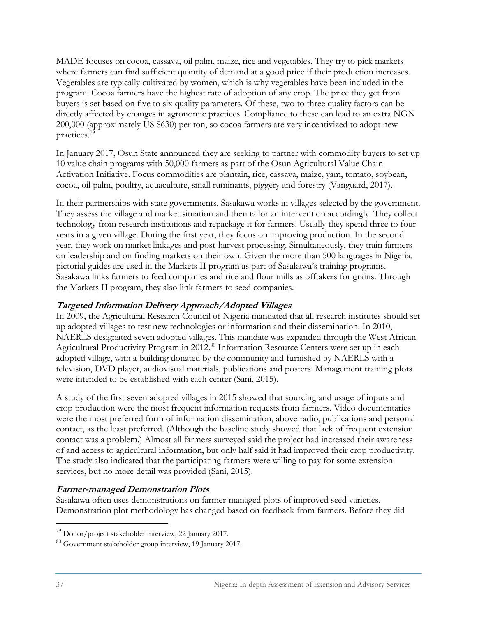MADE focuses on cocoa, cassava, oil palm, maize, rice and vegetables. They try to pick markets where farmers can find sufficient quantity of demand at a good price if their production increases. Vegetables are typically cultivated by women, which is why vegetables have been included in the program. Cocoa farmers have the highest rate of adoption of any crop. The price they get from buyers is set based on five to six quality parameters. Of these, two to three quality factors can be directly affected by changes in agronomic practices. Compliance to these can lead to an extra NGN 200,000 (approximately US \$630) per ton, so cocoa farmers are very incentivized to adopt new practices.79

In January 2017, Osun State announced they are seeking to partner with commodity buyers to set up 10 value chain programs with 50,000 farmers as part of the Osun Agricultural Value Chain Activation Initiative. Focus commodities are plantain, rice, cassava, maize, yam, tomato, soybean, cocoa, oil palm, poultry, aquaculture, small ruminants, piggery and forestry (Vanguard, 2017).

In their partnerships with state governments, Sasakawa works in villages selected by the government. They assess the village and market situation and then tailor an intervention accordingly. They collect technology from research institutions and repackage it for farmers. Usually they spend three to four years in a given village. During the first year, they focus on improving production. In the second year, they work on market linkages and post-harvest processing. Simultaneously, they train farmers on leadership and on finding markets on their own. Given the more than 500 languages in Nigeria, pictorial guides are used in the Markets II program as part of Sasakawa's training programs. Sasakawa links farmers to feed companies and rice and flour mills as offtakers for grains. Through the Markets II program, they also link farmers to seed companies.

#### **Targeted Information Delivery Approach/Adopted Villages**

In 2009, the Agricultural Research Council of Nigeria mandated that all research institutes should set up adopted villages to test new technologies or information and their dissemination. In 2010, NAERLS designated seven adopted villages. This mandate was expanded through the West African Agricultural Productivity Program in 2012.<sup>80</sup> Information Resource Centers were set up in each adopted village, with a building donated by the community and furnished by NAERLS with a television, DVD player, audiovisual materials, publications and posters. Management training plots were intended to be established with each center (Sani, 2015).

A study of the first seven adopted villages in 2015 showed that sourcing and usage of inputs and crop production were the most frequent information requests from farmers. Video documentaries were the most preferred form of information dissemination, above radio, publications and personal contact, as the least preferred. (Although the baseline study showed that lack of frequent extension contact was a problem.) Almost all farmers surveyed said the project had increased their awareness of and access to agricultural information, but only half said it had improved their crop productivity. The study also indicated that the participating farmers were willing to pay for some extension services, but no more detail was provided (Sani, 2015).

#### **Farmer-managed Demonstration Plots**

Sasakawa often uses demonstrations on farmer-managed plots of improved seed varieties. Demonstration plot methodology has changed based on feedback from farmers. Before they did

<sup>79</sup> Donor/project stakeholder interview, 22 January 2017.

<sup>80</sup> Government stakeholder group interview, 19 January 2017.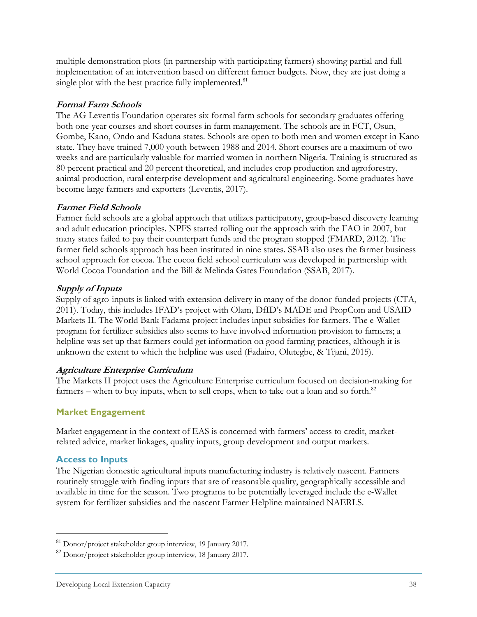multiple demonstration plots (in partnership with participating farmers) showing partial and full implementation of an intervention based on different farmer budgets. Now, they are just doing a single plot with the best practice fully implemented.<sup>81</sup>

#### **Formal Farm Schools**

The AG Leventis Foundation operates six formal farm schools for secondary graduates offering both one-year courses and short courses in farm management. The schools are in FCT, Osun, Gombe, Kano, Ondo and Kaduna states. Schools are open to both men and women except in Kano state. They have trained 7,000 youth between 1988 and 2014. Short courses are a maximum of two weeks and are particularly valuable for married women in northern Nigeria. Training is structured as 80 percent practical and 20 percent theoretical, and includes crop production and agroforestry, animal production, rural enterprise development and agricultural engineering. Some graduates have become large farmers and exporters (Leventis, 2017).

#### **Farmer Field Schools**

Farmer field schools are a global approach that utilizes participatory, group-based discovery learning and adult education principles. NPFS started rolling out the approach with the FAO in 2007, but many states failed to pay their counterpart funds and the program stopped (FMARD, 2012). The farmer field schools approach has been instituted in nine states. SSAB also uses the farmer business school approach for cocoa. The cocoa field school curriculum was developed in partnership with World Cocoa Foundation and the Bill & Melinda Gates Foundation (SSAB, 2017).

#### **Supply of Inputs**

Supply of agro-inputs is linked with extension delivery in many of the donor-funded projects (CTA, 2011). Today, this includes IFAD's project with Olam, DfID's MADE and PropCom and USAID Markets II. The World Bank Fadama project includes input subsidies for farmers. The e-Wallet program for fertilizer subsidies also seems to have involved information provision to farmers; a helpline was set up that farmers could get information on good farming practices, although it is unknown the extent to which the helpline was used (Fadairo, Olutegbe, & Tijani, 2015).

#### **Agriculture Enterprise Curriculum**

The Markets II project uses the Agriculture Enterprise curriculum focused on decision-making for farmers – when to buy inputs, when to sell crops, when to take out a loan and so forth. $82$ 

#### **Market Engagement**

Market engagement in the context of EAS is concerned with farmers' access to credit, marketrelated advice, market linkages, quality inputs, group development and output markets.

#### **Access to Inputs**

 $\overline{a}$ 

The Nigerian domestic agricultural inputs manufacturing industry is relatively nascent. Farmers routinely struggle with finding inputs that are of reasonable quality, geographically accessible and available in time for the season. Two programs to be potentially leveraged include the e-Wallet system for fertilizer subsidies and the nascent Farmer Helpline maintained NAERLS.

<sup>81</sup> Donor/project stakeholder group interview, 19 January 2017.

<sup>82</sup> Donor/project stakeholder group interview, 18 January 2017.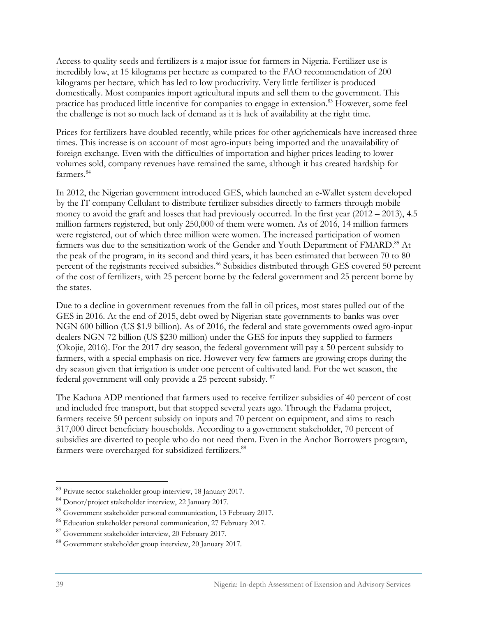Access to quality seeds and fertilizers is a major issue for farmers in Nigeria. Fertilizer use is incredibly low, at 15 kilograms per hectare as compared to the FAO recommendation of 200 kilograms per hectare, which has led to low productivity. Very little fertilizer is produced domestically. Most companies import agricultural inputs and sell them to the government. This practice has produced little incentive for companies to engage in extension.<sup>83</sup> However, some feel the challenge is not so much lack of demand as it is lack of availability at the right time.

Prices for fertilizers have doubled recently, while prices for other agrichemicals have increased three times. This increase is on account of most agro-inputs being imported and the unavailability of foreign exchange. Even with the difficulties of importation and higher prices leading to lower volumes sold, company revenues have remained the same, although it has created hardship for farmers.<sup>84</sup>

In 2012, the Nigerian government introduced GES, which launched an e-Wallet system developed by the IT company Cellulant to distribute fertilizer subsidies directly to farmers through mobile money to avoid the graft and losses that had previously occurred. In the first year (2012 – 2013), 4.5 million farmers registered, but only 250,000 of them were women. As of 2016, 14 million farmers were registered, out of which three million were women. The increased participation of women farmers was due to the sensitization work of the Gender and Youth Department of FMARD.<sup>85</sup> At the peak of the program, in its second and third years, it has been estimated that between 70 to 80 percent of the registrants received subsidies.<sup>86</sup> Subsidies distributed through GES covered 50 percent of the cost of fertilizers, with 25 percent borne by the federal government and 25 percent borne by the states.

Due to a decline in government revenues from the fall in oil prices, most states pulled out of the GES in 2016. At the end of 2015, debt owed by Nigerian state governments to banks was over NGN 600 billion (US \$1.9 billion). As of 2016, the federal and state governments owed agro-input dealers NGN 72 billion (US \$230 million) under the GES for inputs they supplied to farmers (Okojie, 2016). For the 2017 dry season, the federal government will pay a 50 percent subsidy to farmers, with a special emphasis on rice. However very few farmers are growing crops during the dry season given that irrigation is under one percent of cultivated land. For the wet season, the federal government will only provide a 25 percent subsidy. 87

The Kaduna ADP mentioned that farmers used to receive fertilizer subsidies of 40 percent of cost and included free transport, but that stopped several years ago. Through the Fadama project, farmers receive 50 percent subsidy on inputs and 70 percent on equipment, and aims to reach 317,000 direct beneficiary households. According to a government stakeholder, 70 percent of subsidies are diverted to people who do not need them. Even in the Anchor Borrowers program, farmers were overcharged for subsidized fertilizers.<sup>88</sup>

<sup>83</sup> Private sector stakeholder group interview, 18 January 2017.

<sup>84</sup> Donor/project stakeholder interview, 22 January 2017.

<sup>85</sup> Government stakeholder personal communication, 13 February 2017.

<sup>86</sup> Education stakeholder personal communication, 27 February 2017.

<sup>87</sup> Government stakeholder interview, 20 February 2017.

<sup>88</sup> Government stakeholder group interview, 20 January 2017.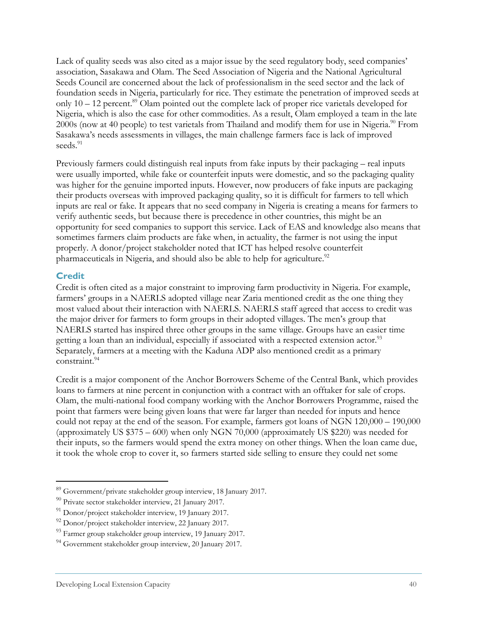Lack of quality seeds was also cited as a major issue by the seed regulatory body, seed companies' association, Sasakawa and Olam. The Seed Association of Nigeria and the National Agricultural Seeds Council are concerned about the lack of professionalism in the seed sector and the lack of foundation seeds in Nigeria, particularly for rice. They estimate the penetration of improved seeds at only  $10 - 12$  percent.<sup>89</sup> Olam pointed out the complete lack of proper rice varietals developed for Nigeria, which is also the case for other commodities. As a result, Olam employed a team in the late 2000s (now at 40 people) to test varietals from Thailand and modify them for use in Nigeria.<sup>90</sup> From Sasakawa's needs assessments in villages, the main challenge farmers face is lack of improved seeds.<sup>91</sup>

Previously farmers could distinguish real inputs from fake inputs by their packaging – real inputs were usually imported, while fake or counterfeit inputs were domestic, and so the packaging quality was higher for the genuine imported inputs. However, now producers of fake inputs are packaging their products overseas with improved packaging quality, so it is difficult for farmers to tell which inputs are real or fake. It appears that no seed company in Nigeria is creating a means for farmers to verify authentic seeds, but because there is precedence in other countries, this might be an opportunity for seed companies to support this service. Lack of EAS and knowledge also means that sometimes farmers claim products are fake when, in actuality, the farmer is not using the input properly. A donor/project stakeholder noted that ICT has helped resolve counterfeit pharmaceuticals in Nigeria, and should also be able to help for agriculture.<sup>92</sup>

#### **Credit**

-

Credit is often cited as a major constraint to improving farm productivity in Nigeria. For example, farmers' groups in a NAERLS adopted village near Zaria mentioned credit as the one thing they most valued about their interaction with NAERLS. NAERLS staff agreed that access to credit was the major driver for farmers to form groups in their adopted villages. The men's group that NAERLS started has inspired three other groups in the same village. Groups have an easier time getting a loan than an individual, especially if associated with a respected extension actor.<sup>93</sup> Separately, farmers at a meeting with the Kaduna ADP also mentioned credit as a primary constraint.94

Credit is a major component of the Anchor Borrowers Scheme of the Central Bank, which provides loans to farmers at nine percent in conjunction with a contract with an offtaker for sale of crops. Olam, the multi-national food company working with the Anchor Borrowers Programme, raised the point that farmers were being given loans that were far larger than needed for inputs and hence could not repay at the end of the season. For example, farmers got loans of NGN 120,000 – 190,000 (approximately US \$375 – 600) when only NGN 70,000 (approximately US \$220) was needed for their inputs, so the farmers would spend the extra money on other things. When the loan came due, it took the whole crop to cover it, so farmers started side selling to ensure they could net some

<sup>89</sup> Government/private stakeholder group interview, 18 January 2017.

<sup>90</sup> Private sector stakeholder interview, 21 January 2017.

 $91$  Donor/project stakeholder interview, 19 January 2017.

<sup>92</sup> Donor/project stakeholder interview, 22 January 2017.

<sup>&</sup>lt;sup>93</sup> Farmer group stakeholder group interview, 19 January 2017.

<sup>94</sup> Government stakeholder group interview, 20 January 2017.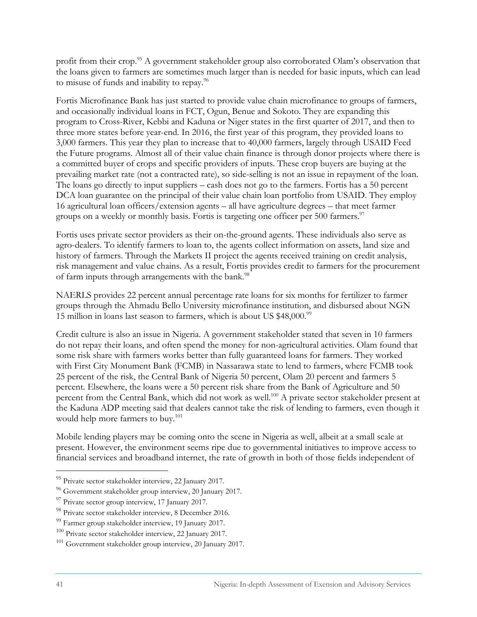profit from their crop.<sup>95</sup> A government stakeholder group also corroborated Olam's observation that the loans given to farmers are sometimes much larger than is needed for basic inputs, which can lead to misuse of funds and inability to repay.96

Fortis Microfinance Bank has just started to provide value chain microfinance to groups of farmers, and occasionally individual loans in FCT, Ogun, Benue and Sokoto. They are expanding this program to Cross-River, Kebbi and Kaduna or Niger states in the first quarter of 2017, and then to three more states before year-end. In 2016, the first year of this program, they provided loans to 3,000 farmers. This year they plan to increase that to 40,000 farmers, largely through USAID Feed the Future programs. Almost all of their value chain finance is through donor projects where there is a committed buyer of crops and specific providers of inputs. These crop buyers are buying at the prevailing market rate (not a contracted rate), so side-selling is not an issue in repayment of the loan. The loans go directly to input suppliers – cash does not go to the farmers. Fortis has a 50 percent DCA loan guarantee on the principal of their value chain loan portfolio from USAID. They employ 16 agricultural loan officers/extension agents – all have agriculture degrees – that meet farmer groups on a weekly or monthly basis. Fortis is targeting one officer per 500 farmers.<sup>97</sup>

Fortis uses private sector providers as their on-the-ground agents. These individuals also serve as agro-dealers. To identify farmers to loan to, the agents collect information on assets, land size and history of farmers. Through the Markets II project the agents received training on credit analysis, risk management and value chains. As a result, Fortis provides credit to farmers for the procurement of farm inputs through arrangements with the bank.<sup>98</sup>

NAERLS provides 22 percent annual percentage rate loans for six months for fertilizer to farmer groups through the Ahmadu Bello University microfinance institution, and disbursed about NGN 15 million in loans last season to farmers, which is about US \$48,000.<sup>99</sup>

Credit culture is also an issue in Nigeria. A government stakeholder stated that seven in 10 farmers do not repay their loans, and often spend the money for non-agricultural activities. Olam found that some risk share with farmers works better than fully guaranteed loans for farmers. They worked with First City Monument Bank (FCMB) in Nassarawa state to lend to farmers, where FCMB took 25 percent of the risk, the Central Bank of Nigeria 50 percent, Olam 20 percent and farmers 5 percent. Elsewhere, the loans were a 50 percent risk share from the Bank of Agriculture and 50 percent from the Central Bank, which did not work as well.<sup>100</sup> A private sector stakeholder present at the Kaduna ADP meeting said that dealers cannot take the risk of lending to farmers, even though it would help more farmers to buy.<sup>101</sup>

Mobile lending players may be coming onto the scene in Nigeria as well, albeit at a small scale at present. However, the environment seems ripe due to governmental initiatives to improve access to financial services and broadband internet, the rate of growth in both of those fields independent of

<sup>&</sup>lt;sup>95</sup> Private sector stakeholder interview, 22 January 2017.

<sup>96</sup> Government stakeholder group interview, 20 January 2017.

<sup>&</sup>lt;sup>97</sup> Private sector group interview, 17 January 2017.

<sup>98</sup> Private sector stakeholder interview, 8 December 2016.

<sup>99</sup> Farmer group stakeholder interview, 19 January 2017.

<sup>100</sup> Private sector stakeholder interview, 22 January 2017.

<sup>&</sup>lt;sup>101</sup> Government stakeholder group interview, 20 January 2017.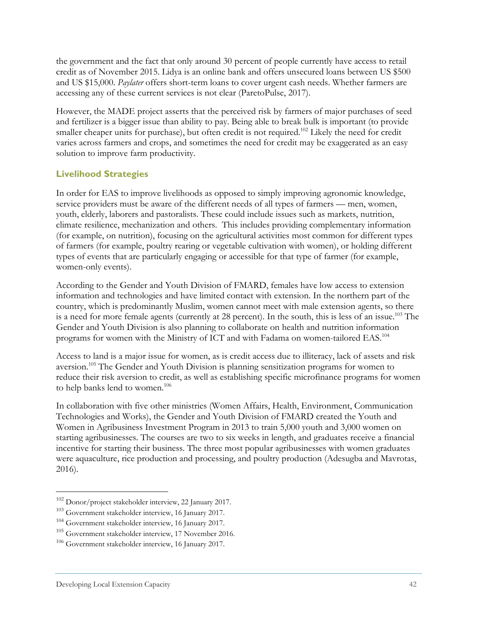the government and the fact that only around 30 percent of people currently have access to retail credit as of November 2015. Lidya is an online bank and offers unsecured loans between US \$500 and US \$15,000. *Paylater* offers short-term loans to cover urgent cash needs. Whether farmers are accessing any of these current services is not clear (ParetoPulse, 2017).

However, the MADE project asserts that the perceived risk by farmers of major purchases of seed and fertilizer is a bigger issue than ability to pay. Being able to break bulk is important (to provide smaller cheaper units for purchase), but often credit is not required.<sup>102</sup> Likely the need for credit varies across farmers and crops, and sometimes the need for credit may be exaggerated as an easy solution to improve farm productivity.

#### **Livelihood Strategies**

In order for EAS to improve livelihoods as opposed to simply improving agronomic knowledge, service providers must be aware of the different needs of all types of farmers — men, women, youth, elderly, laborers and pastoralists. These could include issues such as markets, nutrition, climate resilience, mechanization and others. This includes providing complementary information (for example, on nutrition), focusing on the agricultural activities most common for different types of farmers (for example, poultry rearing or vegetable cultivation with women), or holding different types of events that are particularly engaging or accessible for that type of farmer (for example, women-only events).

According to the Gender and Youth Division of FMARD, females have low access to extension information and technologies and have limited contact with extension. In the northern part of the country, which is predominantly Muslim, women cannot meet with male extension agents, so there is a need for more female agents (currently at 28 percent). In the south, this is less of an issue.<sup>103</sup> The Gender and Youth Division is also planning to collaborate on health and nutrition information programs for women with the Ministry of ICT and with Fadama on women-tailored EAS.104

Access to land is a major issue for women, as is credit access due to illiteracy, lack of assets and risk aversion.<sup>105</sup> The Gender and Youth Division is planning sensitization programs for women to reduce their risk aversion to credit, as well as establishing specific microfinance programs for women to help banks lend to women.<sup>106</sup>

In collaboration with five other ministries (Women Affairs, Health, Environment, Communication Technologies and Works), the Gender and Youth Division of FMARD created the Youth and Women in Agribusiness Investment Program in 2013 to train 5,000 youth and 3,000 women on starting agribusinesses. The courses are two to six weeks in length, and graduates receive a financial incentive for starting their business. The three most popular agribusinesses with women graduates were aquaculture, rice production and processing, and poultry production (Adesugba and Mavrotas, 2016).

<sup>102</sup> Donor/project stakeholder interview, 22 January 2017.

<sup>103</sup> Government stakeholder interview, 16 January 2017.

<sup>104</sup> Government stakeholder interview, 16 January 2017.

<sup>105</sup> Government stakeholder interview, 17 November 2016.

<sup>106</sup> Government stakeholder interview, 16 January 2017.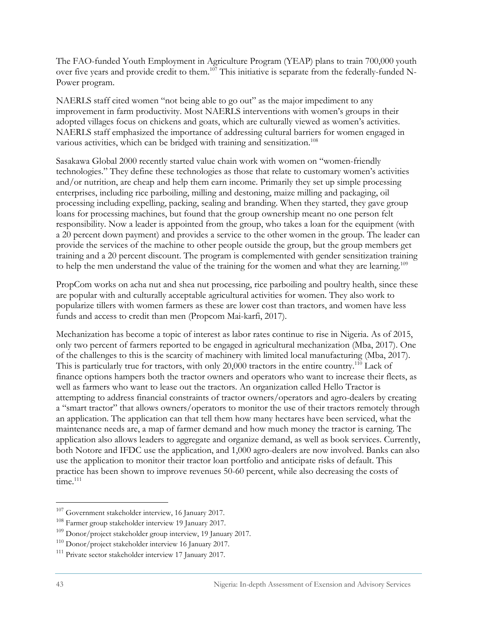The FAO-funded Youth Employment in Agriculture Program (YEAP) plans to train 700,000 youth over five years and provide credit to them.107 This initiative is separate from the federally-funded N-Power program.

NAERLS staff cited women "not being able to go out" as the major impediment to any improvement in farm productivity. Most NAERLS interventions with women's groups in their adopted villages focus on chickens and goats, which are culturally viewed as women's activities. NAERLS staff emphasized the importance of addressing cultural barriers for women engaged in various activities, which can be bridged with training and sensitization.<sup>108</sup>

Sasakawa Global 2000 recently started value chain work with women on "women-friendly technologies." They define these technologies as those that relate to customary women's activities and/or nutrition, are cheap and help them earn income. Primarily they set up simple processing enterprises, including rice parboiling, milling and destoning, maize milling and packaging, oil processing including expelling, packing, sealing and branding. When they started, they gave group loans for processing machines, but found that the group ownership meant no one person felt responsibility. Now a leader is appointed from the group, who takes a loan for the equipment (with a 20 percent down payment) and provides a service to the other women in the group. The leader can provide the services of the machine to other people outside the group, but the group members get training and a 20 percent discount. The program is complemented with gender sensitization training to help the men understand the value of the training for the women and what they are learning.<sup>109</sup>

PropCom works on acha nut and shea nut processing, rice parboiling and poultry health, since these are popular with and culturally acceptable agricultural activities for women. They also work to popularize tillers with women farmers as these are lower cost than tractors, and women have less funds and access to credit than men (Propcom Mai-karfi, 2017).

Mechanization has become a topic of interest as labor rates continue to rise in Nigeria. As of 2015, only two percent of farmers reported to be engaged in agricultural mechanization (Mba, 2017). One of the challenges to this is the scarcity of machinery with limited local manufacturing (Mba, 2017). This is particularly true for tractors, with only 20,000 tractors in the entire country.<sup>110</sup> Lack of finance options hampers both the tractor owners and operators who want to increase their fleets, as well as farmers who want to lease out the tractors. An organization called Hello Tractor is attempting to address financial constraints of tractor owners/operators and agro-dealers by creating a "smart tractor" that allows owners/operators to monitor the use of their tractors remotely through an application. The application can that tell them how many hectares have been serviced, what the maintenance needs are, a map of farmer demand and how much money the tractor is earning. The application also allows leaders to aggregate and organize demand, as well as book services. Currently, both Notore and IFDC use the application, and 1,000 agro-dealers are now involved. Banks can also use the application to monitor their tractor loan portfolio and anticipate risks of default. This practice has been shown to improve revenues 50-60 percent, while also decreasing the costs of  $time<sup>111</sup>$ 

<sup>107</sup> Government stakeholder interview, 16 January 2017.

<sup>108</sup> Farmer group stakeholder interview 19 January 2017.

 $109$  Donor/project stakeholder group interview, 19 January 2017.

<sup>&</sup>lt;sup>110</sup> Donor/project stakeholder interview 16 January 2017.<br><sup>111</sup> Private sector stakeholder interview 17 January 2017.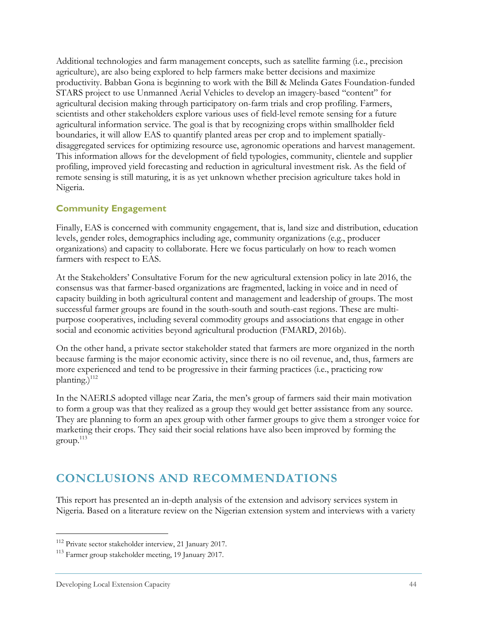Additional technologies and farm management concepts, such as satellite farming (i.e., precision agriculture), are also being explored to help farmers make better decisions and maximize productivity. Babban Gona is beginning to work with the Bill & Melinda Gates Foundation-funded STARS project to use Unmanned Aerial Vehicles to develop an imagery-based "content" for agricultural decision making through participatory on-farm trials and crop profiling. Farmers, scientists and other stakeholders explore various uses of field-level remote sensing for a future agricultural information service. The goal is that by recognizing crops within smallholder field boundaries, it will allow EAS to quantify planted areas per crop and to implement spatiallydisaggregated services for optimizing resource use, agronomic operations and harvest management. This information allows for the development of field typologies, community, clientele and supplier profiling, improved yield forecasting and reduction in agricultural investment risk. As the field of remote sensing is still maturing, it is as yet unknown whether precision agriculture takes hold in Nigeria.

#### **Community Engagement**

Finally, EAS is concerned with community engagement, that is, land size and distribution, education levels, gender roles, demographics including age, community organizations (e.g., producer organizations) and capacity to collaborate. Here we focus particularly on how to reach women farmers with respect to EAS.

At the Stakeholders' Consultative Forum for the new agricultural extension policy in late 2016, the consensus was that farmer-based organizations are fragmented, lacking in voice and in need of capacity building in both agricultural content and management and leadership of groups. The most successful farmer groups are found in the south-south and south-east regions. These are multipurpose cooperatives, including several commodity groups and associations that engage in other social and economic activities beyond agricultural production (FMARD, 2016b).

On the other hand, a private sector stakeholder stated that farmers are more organized in the north because farming is the major economic activity, since there is no oil revenue, and, thus, farmers are more experienced and tend to be progressive in their farming practices (i.e., practicing row planting.) $112$ 

In the NAERLS adopted village near Zaria, the men's group of farmers said their main motivation to form a group was that they realized as a group they would get better assistance from any source. They are planning to form an apex group with other farmer groups to give them a stronger voice for marketing their crops. They said their social relations have also been improved by forming the  $\text{group.}^{113}$ 

## **CONCLUSIONS AND RECOMMENDATIONS**

This report has presented an in-depth analysis of the extension and advisory services system in Nigeria. Based on a literature review on the Nigerian extension system and interviews with a variety

<sup>112</sup> Private sector stakeholder interview, 21 January 2017.

<sup>113</sup> Farmer group stakeholder meeting, 19 January 2017.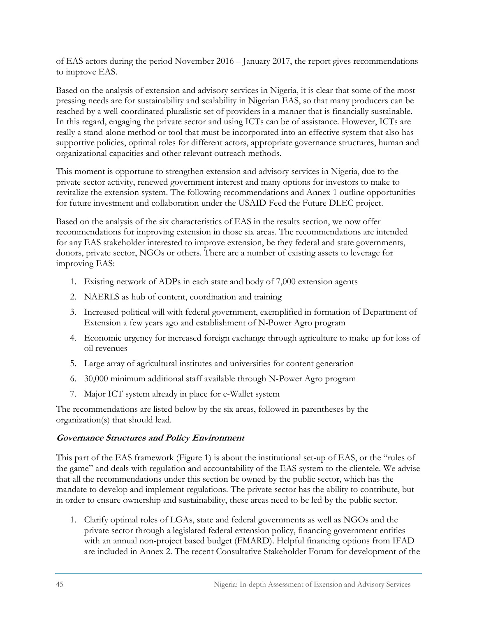of EAS actors during the period November 2016 – January 2017, the report gives recommendations to improve EAS.

Based on the analysis of extension and advisory services in Nigeria, it is clear that some of the most pressing needs are for sustainability and scalability in Nigerian EAS, so that many producers can be reached by a well-coordinated pluralistic set of providers in a manner that is financially sustainable. In this regard, engaging the private sector and using ICTs can be of assistance. However, ICTs are really a stand-alone method or tool that must be incorporated into an effective system that also has supportive policies, optimal roles for different actors, appropriate governance structures, human and organizational capacities and other relevant outreach methods.

This moment is opportune to strengthen extension and advisory services in Nigeria, due to the private sector activity, renewed government interest and many options for investors to make to revitalize the extension system. The following recommendations and Annex 1 outline opportunities for future investment and collaboration under the USAID Feed the Future DLEC project.

Based on the analysis of the six characteristics of EAS in the results section, we now offer recommendations for improving extension in those six areas. The recommendations are intended for any EAS stakeholder interested to improve extension, be they federal and state governments, donors, private sector, NGOs or others. There are a number of existing assets to leverage for improving EAS:

- 1. Existing network of ADPs in each state and body of 7,000 extension agents
- 2. NAERLS as hub of content, coordination and training
- 3. Increased political will with federal government, exemplified in formation of Department of Extension a few years ago and establishment of N-Power Agro program
- 4. Economic urgency for increased foreign exchange through agriculture to make up for loss of oil revenues
- 5. Large array of agricultural institutes and universities for content generation
- 6. 30,000 minimum additional staff available through N-Power Agro program
- 7. Major ICT system already in place for e-Wallet system

The recommendations are listed below by the six areas, followed in parentheses by the organization(s) that should lead.

#### **Governance Structures and Policy Environment**

This part of the EAS framework (Figure 1) is about the institutional set-up of EAS, or the "rules of the game" and deals with regulation and accountability of the EAS system to the clientele. We advise that all the recommendations under this section be owned by the public sector, which has the mandate to develop and implement regulations. The private sector has the ability to contribute, but in order to ensure ownership and sustainability, these areas need to be led by the public sector.

1. Clarify optimal roles of LGAs, state and federal governments as well as NGOs and the private sector through a legislated federal extension policy, financing government entities with an annual non-project based budget (FMARD). Helpful financing options from IFAD are included in Annex 2. The recent Consultative Stakeholder Forum for development of the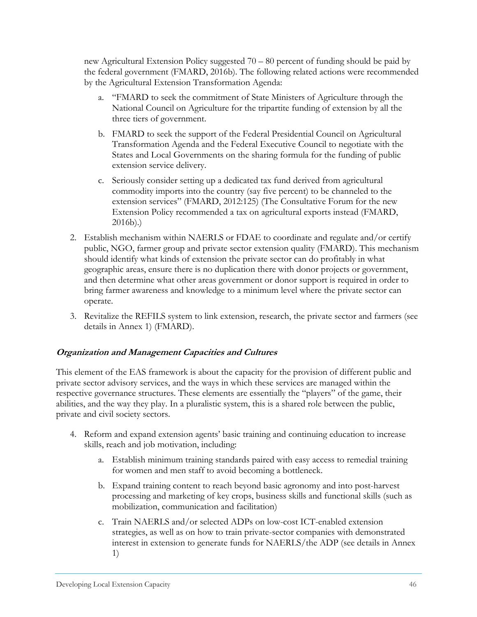new Agricultural Extension Policy suggested 70 – 80 percent of funding should be paid by the federal government (FMARD, 2016b). The following related actions were recommended by the Agricultural Extension Transformation Agenda:

- a. "FMARD to seek the commitment of State Ministers of Agriculture through the National Council on Agriculture for the tripartite funding of extension by all the three tiers of government.
- b. FMARD to seek the support of the Federal Presidential Council on Agricultural Transformation Agenda and the Federal Executive Council to negotiate with the States and Local Governments on the sharing formula for the funding of public extension service delivery.
- c. Seriously consider setting up a dedicated tax fund derived from agricultural commodity imports into the country (say five percent) to be channeled to the extension services" (FMARD, 2012:125) (The Consultative Forum for the new Extension Policy recommended a tax on agricultural exports instead (FMARD, 2016b).)
- 2. Establish mechanism within NAERLS or FDAE to coordinate and regulate and/or certify public, NGO, farmer group and private sector extension quality (FMARD). This mechanism should identify what kinds of extension the private sector can do profitably in what geographic areas, ensure there is no duplication there with donor projects or government, and then determine what other areas government or donor support is required in order to bring farmer awareness and knowledge to a minimum level where the private sector can operate.
- 3. Revitalize the REFILS system to link extension, research, the private sector and farmers (see details in Annex 1) (FMARD).

#### **Organization and Management Capacities and Cultures**

This element of the EAS framework is about the capacity for the provision of different public and private sector advisory services, and the ways in which these services are managed within the respective governance structures. These elements are essentially the "players" of the game, their abilities, and the way they play. In a pluralistic system, this is a shared role between the public, private and civil society sectors.

- 4. Reform and expand extension agents' basic training and continuing education to increase skills, reach and job motivation, including:
	- a. Establish minimum training standards paired with easy access to remedial training for women and men staff to avoid becoming a bottleneck.
	- b. Expand training content to reach beyond basic agronomy and into post-harvest processing and marketing of key crops, business skills and functional skills (such as mobilization, communication and facilitation)
	- c. Train NAERLS and/or selected ADPs on low-cost ICT-enabled extension strategies, as well as on how to train private-sector companies with demonstrated interest in extension to generate funds for NAERLS/the ADP (see details in Annex 1)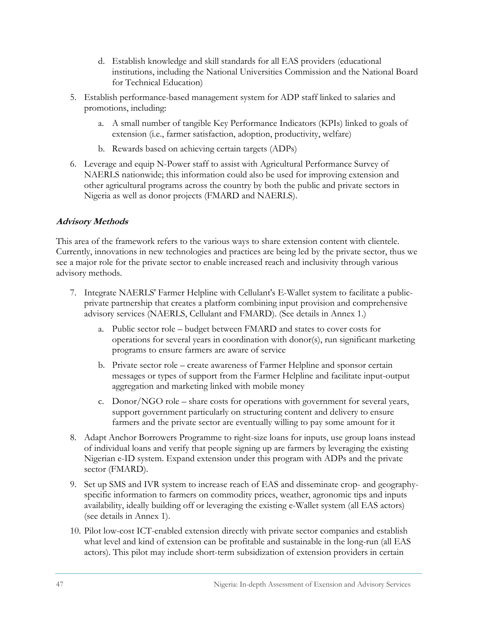- d. Establish knowledge and skill standards for all EAS providers (educational institutions, including the National Universities Commission and the National Board for Technical Education)
- 5. Establish performance-based management system for ADP staff linked to salaries and promotions, including:
	- a. A small number of tangible Key Performance Indicators (KPIs) linked to goals of extension (i.e., farmer satisfaction, adoption, productivity, welfare)
	- b. Rewards based on achieving certain targets (ADPs)
- 6. Leverage and equip N-Power staff to assist with Agricultural Performance Survey of NAERLS nationwide; this information could also be used for improving extension and other agricultural programs across the country by both the public and private sectors in Nigeria as well as donor projects (FMARD and NAERLS).

#### **Advisory Methods**

This area of the framework refers to the various ways to share extension content with clientele. Currently, innovations in new technologies and practices are being led by the private sector, thus we see a major role for the private sector to enable increased reach and inclusivity through various advisory methods.

- 7. Integrate NAERLS' Farmer Helpline with Cellulant's E-Wallet system to facilitate a publicprivate partnership that creates a platform combining input provision and comprehensive advisory services (NAERLS, Cellulant and FMARD). (See details in Annex 1.)
	- a. Public sector role budget between FMARD and states to cover costs for operations for several years in coordination with donor(s), run significant marketing programs to ensure farmers are aware of service
	- b. Private sector role create awareness of Farmer Helpline and sponsor certain messages or types of support from the Farmer Helpline and facilitate input-output aggregation and marketing linked with mobile money
	- c. Donor/NGO role share costs for operations with government for several years, support government particularly on structuring content and delivery to ensure farmers and the private sector are eventually willing to pay some amount for it
- 8. Adapt Anchor Borrowers Programme to right-size loans for inputs, use group loans instead of individual loans and verify that people signing up are farmers by leveraging the existing Nigerian e-ID system. Expand extension under this program with ADPs and the private sector (FMARD).
- 9. Set up SMS and IVR system to increase reach of EAS and disseminate crop- and geographyspecific information to farmers on commodity prices, weather, agronomic tips and inputs availability, ideally building off or leveraging the existing e-Wallet system (all EAS actors) (see details in Annex 1).
- 10. Pilot low-cost ICT-enabled extension directly with private sector companies and establish what level and kind of extension can be profitable and sustainable in the long-run (all EAS actors). This pilot may include short-term subsidization of extension providers in certain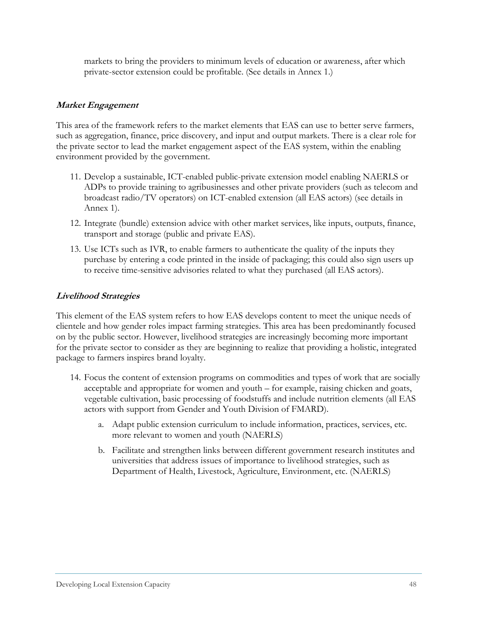markets to bring the providers to minimum levels of education or awareness, after which private-sector extension could be profitable. (See details in Annex 1.)

#### **Market Engagement**

This area of the framework refers to the market elements that EAS can use to better serve farmers, such as aggregation, finance, price discovery, and input and output markets. There is a clear role for the private sector to lead the market engagement aspect of the EAS system, within the enabling environment provided by the government.

- 11. Develop a sustainable, ICT-enabled public-private extension model enabling NAERLS or ADPs to provide training to agribusinesses and other private providers (such as telecom and broadcast radio/TV operators) on ICT-enabled extension (all EAS actors) (see details in Annex 1).
- 12. Integrate (bundle) extension advice with other market services, like inputs, outputs, finance, transport and storage (public and private EAS).
- 13. Use ICTs such as IVR, to enable farmers to authenticate the quality of the inputs they purchase by entering a code printed in the inside of packaging; this could also sign users up to receive time-sensitive advisories related to what they purchased (all EAS actors).

#### **Livelihood Strategies**

This element of the EAS system refers to how EAS develops content to meet the unique needs of clientele and how gender roles impact farming strategies. This area has been predominantly focused on by the public sector. However, livelihood strategies are increasingly becoming more important for the private sector to consider as they are beginning to realize that providing a holistic, integrated package to farmers inspires brand loyalty.

- 14. Focus the content of extension programs on commodities and types of work that are socially acceptable and appropriate for women and youth – for example, raising chicken and goats, vegetable cultivation, basic processing of foodstuffs and include nutrition elements (all EAS actors with support from Gender and Youth Division of FMARD).
	- a. Adapt public extension curriculum to include information, practices, services, etc. more relevant to women and youth (NAERLS)
	- b. Facilitate and strengthen links between different government research institutes and universities that address issues of importance to livelihood strategies, such as Department of Health, Livestock, Agriculture, Environment, etc. (NAERLS)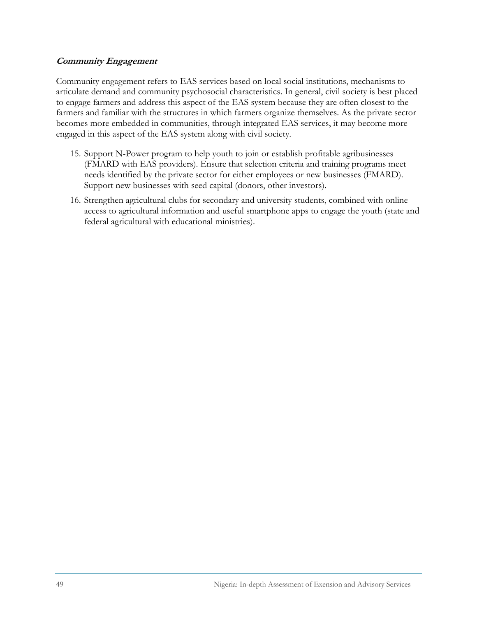#### **Community Engagement**

Community engagement refers to EAS services based on local social institutions, mechanisms to articulate demand and community psychosocial characteristics. In general, civil society is best placed to engage farmers and address this aspect of the EAS system because they are often closest to the farmers and familiar with the structures in which farmers organize themselves. As the private sector becomes more embedded in communities, through integrated EAS services, it may become more engaged in this aspect of the EAS system along with civil society.

- 15. Support N-Power program to help youth to join or establish profitable agribusinesses (FMARD with EAS providers). Ensure that selection criteria and training programs meet needs identified by the private sector for either employees or new businesses (FMARD). Support new businesses with seed capital (donors, other investors).
- 16. Strengthen agricultural clubs for secondary and university students, combined with online access to agricultural information and useful smartphone apps to engage the youth (state and federal agricultural with educational ministries).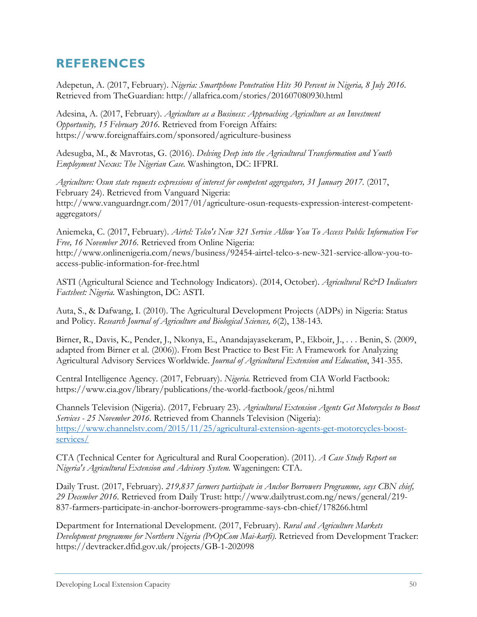## **REFERENCES**

Adepetun, A. (2017, February). *Nigeria: Smartphone Penetration Hits 30 Percent in Nigeria, 8 July 2016.* Retrieved from TheGuardian: http://allafrica.com/stories/201607080930.html

Adesina, A. (2017, February). *Agriculture as a Business: Approaching Agriculture as an Investment Opportunity, 15 February 2016.* Retrieved from Foreign Affairs: https://www.foreignaffairs.com/sponsored/agriculture-business

Adesugba, M., & Mavrotas, G. (2016). *Delving Deep into the Agricultural Transformation and Youth Employment Nexus: The Nigerian Case.* Washington, DC: IFPRI.

*Agriculture: Osun state requests expressions of interest for competent aggregators, 31 January 2017.* (2017, February 24). Retrieved from Vanguard Nigeria: http://www.vanguardngr.com/2017/01/agriculture-osun-requests-expression-interest-competentaggregators/

Aniemeka, C. (2017, February). *Airtel: Telco's New 321 Service Allow You To Access Public Information For Free, 16 November 2016.* Retrieved from Online Nigeria: http://www.onlinenigeria.com/news/business/92454-airtel-telco-s-new-321-service-allow-you-toaccess-public-information-for-free.html

ASTI (Agricultural Science and Technology Indicators). (2014, October). *Agricultural R&D Indicators Factsheet: Nigeria.* Washington, DC: ASTI.

Auta, S., & Dafwang, I. (2010). The Agricultural Development Projects (ADPs) in Nigeria: Status and Policy. *Research Journal of Agriculture and Biological Sciences, 6*(2), 138-143.

Birner, R., Davis, K., Pender, J., Nkonya, E., Anandajayasekeram, P., Ekboir, J., . . . Benin, S. (2009, adapted from Birner et al. (2006)). From Best Practice to Best Fit: A Framework for Analyzing Agricultural Advisory Services Worldwide. *Journal of Agricultural Extension and Education*, 341-355.

Central Intelligence Agency. (2017, February). *Nigeria.* Retrieved from CIA World Factbook: https://www.cia.gov/library/publications/the-world-factbook/geos/ni.html

Channels Television (Nigeria). (2017, February 23). *Agricultural Extension Agents Get Motorcycles to Boost Services - 25 November 2016*. Retrieved from Channels Television (Nigeria): https://www.channelstv.com/2015/11/25/agricultural-extension-agents-get-motorcycles-boostservices/

CTA (Technical Center for Agricultural and Rural Cooperation). (2011). *A Case Study Report on Nigeria's Agricultural Extension and Advisory System.* Wageningen: CTA.

Daily Trust. (2017, February). *219,837 farmers participate in Anchor Borrowers Programme, says CBN chief, 29 December 2016.* Retrieved from Daily Trust: http://www.dailytrust.com.ng/news/general/219- 837-farmers-participate-in-anchor-borrowers-programme-says-cbn-chief/178266.html

Department for International Development. (2017, February). *Rural and Agriculture Markets Development programme for Northern Nigeria (PrOpCom Mai-karfi).* Retrieved from Development Tracker: https://devtracker.dfid.gov.uk/projects/GB-1-202098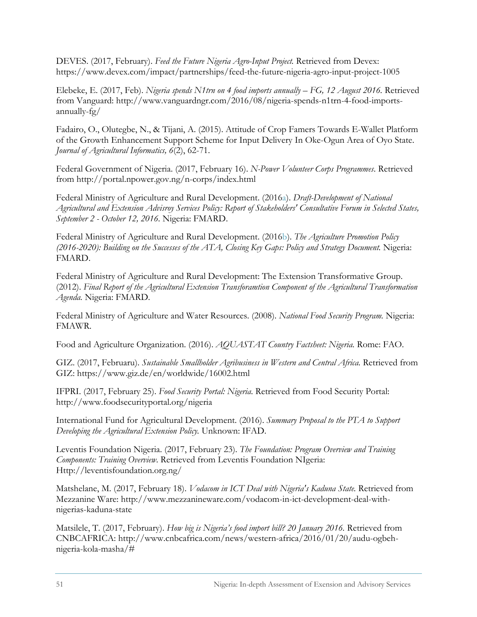DEVES. (2017, February). *Feed the Future Nigeria Agro-Input Project.* Retrieved from Devex: https://www.devex.com/impact/partnerships/feed-the-future-nigeria-agro-input-project-1005

Elebeke, E. (2017, Feb). *Nigeria spends N1trn on 4 food imports annually – FG, 12 August 2016.* Retrieved from Vanguard: http://www.vanguardngr.com/2016/08/nigeria-spends-n1trn-4-food-importsannually-fg/

Fadairo, O., Olutegbe, N., & Tijani, A. (2015). Attitude of Crop Famers Towards E-Wallet Platform of the Growth Enhancement Support Scheme for Input Delivery In Oke-Ogun Area of Oyo State. *Journal of Agricultural Informatics, 6*(2), 62-71.

Federal Government of Nigeria. (2017, February 16). *N-Power Volunteer Corps Programmes*. Retrieved from http://portal.npower.gov.ng/n-corps/index.html

Federal Ministry of Agriculture and Rural Development. (2016a). *Draft-Development of National Agricultural and Extension Advisroy Services Policy: Report of Stakeholders' Consultative Forum in Selected States, September 2 - October 12, 2016.* Nigeria: FMARD.

Federal Ministry of Agriculture and Rural Development. (2016b). *The Agriculture Promotion Policy (2016-2020): Building on the Successes of the ATA, Closing Key Gaps: Policy and Strategy Document.* Nigeria: FMARD.

Federal Ministry of Agriculture and Rural Development: The Extension Transformative Group. (2012). *Final Report of the Agricultural Extension Transforamtion Component of the Agricultural Transformation Agenda.* Nigeria: FMARD.

Federal Ministry of Agriculture and Water Resources. (2008). *National Food Security Program.* Nigeria: FMAWR.

Food and Agriculture Organization. (2016). *AQUASTAT Country Factsheet: Nigeria.* Rome: FAO.

GIZ. (2017, Februaru). *Sustainable Smallholder Agribusiness in Western and Central Africa.* Retrieved from GIZ: https://www.giz.de/en/worldwide/16002.html

IFPRI. (2017, February 25). *Food Security Portal: Nigeria*. Retrieved from Food Security Portal: http://www.foodsecurityportal.org/nigeria

International Fund for Agricultural Development. (2016). *Summary Proposal to the PTA to Support Developing the Agricultural Extension Policy.* Unknown: IFAD.

Leventis Foundation Nigeria. (2017, February 23). *The Foundation: Program Overview and Training Components: Training Overview*. Retrieved from Leventis Foundation NIgeria: Http://leventisfoundation.org.ng/

Matshelane, M. (2017, February 18). *Vodacom in ICT Deal with Nigeria's Kaduna State.* Retrieved from Mezzanine Ware: http://www.mezzanineware.com/vodacom-in-ict-development-deal-withnigerias-kaduna-state

Matsilele, T. (2017, February). *How big is Nigeria's food import bill? 20 January 2016.* Retrieved from CNBCAFRICA: http://www.cnbcafrica.com/news/western-africa/2016/01/20/audu-ogbehnigeria-kola-masha/#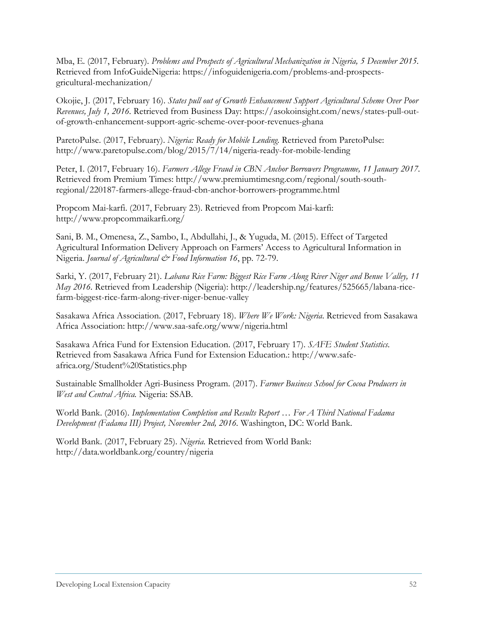Mba, E. (2017, February). *Problems and Prospects of Agricultural Mechanization in Nigeria, 5 December 2015.* Retrieved from InfoGuideNigeria: https://infoguidenigeria.com/problems-and-prospectsgricultural-mechanization/

Okojie, J. (2017, February 16). *States pull out of Growth Enhancement Support Agricultural Scheme Over Poor Revenues, July 1, 2016.* Retrieved from Business Day: https://asokoinsight.com/news/states-pull-outof-growth-enhancement-support-agric-scheme-over-poor-revenues-ghana

ParetoPulse. (2017, February). *Nigeria: Ready for Mobile Lending.* Retrieved from ParetoPulse: http://www.paretopulse.com/blog/2015/7/14/nigeria-ready-for-mobile-lending

Peter, I. (2017, February 16). *Farmers Allege Fraud in CBN Anchor Borrowers Programme, 11 January 2017.* Retrieved from Premium Times: http://www.premiumtimesng.com/regional/south-southregional/220187-farmers-allege-fraud-cbn-anchor-borrowers-programme.html

Propcom Mai-karfi. (2017, February 23). Retrieved from Propcom Mai-karfi: http://www.propcommaikarfi.org/

Sani, B. M., Omenesa, Z., Sambo, I., Abdullahi, J., & Yuguda, M. (2015). Effect of Targeted Agricultural Information Delivery Approach on Farmers' Access to Agricultural Information in Nigeria. *Journal of Agricultural & Food Information 16*, pp. 72-79.

Sarki, Y. (2017, February 21). *Labana Rice Farm: Biggest Rice Farm Along River Niger and Benue Valley, 11 May 2016.* Retrieved from Leadership (Nigeria): http://leadership.ng/features/525665/labana-ricefarm-biggest-rice-farm-along-river-niger-benue-valley

Sasakawa Africa Association. (2017, February 18). *Where We Work: Nigeria*. Retrieved from Sasakawa Africa Association: http://www.saa-safe.org/www/nigeria.html

Sasakawa Africa Fund for Extension Education. (2017, February 17). *SAFE Student Statistics*. Retrieved from Sasakawa Africa Fund for Extension Education.: http://www.safeafrica.org/Student%20Statistics.php

Sustainable Smallholder Agri-Business Program. (2017). *Farmer Business School for Cocoa Producers in West and Central Africa.* Nigeria: SSAB.

World Bank. (2016). *Implementation Completion and Results Report … For A Third National Fadama Development (Fadama III) Project, November 2nd, 2016.* Washington, DC: World Bank.

World Bank. (2017, February 25). *Nigeria.* Retrieved from World Bank: http://data.worldbank.org/country/nigeria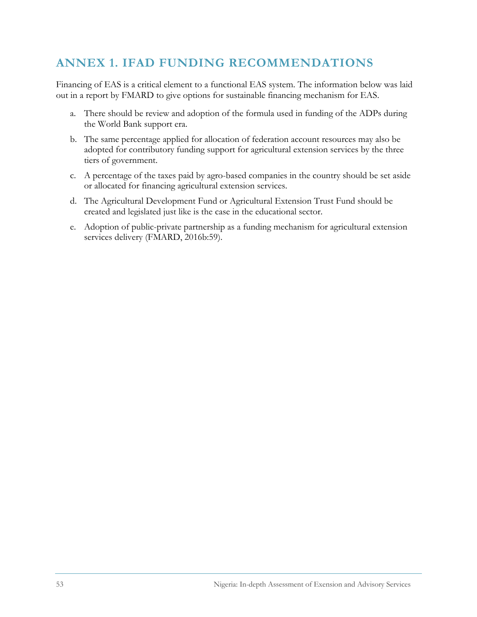### **ANNEX 1. IFAD FUNDING RECOMMENDATIONS**

Financing of EAS is a critical element to a functional EAS system. The information below was laid out in a report by FMARD to give options for sustainable financing mechanism for EAS.

- a. There should be review and adoption of the formula used in funding of the ADPs during the World Bank support era.
- b. The same percentage applied for allocation of federation account resources may also be adopted for contributory funding support for agricultural extension services by the three tiers of government.
- c. A percentage of the taxes paid by agro-based companies in the country should be set aside or allocated for financing agricultural extension services.
- d. The Agricultural Development Fund or Agricultural Extension Trust Fund should be created and legislated just like is the case in the educational sector.
- e. Adoption of public-private partnership as a funding mechanism for agricultural extension services delivery (FMARD, 2016b:59).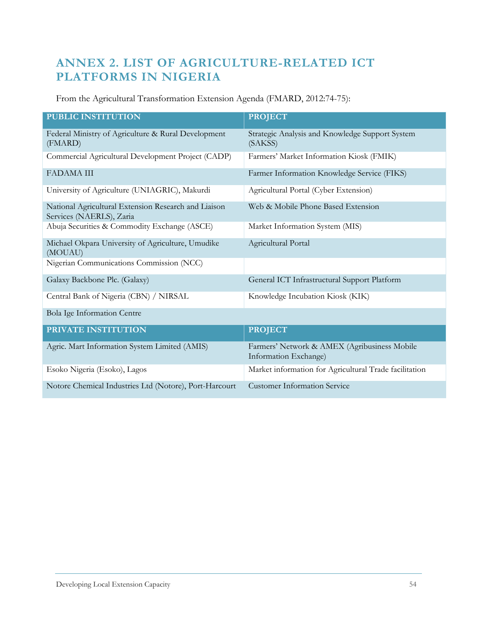## **ANNEX 2. LIST OF AGRICULTURE-RELATED ICT PLATFORMS IN NIGERIA**

From the Agricultural Transformation Extension Agenda (FMARD, 2012:74-75):

| <b>PUBLIC INSTITUTION</b>                                                        | <b>PROJECT</b>                                                        |
|----------------------------------------------------------------------------------|-----------------------------------------------------------------------|
| Federal Ministry of Agriculture & Rural Development<br>(FMARD)                   | Strategic Analysis and Knowledge Support System<br>(SAKSS)            |
| Commercial Agricultural Development Project (CADP)                               | Farmers' Market Information Kiosk (FMIK)                              |
| <b>FADAMA III</b>                                                                | Farmer Information Knowledge Service (FIKS)                           |
| University of Agriculture (UNIAGRIC), Makurdi                                    | Agricultural Portal (Cyber Extension)                                 |
| National Agricultural Extension Research and Liaison<br>Services (NAERLS), Zaria | Web & Mobile Phone Based Extension                                    |
| Abuja Securities & Commodity Exchange (ASCE)                                     | Market Information System (MIS)                                       |
| Michael Okpara University of Agriculture, Umudike<br>(MOUAU)                     | Agricultural Portal                                                   |
| Nigerian Communications Commission (NCC)                                         |                                                                       |
| Galaxy Backbone Plc. (Galaxy)                                                    | General ICT Infrastructural Support Platform                          |
| Central Bank of Nigeria (CBN) / NIRSAL                                           | Knowledge Incubation Kiosk (KIK)                                      |
| Bola Ige Information Centre                                                      |                                                                       |
| PRIVATE INSTITUTION                                                              | <b>PROJECT</b>                                                        |
| Agric. Mart Information System Limited (AMIS)                                    | Farmers' Network & AMEX (Agribusiness Mobile<br>Information Exchange) |
| Esoko Nigeria (Esoko), Lagos                                                     | Market information for Agricultural Trade facilitation                |

Notore Chemical Industries Ltd (Notore), Port-Harcourt Customer Information Service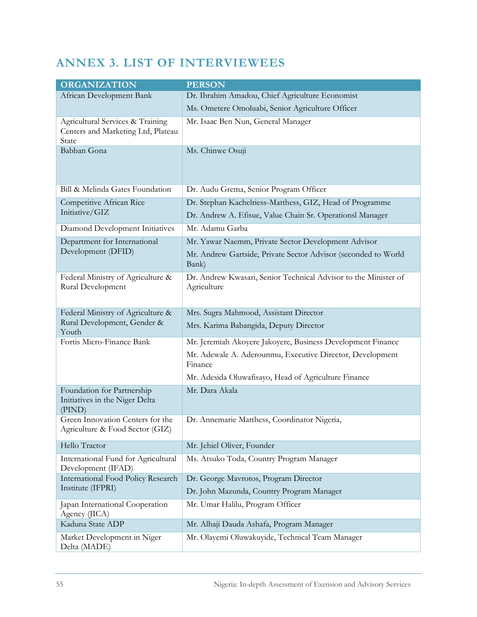# **ANNEX 3. LIST OF INTERVIEWEES**

| <b>ORGANIZATION</b>                                                             | <b>PERSON</b>                                                                  |
|---------------------------------------------------------------------------------|--------------------------------------------------------------------------------|
| African Development Bank                                                        | Dr. Ibrahim Amadou, Chief Agriculture Economist                                |
|                                                                                 | Ms. Ometere Omoluabi, Senior Agriculture Officer                               |
| Agricultural Services & Training<br>Centers and Marketing Ltd, Plateau<br>State | Mr. Isaac Ben Nun, General Manager                                             |
| Babban Gona                                                                     | Ms. Chinwe Osuji                                                               |
| Bill & Melinda Gates Foundation                                                 | Dr. Audu Grema, Senior Program Officer                                         |
| Competitive African Rice                                                        | Dr. Stephan Kachelriess-Matthess, GIZ, Head of Programme                       |
| Initiative/GIZ                                                                  | Dr. Andrew A. Efisue, Value Chain Sr. Operationsl Manager                      |
| Diamond Development Initiatives                                                 | Mr. Adamu Garba                                                                |
| Department for International                                                    | Mr. Yawar Naemm, Private Sector Development Advisor                            |
| Development (DFID)                                                              | Mr. Andrew Gartside, Private Sector Advisor (seconded to World<br>Bank)        |
| Federal Ministry of Agriculture &<br>Rural Development                          | Dr. Andrew Kwasari, Senior Technical Advisor to the Minister of<br>Agriculture |
| Federal Ministry of Agriculture &                                               | Mrs. Sugra Mahmood, Assistant Director                                         |
| Rural Development, Gender &<br>Youth                                            | Mrs. Karima Babangida, Deputy Director                                         |
| Fortis Micro-Finance Bank                                                       | Mr. Jeremiah Akoyere Jakoyere, Business Development Finance                    |
|                                                                                 | Mr. Adewale A. Aderounmu, Executive Director, Development<br>Finance           |
|                                                                                 | Mr. Adesida Oluwafisayo, Head of Agriculture Finance                           |
| Foundation for Partnership<br>Initiatives in the Niger Delta<br>(PIND)          | Mr. Dara Akala                                                                 |
| Green Innovation Centers for the<br>Agriculture & Food Sector (GIZ)             | Dr. Annemarie Matthess, Coordinator Nigeria,                                   |
| Hello Tractor                                                                   | Mr. Jehiel Oliver, Founder                                                     |
| International Fund for Agricultural<br>Development (IFAD)                       | Ms. Atsuko Toda, Country Program Manager                                       |
| <b>International Food Policy Research</b>                                       | Dr. George Mavrotos, Program Director                                          |
| Institute (IFPRI)                                                               | Dr. John Mazunda, Country Program Manager                                      |
| Japan International Cooperation<br>Agency (JICA)                                | Mr. Umar Halilu, Program Officer                                               |
| Kaduna State ADP                                                                | Mr. Alhaji Dauda Ashafa, Program Manager                                       |
| Market Development in Niger<br>Delta (MADE)                                     | Mr. Olayemi Oluwakuyide, Technical Team Manager                                |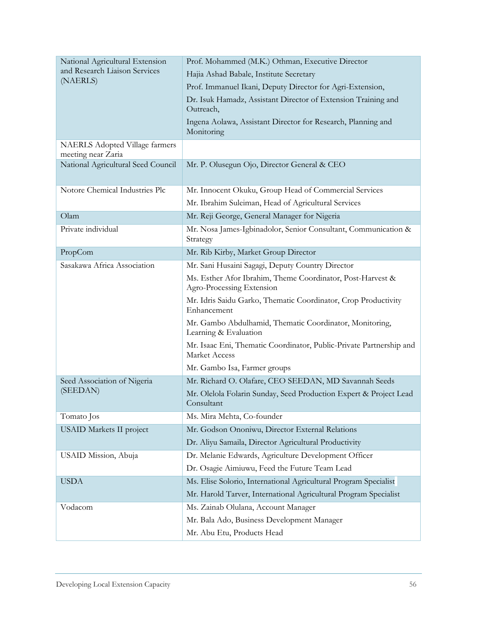| National Agricultural Extension                             | Prof. Mohammed (M.K.) Othman, Executive Director                                            |  |
|-------------------------------------------------------------|---------------------------------------------------------------------------------------------|--|
| and Research Liaison Services                               | Hajia Ashad Babale, Institute Secretary                                                     |  |
| (NAERLS)                                                    | Prof. Immanuel Ikani, Deputy Director for Agri-Extension,                                   |  |
|                                                             | Dr. Isuk Hamadz, Assistant Director of Extension Training and<br>Outreach,                  |  |
|                                                             | Ingena Aolawa, Assistant Director for Research, Planning and<br>Monitoring                  |  |
| <b>NAERLS</b> Adopted Village farmers<br>meeting near Zaria |                                                                                             |  |
| National Agricultural Seed Council                          | Mr. P. Olusegun Ojo, Director General & CEO                                                 |  |
| Notore Chemical Industries Plc                              | Mr. Innocent Okuku, Group Head of Commercial Services                                       |  |
|                                                             | Mr. Ibrahim Suleiman, Head of Agricultural Services                                         |  |
| Olam                                                        | Mr. Reji George, General Manager for Nigeria                                                |  |
| Private individual                                          | Mr. Nosa James-Igbinadolor, Senior Consultant, Communication &<br>Strategy                  |  |
| PropCom                                                     | Mr. Rib Kirby, Market Group Director                                                        |  |
| Sasakawa Africa Association                                 | Mr. Sani Husaini Sagagi, Deputy Country Director                                            |  |
|                                                             | Ms. Esther Afor Ibrahim, Theme Coordinator, Post-Harvest &<br>Agro-Processing Extension     |  |
|                                                             | Mr. Idris Saidu Garko, Thematic Coordinator, Crop Productivity<br>Enhancement               |  |
|                                                             | Mr. Gambo Abdulhamid, Thematic Coordinator, Monitoring,<br>Learning & Evaluation            |  |
|                                                             | Mr. Isaac Eni, Thematic Coordinator, Public-Private Partnership and<br><b>Market Access</b> |  |
|                                                             | Mr. Gambo Isa, Farmer groups                                                                |  |
| Seed Association of Nigeria                                 | Mr. Richard O. Olafare, CEO SEEDAN, MD Savannah Seeds                                       |  |
| (SEEDAN)                                                    | Mr. Olelola Folarin Sunday, Seed Production Expert & Project Lead<br>Consultant             |  |
| Tomato Jos                                                  | Ms. Mira Mehta, Co-founder                                                                  |  |
| <b>USAID Markets II project</b>                             | Mr. Godson Ononiwu, Director External Relations                                             |  |
|                                                             | Dr. Aliyu Samaila, Director Agricultural Productivity                                       |  |
| USAID Mission, Abuja                                        | Dr. Melanie Edwards, Agriculture Development Officer                                        |  |
|                                                             | Dr. Osagie Aimiuwu, Feed the Future Team Lead                                               |  |
| <b>USDA</b>                                                 | Ms. Elise Solorio, International Agricultural Program Specialist                            |  |
|                                                             | Mr. Harold Tarver, International Agricultural Program Specialist                            |  |
| Vodacom                                                     | Ms. Zainab Olulana, Account Manager                                                         |  |
|                                                             | Mr. Bala Ado, Business Development Manager                                                  |  |
|                                                             | Mr. Abu Etu, Products Head                                                                  |  |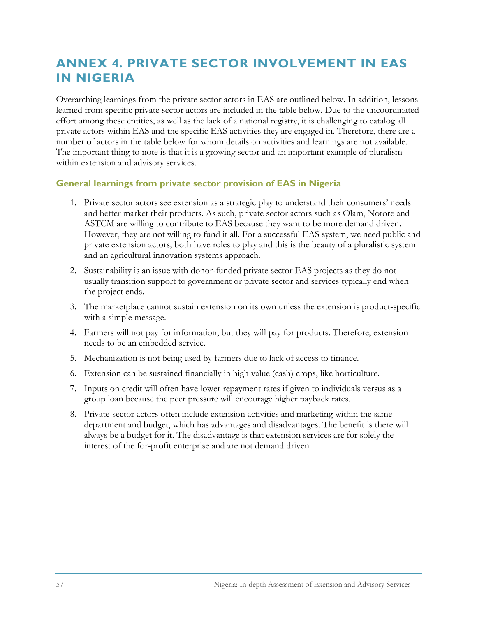# **ANNEX 4. PRIVATE SECTOR INVOLVEMENT IN EAS IN NIGERIA**

Overarching learnings from the private sector actors in EAS are outlined below. In addition, lessons learned from specific private sector actors are included in the table below. Due to the uncoordinated effort among these entities, as well as the lack of a national registry, it is challenging to catalog all private actors within EAS and the specific EAS activities they are engaged in. Therefore, there are a number of actors in the table below for whom details on activities and learnings are not available. The important thing to note is that it is a growing sector and an important example of pluralism within extension and advisory services.

#### **General learnings from private sector provision of EAS in Nigeria**

- 1. Private sector actors see extension as a strategic play to understand their consumers' needs and better market their products. As such, private sector actors such as Olam, Notore and ASTCM are willing to contribute to EAS because they want to be more demand driven. However, they are not willing to fund it all. For a successful EAS system, we need public and private extension actors; both have roles to play and this is the beauty of a pluralistic system and an agricultural innovation systems approach.
- 2. Sustainability is an issue with donor-funded private sector EAS projects as they do not usually transition support to government or private sector and services typically end when the project ends.
- 3. The marketplace cannot sustain extension on its own unless the extension is product-specific with a simple message.
- 4. Farmers will not pay for information, but they will pay for products. Therefore, extension needs to be an embedded service.
- 5. Mechanization is not being used by farmers due to lack of access to finance.
- 6. Extension can be sustained financially in high value (cash) crops, like horticulture.
- 7. Inputs on credit will often have lower repayment rates if given to individuals versus as a group loan because the peer pressure will encourage higher payback rates.
- 8. Private-sector actors often include extension activities and marketing within the same department and budget, which has advantages and disadvantages. The benefit is there will always be a budget for it. The disadvantage is that extension services are for solely the interest of the for-profit enterprise and are not demand driven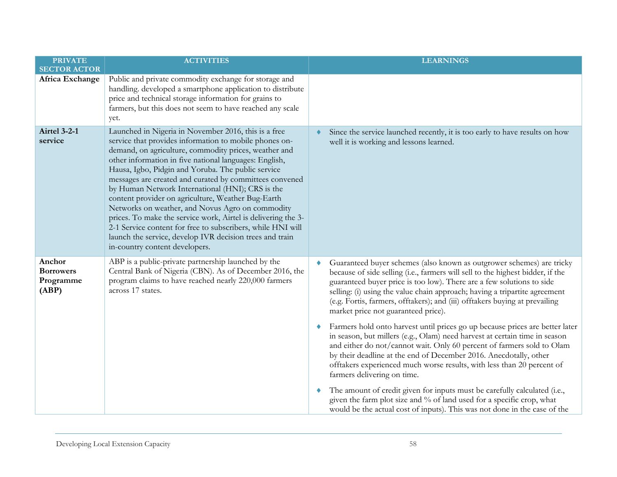| <b>PRIVATE</b><br><b>SECTOR ACTOR</b>            | <b>ACTIVITIES</b>                                                                                                                                                                                                                                                                                                                                                                                                                                                                                                                                                                                                                                                                                                                              | <b>LEARNINGS</b>                                                                                                                                                                                                                                                                                                                                                                                                                     |
|--------------------------------------------------|------------------------------------------------------------------------------------------------------------------------------------------------------------------------------------------------------------------------------------------------------------------------------------------------------------------------------------------------------------------------------------------------------------------------------------------------------------------------------------------------------------------------------------------------------------------------------------------------------------------------------------------------------------------------------------------------------------------------------------------------|--------------------------------------------------------------------------------------------------------------------------------------------------------------------------------------------------------------------------------------------------------------------------------------------------------------------------------------------------------------------------------------------------------------------------------------|
| Africa Exchange                                  | Public and private commodity exchange for storage and<br>handling. developed a smartphone application to distribute<br>price and technical storage information for grains to<br>farmers, but this does not seem to have reached any scale<br>yet.                                                                                                                                                                                                                                                                                                                                                                                                                                                                                              |                                                                                                                                                                                                                                                                                                                                                                                                                                      |
| <b>Airtel 3-2-1</b><br>service                   | Launched in Nigeria in November 2016, this is a free<br>service that provides information to mobile phones on-<br>demand, on agriculture, commodity prices, weather and<br>other information in five national languages: English,<br>Hausa, Igbo, Pidgin and Yoruba. The public service<br>messages are created and curated by committees convened<br>by Human Network International (HNI); CRS is the<br>content provider on agriculture, Weather Bug-Earth<br>Networks on weather, and Novus Agro on commodity<br>prices. To make the service work, Airtel is delivering the 3-<br>2-1 Service content for free to subscribers, while HNI will<br>launch the service, develop IVR decision trees and train<br>in-country content developers. | Since the service launched recently, it is too early to have results on how<br>well it is working and lessons learned.                                                                                                                                                                                                                                                                                                               |
| Anchor<br><b>Borrowers</b><br>Programme<br>(ABP) | ABP is a public-private partnership launched by the<br>Central Bank of Nigeria (CBN). As of December 2016, the<br>program claims to have reached nearly 220,000 farmers<br>across 17 states.                                                                                                                                                                                                                                                                                                                                                                                                                                                                                                                                                   | Guaranteed buyer schemes (also known as outgrower schemes) are tricky<br>because of side selling (i.e., farmers will sell to the highest bidder, if the<br>guaranteed buyer price is too low). There are a few solutions to side<br>selling: (i) using the value chain approach; having a tripartite agreement<br>(e.g. Fortis, farmers, offtakers); and (iii) offtakers buying at prevailing<br>market price not guaranteed price). |
|                                                  |                                                                                                                                                                                                                                                                                                                                                                                                                                                                                                                                                                                                                                                                                                                                                | Farmers hold onto harvest until prices go up because prices are better later<br>in season, but millers (e.g., Olam) need harvest at certain time in season<br>and either do not/cannot wait. Only 60 percent of farmers sold to Olam<br>by their deadline at the end of December 2016. Anecdotally, other<br>offtakers experienced much worse results, with less than 20 percent of<br>farmers delivering on time.                   |
|                                                  |                                                                                                                                                                                                                                                                                                                                                                                                                                                                                                                                                                                                                                                                                                                                                | The amount of credit given for inputs must be carefully calculated (i.e.,<br>٠<br>given the farm plot size and % of land used for a specific crop, what<br>would be the actual cost of inputs). This was not done in the case of the                                                                                                                                                                                                 |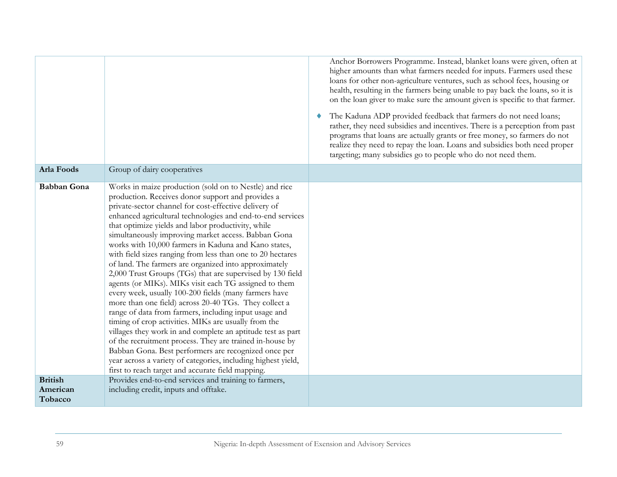|                                       |                                                                                                                                                                                                                                                                                                                                                                                                                                                                                                                                                                                                                                                                                                                                                                                                                                                                                                                                                                                                                                                                                                                                                                                                  | Anchor Borrowers Programme. Instead, blanket loans were given, often at<br>higher amounts than what farmers needed for inputs. Farmers used these<br>loans for other non-agriculture ventures, such as school fees, housing or<br>health, resulting in the farmers being unable to pay back the loans, so it is<br>on the loan giver to make sure the amount given is specific to that farmer.<br>The Kaduna ADP provided feedback that farmers do not need loans;<br>rather, they need subsidies and incentives. There is a perception from past<br>programs that loans are actually grants or free money, so farmers do not<br>realize they need to repay the loan. Loans and subsidies both need proper<br>targeting; many subsidies go to people who do not need them. |
|---------------------------------------|--------------------------------------------------------------------------------------------------------------------------------------------------------------------------------------------------------------------------------------------------------------------------------------------------------------------------------------------------------------------------------------------------------------------------------------------------------------------------------------------------------------------------------------------------------------------------------------------------------------------------------------------------------------------------------------------------------------------------------------------------------------------------------------------------------------------------------------------------------------------------------------------------------------------------------------------------------------------------------------------------------------------------------------------------------------------------------------------------------------------------------------------------------------------------------------------------|----------------------------------------------------------------------------------------------------------------------------------------------------------------------------------------------------------------------------------------------------------------------------------------------------------------------------------------------------------------------------------------------------------------------------------------------------------------------------------------------------------------------------------------------------------------------------------------------------------------------------------------------------------------------------------------------------------------------------------------------------------------------------|
| Arla Foods                            | Group of dairy cooperatives                                                                                                                                                                                                                                                                                                                                                                                                                                                                                                                                                                                                                                                                                                                                                                                                                                                                                                                                                                                                                                                                                                                                                                      |                                                                                                                                                                                                                                                                                                                                                                                                                                                                                                                                                                                                                                                                                                                                                                            |
| <b>Babban Gona</b>                    | Works in maize production (sold on to Nestle) and rice<br>production. Receives donor support and provides a<br>private-sector channel for cost-effective delivery of<br>enhanced agricultural technologies and end-to-end services<br>that optimize yields and labor productivity, while<br>simultaneously improving market access. Babban Gona<br>works with 10,000 farmers in Kaduna and Kano states,<br>with field sizes ranging from less than one to 20 hectares<br>of land. The farmers are organized into approximately<br>2,000 Trust Groups (TGs) that are supervised by 130 field<br>agents (or MIKs). MIKs visit each TG assigned to them<br>every week, usually 100-200 fields (many farmers have<br>more than one field) across 20-40 TGs. They collect a<br>range of data from farmers, including input usage and<br>timing of crop activities. MIKs are usually from the<br>villages they work in and complete an aptitude test as part<br>of the recruitment process. They are trained in-house by<br>Babban Gona. Best performers are recognized once per<br>year across a variety of categories, including highest yield,<br>first to reach target and accurate field mapping. |                                                                                                                                                                                                                                                                                                                                                                                                                                                                                                                                                                                                                                                                                                                                                                            |
| <b>British</b><br>American<br>Tobacco | Provides end-to-end services and training to farmers,<br>including credit, inputs and offtake.                                                                                                                                                                                                                                                                                                                                                                                                                                                                                                                                                                                                                                                                                                                                                                                                                                                                                                                                                                                                                                                                                                   |                                                                                                                                                                                                                                                                                                                                                                                                                                                                                                                                                                                                                                                                                                                                                                            |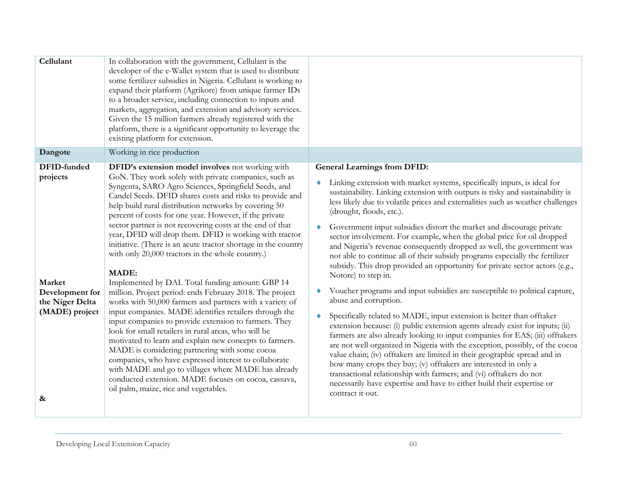| Cellulant                           | In collaboration with the government, Cellulant is the<br>developer of the e-Wallet system that is used to distribute<br>some fertilizer subsidies in Nigeria. Cellulant is working to<br>expand their platform (Agrikore) from unique farmer IDs<br>to a broader service, including connection to inputs and<br>markets, aggregation, and extension and advisory services.<br>Given the 15 million farmers already registered with the                                                                                                             |                                                                                                                                                                                                                                                                                                                                                                                                                                                                                                                                                                                                                                                                                            |
|-------------------------------------|-----------------------------------------------------------------------------------------------------------------------------------------------------------------------------------------------------------------------------------------------------------------------------------------------------------------------------------------------------------------------------------------------------------------------------------------------------------------------------------------------------------------------------------------------------|--------------------------------------------------------------------------------------------------------------------------------------------------------------------------------------------------------------------------------------------------------------------------------------------------------------------------------------------------------------------------------------------------------------------------------------------------------------------------------------------------------------------------------------------------------------------------------------------------------------------------------------------------------------------------------------------|
|                                     | platform, there is a significant opportunity to leverage the<br>existing platform for extension.                                                                                                                                                                                                                                                                                                                                                                                                                                                    |                                                                                                                                                                                                                                                                                                                                                                                                                                                                                                                                                                                                                                                                                            |
| Dangote                             | Working in rice production                                                                                                                                                                                                                                                                                                                                                                                                                                                                                                                          |                                                                                                                                                                                                                                                                                                                                                                                                                                                                                                                                                                                                                                                                                            |
| DFID-funded                         | DFID's extension model involves not working with                                                                                                                                                                                                                                                                                                                                                                                                                                                                                                    | <b>General Learnings from DFID:</b>                                                                                                                                                                                                                                                                                                                                                                                                                                                                                                                                                                                                                                                        |
| projects                            | GoN. They work solely with private companies, such as<br>Syngenta, SARO Agro Sciences, Springfield Seeds, and<br>Candel Seeds. DFID shares costs and risks to provide and<br>help build rural distribution networks by covering 50<br>percent of costs for one year. However, if the private<br>sector partner is not recovering costs at the end of that<br>year, DFID will drop them. DFID is working with tractor<br>initiative. (There is an acute tractor shortage in the country<br>with only 20,000 tractors in the whole country.)<br>MADE: | Linking extension with market systems, specifically inputs, is ideal for<br>sustainability. Linking extension with outputs is risky and sustainability is<br>less likely due to volatile prices and externalities such as weather challenges<br>(drought, floods, etc.).<br>Government input subsidies distort the market and discourage private<br>sector involvement. For example, when the global price for oil dropped<br>and Nigeria's revenue consequently dropped as well, the government was<br>not able to continue all of their subsidy programs especially the fertilizer<br>subsidy. This drop provided an opportunity for private sector actors (e.g.,<br>Notore) to step in. |
| Market<br>Development for           | Implemented by DAI. Total funding amount: GBP 14<br>million. Project period: ends February 2018. The project                                                                                                                                                                                                                                                                                                                                                                                                                                        | Voucher programs and input subsidies are susceptible to political capture,                                                                                                                                                                                                                                                                                                                                                                                                                                                                                                                                                                                                                 |
| the Niger Delta                     | works with 50,000 farmers and partners with a variety of                                                                                                                                                                                                                                                                                                                                                                                                                                                                                            | abuse and corruption.                                                                                                                                                                                                                                                                                                                                                                                                                                                                                                                                                                                                                                                                      |
| (MADE) project<br>$\boldsymbol{\&}$ | input companies. MADE identifies retailers through the<br>input companies to provide extension to farmers. They<br>look for small retailers in rural areas, who will be<br>motivated to learn and explain new concepts to farmers.<br>MADE is considering partnering with some cocoa<br>companies, who have expressed interest to collaborate<br>with MADE and go to villages where MADE has already<br>conducted extension. MADE focuses on cocoa, cassava,<br>oil palm, maize, rice and vegetables.                                               | Specifically related to MADE, input extension is better than offtaker<br>extension because: (i) public extension agents already exist for inputs; (ii)<br>farmers are also already looking to input companies for EAS; (iii) offtakers<br>are not well organized in Nigeria with the exception, possibly, of the cocoa<br>value chain; (iv) offtakers are limited in their geographic spread and in<br>how many crops they buy; (v) offtakers are interested in only a<br>transactional relationship with farmers; and (vi) offtakers do not<br>necessarily have expertise and have to either build their expertise or<br>contract it out.                                                 |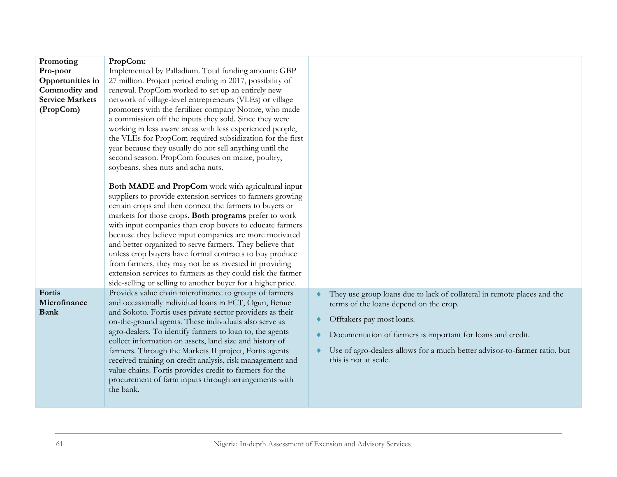| Promoting              | PropCom:                                                                                                          |                                                                           |
|------------------------|-------------------------------------------------------------------------------------------------------------------|---------------------------------------------------------------------------|
| Pro-poor               | Implemented by Palladium. Total funding amount: GBP                                                               |                                                                           |
| Opportunities in       | 27 million. Project period ending in 2017, possibility of                                                         |                                                                           |
| Commodity and          | renewal. PropCom worked to set up an entirely new                                                                 |                                                                           |
| <b>Service Markets</b> | network of village-level entrepreneurs (VLEs) or village                                                          |                                                                           |
| (PropCom)              | promoters with the fertilizer company Notore, who made                                                            |                                                                           |
|                        | a commission off the inputs they sold. Since they were                                                            |                                                                           |
|                        | working in less aware areas with less experienced people,                                                         |                                                                           |
|                        | the VLEs for PropCom required subsidization for the first                                                         |                                                                           |
|                        | year because they usually do not sell anything until the                                                          |                                                                           |
|                        | second season. PropCom focuses on maize, poultry,                                                                 |                                                                           |
|                        | soybeans, shea nuts and acha nuts.                                                                                |                                                                           |
|                        |                                                                                                                   |                                                                           |
|                        | Both MADE and PropCom work with agricultural input                                                                |                                                                           |
|                        | suppliers to provide extension services to farmers growing                                                        |                                                                           |
|                        | certain crops and then connect the farmers to buyers or                                                           |                                                                           |
|                        | markets for those crops. Both programs prefer to work                                                             |                                                                           |
|                        | with input companies than crop buyers to educate farmers                                                          |                                                                           |
|                        | because they believe input companies are more motivated                                                           |                                                                           |
|                        | and better organized to serve farmers. They believe that                                                          |                                                                           |
|                        | unless crop buyers have formal contracts to buy produce                                                           |                                                                           |
|                        | from farmers, they may not be as invested in providing                                                            |                                                                           |
|                        | extension services to farmers as they could risk the farmer                                                       |                                                                           |
|                        | side-selling or selling to another buyer for a higher price.                                                      |                                                                           |
| Fortis                 | Provides value chain microfinance to groups of farmers                                                            | They use group loans due to lack of collateral in remote places and the   |
| Microfinance           | and occasionally individual loans in FCT, Ogun, Benue                                                             | terms of the loans depend on the crop.                                    |
| <b>Bank</b>            | and Sokoto. Fortis uses private sector providers as their                                                         | Offtakers pay most loans.                                                 |
|                        | on-the-ground agents. These individuals also serve as<br>agro-dealers. To identify farmers to loan to, the agents |                                                                           |
|                        | collect information on assets, land size and history of                                                           | Documentation of farmers is important for loans and credit.               |
|                        | farmers. Through the Markets II project, Fortis agents                                                            | Use of agro-dealers allows for a much better advisor-to-farmer ratio, but |
|                        | received training on credit analysis, risk management and                                                         | this is not at scale.                                                     |
|                        | value chains. Fortis provides credit to farmers for the                                                           |                                                                           |
|                        | procurement of farm inputs through arrangements with                                                              |                                                                           |
|                        | the bank.                                                                                                         |                                                                           |
|                        |                                                                                                                   |                                                                           |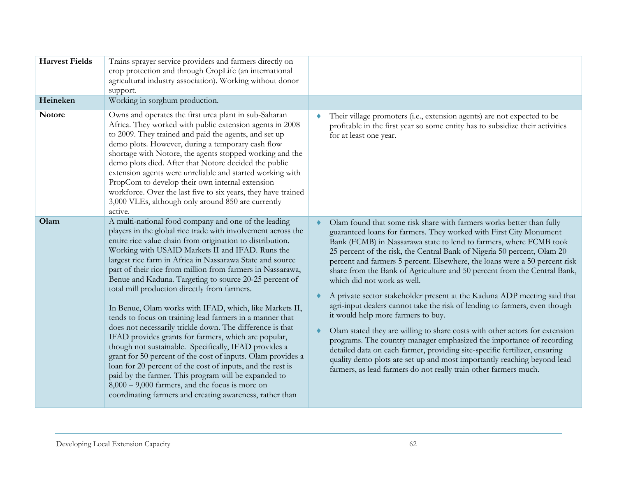| <b>Harvest Fields</b><br>Heineken | Trains sprayer service providers and farmers directly on<br>crop protection and through CropLife (an international<br>agricultural industry association). Working without donor<br>support.<br>Working in sorghum production.                                                                                                                                                                                                                                                                                                                                                                                                                                                                                                                                                                                                                                                                                                                                                                                                                                                         |                                                                                                                                                                                                                                                                                                                                                                                                                                                                                                                                                                                                                                                                                                                                                                                                                                                                                                                                                                                                                                                                          |
|-----------------------------------|---------------------------------------------------------------------------------------------------------------------------------------------------------------------------------------------------------------------------------------------------------------------------------------------------------------------------------------------------------------------------------------------------------------------------------------------------------------------------------------------------------------------------------------------------------------------------------------------------------------------------------------------------------------------------------------------------------------------------------------------------------------------------------------------------------------------------------------------------------------------------------------------------------------------------------------------------------------------------------------------------------------------------------------------------------------------------------------|--------------------------------------------------------------------------------------------------------------------------------------------------------------------------------------------------------------------------------------------------------------------------------------------------------------------------------------------------------------------------------------------------------------------------------------------------------------------------------------------------------------------------------------------------------------------------------------------------------------------------------------------------------------------------------------------------------------------------------------------------------------------------------------------------------------------------------------------------------------------------------------------------------------------------------------------------------------------------------------------------------------------------------------------------------------------------|
| <b>Notore</b>                     | Owns and operates the first urea plant in sub-Saharan<br>Africa. They worked with public extension agents in 2008<br>to 2009. They trained and paid the agents, and set up<br>demo plots. However, during a temporary cash flow<br>shortage with Notore, the agents stopped working and the<br>demo plots died. After that Notore decided the public<br>extension agents were unreliable and started working with<br>PropCom to develop their own internal extension<br>workforce. Over the last five to six years, they have trained<br>3,000 VLEs, although only around 850 are currently<br>active.                                                                                                                                                                                                                                                                                                                                                                                                                                                                                | Their village promoters (i.e., extension agents) are not expected to be<br>profitable in the first year so some entity has to subsidize their activities<br>for at least one year.                                                                                                                                                                                                                                                                                                                                                                                                                                                                                                                                                                                                                                                                                                                                                                                                                                                                                       |
| Olam                              | A multi-national food company and one of the leading<br>players in the global rice trade with involvement across the<br>entire rice value chain from origination to distribution.<br>Working with USAID Markets II and IFAD. Runs the<br>largest rice farm in Africa in Nassarawa State and source<br>part of their rice from million from farmers in Nassarawa,<br>Benue and Kaduna. Targeting to source 20-25 percent of<br>total mill production directly from farmers.<br>In Benue, Olam works with IFAD, which, like Markets II,<br>tends to focus on training lead farmers in a manner that<br>does not necessarily trickle down. The difference is that<br>IFAD provides grants for farmers, which are popular,<br>though not sustainable. Specifically, IFAD provides a<br>grant for 50 percent of the cost of inputs. Olam provides a<br>loan for 20 percent of the cost of inputs, and the rest is<br>paid by the farmer. This program will be expanded to<br>$8,000 - 9,000$ farmers, and the focus is more on<br>coordinating farmers and creating awareness, rather than | Olam found that some risk share with farmers works better than fully<br>guaranteed loans for farmers. They worked with First City Monument<br>Bank (FCMB) in Nassarawa state to lend to farmers, where FCMB took<br>25 percent of the risk, the Central Bank of Nigeria 50 percent, Olam 20<br>percent and farmers 5 percent. Elsewhere, the loans were a 50 percent risk<br>share from the Bank of Agriculture and 50 percent from the Central Bank,<br>which did not work as well.<br>A private sector stakeholder present at the Kaduna ADP meeting said that<br>agri-input dealers cannot take the risk of lending to farmers, even though<br>it would help more farmers to buy.<br>Olam stated they are willing to share costs with other actors for extension<br>programs. The country manager emphasized the importance of recording<br>detailed data on each farmer, providing site-specific fertilizer, ensuring<br>quality demo plots are set up and most importantly reaching beyond lead<br>farmers, as lead farmers do not really train other farmers much. |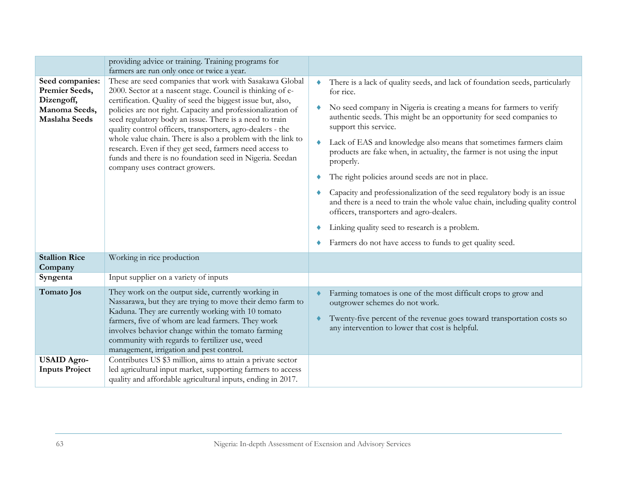|                                                                                          | providing advice or training. Training programs for<br>farmers are run only once or twice a year.                                                                                                                                                                                                                                                                                                                                                                                                                                                                                                    |                                                                                                                                                                                                                                                                                                                                                                                                                                                                                                                                                                                                                                                                                                                                                                                                                      |
|------------------------------------------------------------------------------------------|------------------------------------------------------------------------------------------------------------------------------------------------------------------------------------------------------------------------------------------------------------------------------------------------------------------------------------------------------------------------------------------------------------------------------------------------------------------------------------------------------------------------------------------------------------------------------------------------------|----------------------------------------------------------------------------------------------------------------------------------------------------------------------------------------------------------------------------------------------------------------------------------------------------------------------------------------------------------------------------------------------------------------------------------------------------------------------------------------------------------------------------------------------------------------------------------------------------------------------------------------------------------------------------------------------------------------------------------------------------------------------------------------------------------------------|
| Seed companies:<br>Premier Seeds,<br>Dizengoff,<br>Manoma Seeds,<br><b>Maslaha Seeds</b> | These are seed companies that work with Sasakawa Global<br>2000. Sector at a nascent stage. Council is thinking of e-<br>certification. Quality of seed the biggest issue but, also,<br>policies are not right. Capacity and professionalization of<br>seed regulatory body an issue. There is a need to train<br>quality control officers, transporters, agro-dealers - the<br>whole value chain. There is also a problem with the link to<br>research. Even if they get seed, farmers need access to<br>funds and there is no foundation seed in Nigeria. Seedan<br>company uses contract growers. | There is a lack of quality seeds, and lack of foundation seeds, particularly<br>۰<br>for rice.<br>No seed company in Nigeria is creating a means for farmers to verify<br>authentic seeds. This might be an opportunity for seed companies to<br>support this service.<br>Lack of EAS and knowledge also means that sometimes farmers claim<br>۰<br>products are fake when, in actuality, the farmer is not using the input<br>properly.<br>The right policies around seeds are not in place.<br>Capacity and professionalization of the seed regulatory body is an issue<br>and there is a need to train the whole value chain, including quality control<br>officers, transporters and agro-dealers.<br>Linking quality seed to research is a problem.<br>Farmers do not have access to funds to get quality seed. |
| <b>Stallion Rice</b><br>Company                                                          | Working in rice production                                                                                                                                                                                                                                                                                                                                                                                                                                                                                                                                                                           |                                                                                                                                                                                                                                                                                                                                                                                                                                                                                                                                                                                                                                                                                                                                                                                                                      |
| Syngenta                                                                                 | Input supplier on a variety of inputs                                                                                                                                                                                                                                                                                                                                                                                                                                                                                                                                                                |                                                                                                                                                                                                                                                                                                                                                                                                                                                                                                                                                                                                                                                                                                                                                                                                                      |
| Tomato Jos                                                                               | They work on the output side, currently working in<br>Nassarawa, but they are trying to move their demo farm to<br>Kaduna. They are currently working with 10 tomato<br>farmers, five of whom are lead farmers. They work<br>involves behavior change within the tomato farming<br>community with regards to fertilizer use, weed<br>management, irrigation and pest control.                                                                                                                                                                                                                        | Farming tomatoes is one of the most difficult crops to grow and<br>outgrower schemes do not work.<br>Twenty-five percent of the revenue goes toward transportation costs so<br>any intervention to lower that cost is helpful.                                                                                                                                                                                                                                                                                                                                                                                                                                                                                                                                                                                       |
| <b>USAID Agro-</b><br><b>Inputs Project</b>                                              | Contributes US \$3 million, aims to attain a private sector<br>led agricultural input market, supporting farmers to access<br>quality and affordable agricultural inputs, ending in 2017.                                                                                                                                                                                                                                                                                                                                                                                                            |                                                                                                                                                                                                                                                                                                                                                                                                                                                                                                                                                                                                                                                                                                                                                                                                                      |